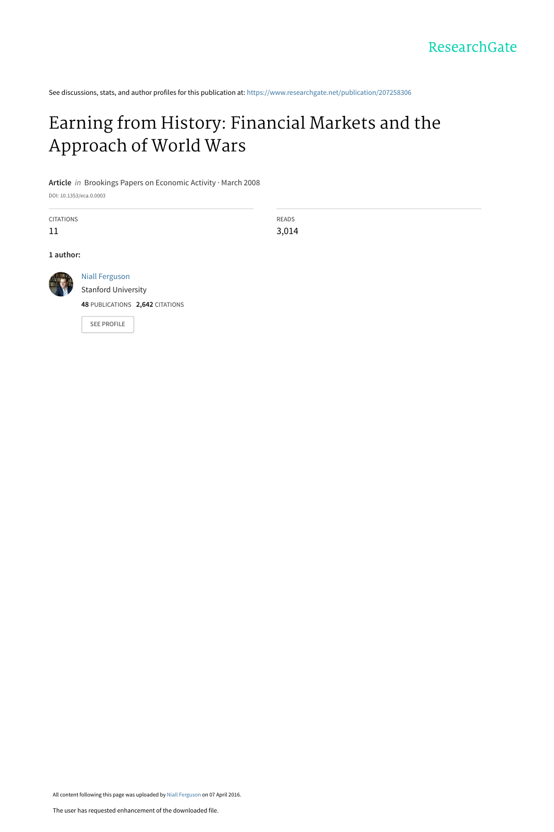See discussions, stats, and author profiles for this publication at: [https://www.researchgate.net/publication/207258306](https://www.researchgate.net/publication/207258306_Earning_from_History_Financial_Markets_and_the_Approach_of_World_Wars?enrichId=rgreq-02acbccbec2fbec796f274d509bdf6a4-XXX&enrichSource=Y292ZXJQYWdlOzIwNzI1ODMwNjtBUzozNDgyOTIyMjAyNDM5NjlAMTQ2MDA1MDc0NDI5OA%3D%3D&el=1_x_2&_esc=publicationCoverPdf)

# [Earning from History: Financial Markets and the](https://www.researchgate.net/publication/207258306_Earning_from_History_Financial_Markets_and_the_Approach_of_World_Wars?enrichId=rgreq-02acbccbec2fbec796f274d509bdf6a4-XXX&enrichSource=Y292ZXJQYWdlOzIwNzI1ODMwNjtBUzozNDgyOTIyMjAyNDM5NjlAMTQ2MDA1MDc0NDI5OA%3D%3D&el=1_x_3&_esc=publicationCoverPdf) Approach of World Wars

**Article** in Brookings Papers on Economic Activity · March 2008

DOI: 10.1353/eca.0.0003

CITATIONS

11

READS 3,014

**1 author:**



[Niall Ferguson](https://www.researchgate.net/profile/Niall-Ferguson?enrichId=rgreq-02acbccbec2fbec796f274d509bdf6a4-XXX&enrichSource=Y292ZXJQYWdlOzIwNzI1ODMwNjtBUzozNDgyOTIyMjAyNDM5NjlAMTQ2MDA1MDc0NDI5OA%3D%3D&el=1_x_5&_esc=publicationCoverPdf) [Stanford University](https://www.researchgate.net/institution/Stanford-University?enrichId=rgreq-02acbccbec2fbec796f274d509bdf6a4-XXX&enrichSource=Y292ZXJQYWdlOzIwNzI1ODMwNjtBUzozNDgyOTIyMjAyNDM5NjlAMTQ2MDA1MDc0NDI5OA%3D%3D&el=1_x_6&_esc=publicationCoverPdf) **48** PUBLICATIONS **2,642** CITATIONS [SEE PROFILE](https://www.researchgate.net/profile/Niall-Ferguson?enrichId=rgreq-02acbccbec2fbec796f274d509bdf6a4-XXX&enrichSource=Y292ZXJQYWdlOzIwNzI1ODMwNjtBUzozNDgyOTIyMjAyNDM5NjlAMTQ2MDA1MDc0NDI5OA%3D%3D&el=1_x_7&_esc=publicationCoverPdf)

All content following this page was uploaded by [Niall Ferguson](https://www.researchgate.net/profile/Niall-Ferguson?enrichId=rgreq-02acbccbec2fbec796f274d509bdf6a4-XXX&enrichSource=Y292ZXJQYWdlOzIwNzI1ODMwNjtBUzozNDgyOTIyMjAyNDM5NjlAMTQ2MDA1MDc0NDI5OA%3D%3D&el=1_x_10&_esc=publicationCoverPdf) on 07 April 2016.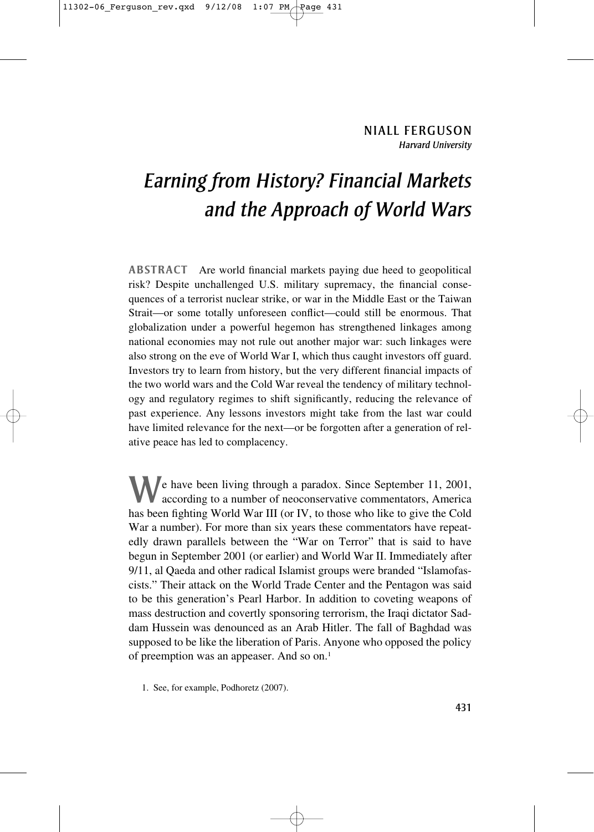# *Earning from History? Financial Markets and the Approach of World Wars*

**ABSTRACT** Are world financial markets paying due heed to geopolitical risk? Despite unchallenged U.S. military supremacy, the financial consequences of a terrorist nuclear strike, or war in the Middle East or the Taiwan Strait—or some totally unforeseen conflict—could still be enormous. That globalization under a powerful hegemon has strengthened linkages among national economies may not rule out another major war: such linkages were also strong on the eve of World War I, which thus caught investors off guard. Investors try to learn from history, but the very different financial impacts of the two world wars and the Cold War reveal the tendency of military technology and regulatory regimes to shift significantly, reducing the relevance of past experience. Any lessons investors might take from the last war could have limited relevance for the next—or be forgotten after a generation of relative peace has led to complacency.

We have been living through a paradox. Since September 11, 2001, according to a number of neoconservative commentators, America has been fighting World War III (or IV, to those who like to give the Cold War a number). For more than six years these commentators have repeatedly drawn parallels between the "War on Terror" that is said to have begun in September 2001 (or earlier) and World War II. Immediately after 9/11, al Qaeda and other radical Islamist groups were branded "Islamofascists." Their attack on the World Trade Center and the Pentagon was said to be this generation's Pearl Harbor. In addition to coveting weapons of mass destruction and covertly sponsoring terrorism, the Iraqi dictator Saddam Hussein was denounced as an Arab Hitler. The fall of Baghdad was supposed to be like the liberation of Paris. Anyone who opposed the policy of preemption was an appeaser. And so on.<sup>1</sup>

<sup>1.</sup> See, for example, Podhoretz (2007).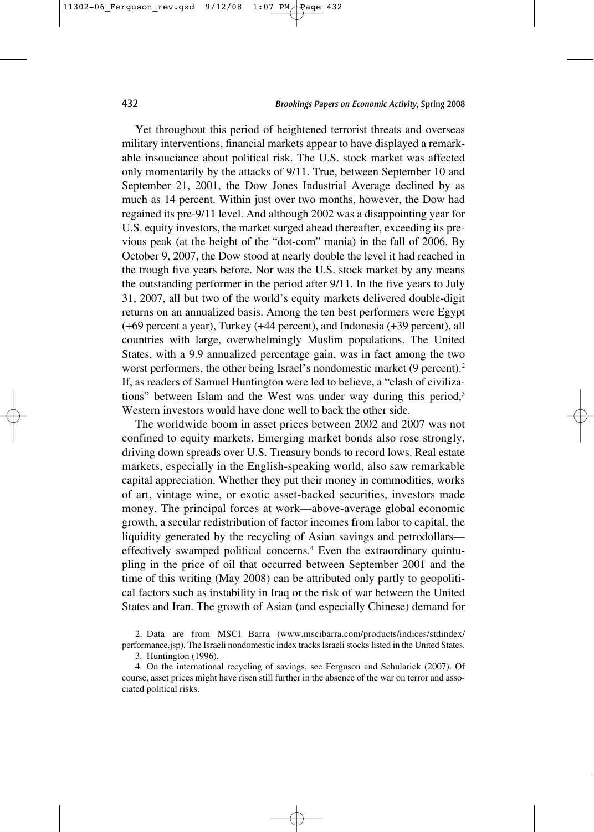Yet throughout this period of heightened terrorist threats and overseas military interventions, financial markets appear to have displayed a remarkable insouciance about political risk. The U.S. stock market was affected only momentarily by the attacks of 9/11. True, between September 10 and September 21, 2001, the Dow Jones Industrial Average declined by as much as 14 percent. Within just over two months, however, the Dow had regained its pre-9/11 level. And although 2002 was a disappointing year for U.S. equity investors, the market surged ahead thereafter, exceeding its previous peak (at the height of the "dot-com" mania) in the fall of 2006. By October 9, 2007, the Dow stood at nearly double the level it had reached in the trough five years before. Nor was the U.S. stock market by any means the outstanding performer in the period after 9/11. In the five years to July 31, 2007, all but two of the world's equity markets delivered double-digit returns on an annualized basis. Among the ten best performers were Egypt (+69 percent a year), Turkey (+44 percent), and Indonesia (+39 percent), all countries with large, overwhelmingly Muslim populations. The United States, with a 9.9 annualized percentage gain, was in fact among the two worst performers, the other being Israel's nondomestic market (9 percent).<sup>2</sup> If, as readers of Samuel Huntington were led to believe, a "clash of civilizations" between Islam and the West was under way during this period,<sup>3</sup> Western investors would have done well to back the other side.

The worldwide boom in asset prices between 2002 and 2007 was not confined to equity markets. Emerging market bonds also rose strongly, driving down spreads over U.S. Treasury bonds to record lows. Real estate markets, especially in the English-speaking world, also saw remarkable capital appreciation. Whether they put their money in commodities, works of art, vintage wine, or exotic asset-backed securities, investors made money. The principal forces at work—above-average global economic growth, a secular redistribution of factor incomes from labor to capital, the liquidity generated by the recycling of Asian savings and petrodollars effectively swamped political concerns.<sup>4</sup> Even the extraordinary quintupling in the price of oil that occurred between September 2001 and the time of this writing (May 2008) can be attributed only partly to geopolitical factors such as instability in Iraq or the risk of war between the United States and Iran. The growth of Asian (and especially Chinese) demand for

<sup>2.</sup> Data are from MSCI Barra (www.mscibarra.com/products/indices/stdindex/ performance.jsp). The Israeli nondomestic index tracks Israeli stocks listed in the United States.

<sup>3.</sup> Huntington (1996).

<sup>4.</sup> On the international recycling of savings, see Ferguson and Schularick (2007). Of course, asset prices might have risen still further in the absence of the war on terror and associated political risks.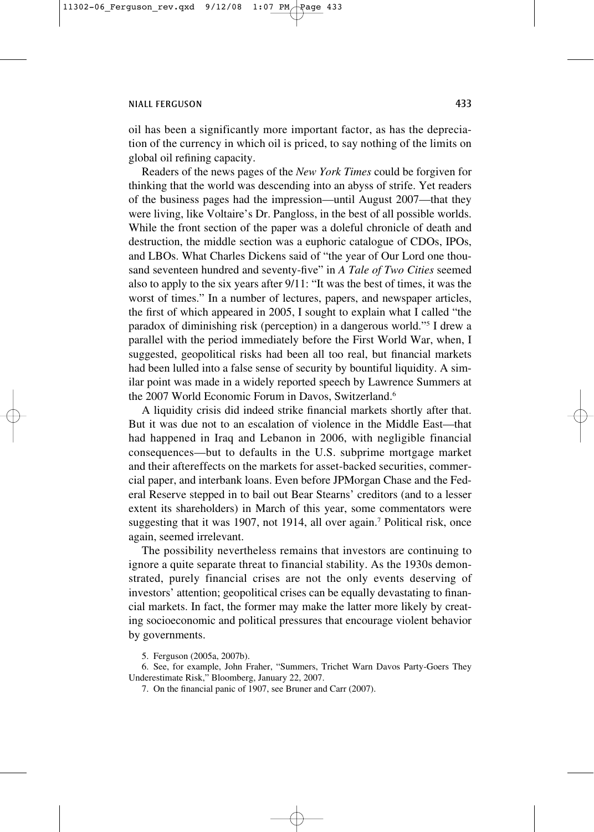oil has been a significantly more important factor, as has the depreciation of the currency in which oil is priced, to say nothing of the limits on global oil refining capacity.

Readers of the news pages of the *New York Times* could be forgiven for thinking that the world was descending into an abyss of strife. Yet readers of the business pages had the impression—until August 2007—that they were living, like Voltaire's Dr. Pangloss, in the best of all possible worlds. While the front section of the paper was a doleful chronicle of death and destruction, the middle section was a euphoric catalogue of CDOs, IPOs, and LBOs. What Charles Dickens said of "the year of Our Lord one thousand seventeen hundred and seventy-five" in *A Tale of Two Cities* seemed also to apply to the six years after 9/11: "It was the best of times, it was the worst of times." In a number of lectures, papers, and newspaper articles, the first of which appeared in 2005, I sought to explain what I called "the paradox of diminishing risk (perception) in a dangerous world."5 I drew a parallel with the period immediately before the First World War, when, I suggested, geopolitical risks had been all too real, but financial markets had been lulled into a false sense of security by bountiful liquidity. A similar point was made in a widely reported speech by Lawrence Summers at the 2007 World Economic Forum in Davos, Switzerland.<sup>6</sup>

A liquidity crisis did indeed strike financial markets shortly after that. But it was due not to an escalation of violence in the Middle East—that had happened in Iraq and Lebanon in 2006, with negligible financial consequences—but to defaults in the U.S. subprime mortgage market and their aftereffects on the markets for asset-backed securities, commercial paper, and interbank loans. Even before JPMorgan Chase and the Federal Reserve stepped in to bail out Bear Stearns' creditors (and to a lesser extent its shareholders) in March of this year, some commentators were suggesting that it was 1907, not 1914, all over again.<sup>7</sup> Political risk, once again, seemed irrelevant.

The possibility nevertheless remains that investors are continuing to ignore a quite separate threat to financial stability. As the 1930s demonstrated, purely financial crises are not the only events deserving of investors' attention; geopolitical crises can be equally devastating to financial markets. In fact, the former may make the latter more likely by creating socioeconomic and political pressures that encourage violent behavior by governments.

6. See, for example, John Fraher, "Summers, Trichet Warn Davos Party-Goers They Underestimate Risk," Bloomberg, January 22, 2007.

7. On the financial panic of 1907, see Bruner and Carr (2007).

<sup>5.</sup> Ferguson (2005a, 2007b).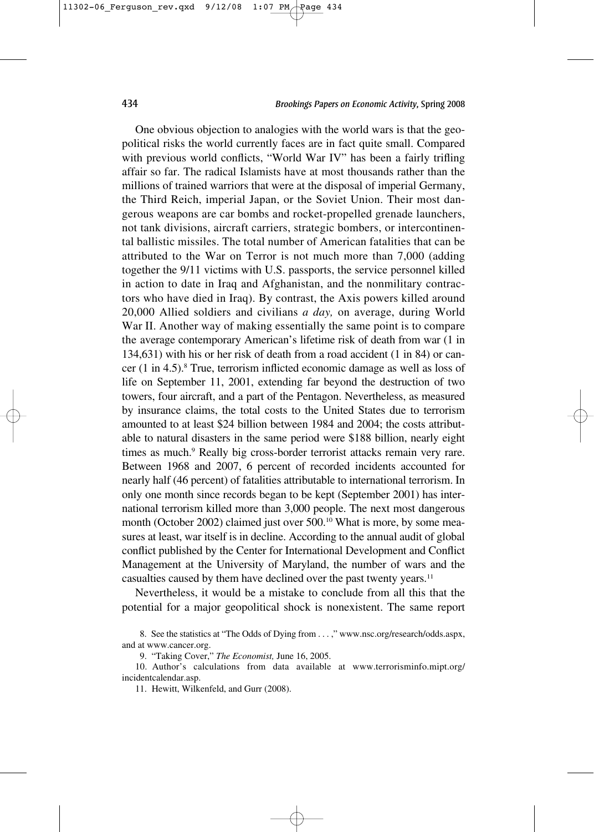One obvious objection to analogies with the world wars is that the geopolitical risks the world currently faces are in fact quite small. Compared with previous world conflicts, "World War IV" has been a fairly trifling affair so far. The radical Islamists have at most thousands rather than the millions of trained warriors that were at the disposal of imperial Germany, the Third Reich, imperial Japan, or the Soviet Union. Their most dangerous weapons are car bombs and rocket-propelled grenade launchers, not tank divisions, aircraft carriers, strategic bombers, or intercontinental ballistic missiles. The total number of American fatalities that can be attributed to the War on Terror is not much more than 7,000 (adding together the 9/11 victims with U.S. passports, the service personnel killed in action to date in Iraq and Afghanistan, and the nonmilitary contractors who have died in Iraq). By contrast, the Axis powers killed around 20,000 Allied soldiers and civilians *a day,* on average, during World War II. Another way of making essentially the same point is to compare the average contemporary American's lifetime risk of death from war (1 in 134,631) with his or her risk of death from a road accident (1 in 84) or cancer (1 in 4.5).8 True, terrorism inflicted economic damage as well as loss of life on September 11, 2001, extending far beyond the destruction of two towers, four aircraft, and a part of the Pentagon. Nevertheless, as measured by insurance claims, the total costs to the United States due to terrorism amounted to at least \$24 billion between 1984 and 2004; the costs attributable to natural disasters in the same period were \$188 billion, nearly eight times as much.<sup>9</sup> Really big cross-border terrorist attacks remain very rare. Between 1968 and 2007, 6 percent of recorded incidents accounted for nearly half (46 percent) of fatalities attributable to international terrorism. In only one month since records began to be kept (September 2001) has international terrorism killed more than 3,000 people. The next most dangerous month (October 2002) claimed just over 500.10 What is more, by some measures at least, war itself is in decline. According to the annual audit of global conflict published by the Center for International Development and Conflict Management at the University of Maryland, the number of wars and the casualties caused by them have declined over the past twenty years.11

Nevertheless, it would be a mistake to conclude from all this that the potential for a major geopolitical shock is nonexistent. The same report

8. See the statistics at "The Odds of Dying from . . . ," www.nsc.org/research/odds.aspx, and at www.cancer.org.

9. "Taking Cover," *The Economist,* June 16, 2005.

10. Author's calculations from data available at www.terrorisminfo.mipt.org/ incidentcalendar.asp.

11. Hewitt, Wilkenfeld, and Gurr (2008).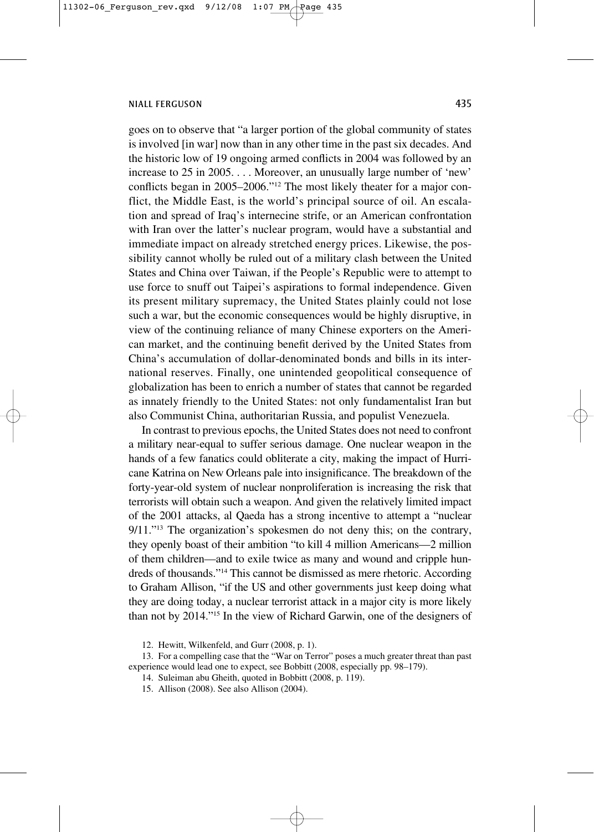goes on to observe that "a larger portion of the global community of states is involved [in war] now than in any other time in the past six decades. And the historic low of 19 ongoing armed conflicts in 2004 was followed by an increase to 25 in 2005. . . . Moreover, an unusually large number of 'new' conflicts began in 2005–2006."12 The most likely theater for a major conflict, the Middle East, is the world's principal source of oil. An escalation and spread of Iraq's internecine strife, or an American confrontation with Iran over the latter's nuclear program, would have a substantial and immediate impact on already stretched energy prices. Likewise, the possibility cannot wholly be ruled out of a military clash between the United States and China over Taiwan, if the People's Republic were to attempt to use force to snuff out Taipei's aspirations to formal independence. Given its present military supremacy, the United States plainly could not lose such a war, but the economic consequences would be highly disruptive, in view of the continuing reliance of many Chinese exporters on the American market, and the continuing benefit derived by the United States from China's accumulation of dollar-denominated bonds and bills in its international reserves. Finally, one unintended geopolitical consequence of globalization has been to enrich a number of states that cannot be regarded as innately friendly to the United States: not only fundamentalist Iran but also Communist China, authoritarian Russia, and populist Venezuela.

In contrast to previous epochs, the United States does not need to confront a military near-equal to suffer serious damage. One nuclear weapon in the hands of a few fanatics could obliterate a city, making the impact of Hurricane Katrina on New Orleans pale into insignificance. The breakdown of the forty-year-old system of nuclear nonproliferation is increasing the risk that terrorists will obtain such a weapon. And given the relatively limited impact of the 2001 attacks, al Qaeda has a strong incentive to attempt a "nuclear 9/11."<sup>13</sup> The organization's spokesmen do not deny this; on the contrary, they openly boast of their ambition "to kill 4 million Americans—2 million of them children—and to exile twice as many and wound and cripple hundreds of thousands."14 This cannot be dismissed as mere rhetoric. According to Graham Allison, "if the US and other governments just keep doing what they are doing today, a nuclear terrorist attack in a major city is more likely than not by 2014."15 In the view of Richard Garwin, one of the designers of

- 14. Suleiman abu Gheith, quoted in Bobbitt (2008, p. 119).
- 15. Allison (2008). See also Allison (2004).

<sup>12.</sup> Hewitt, Wilkenfeld, and Gurr (2008, p. 1).

<sup>13.</sup> For a compelling case that the "War on Terror" poses a much greater threat than past experience would lead one to expect, see Bobbitt (2008, especially pp. 98–179).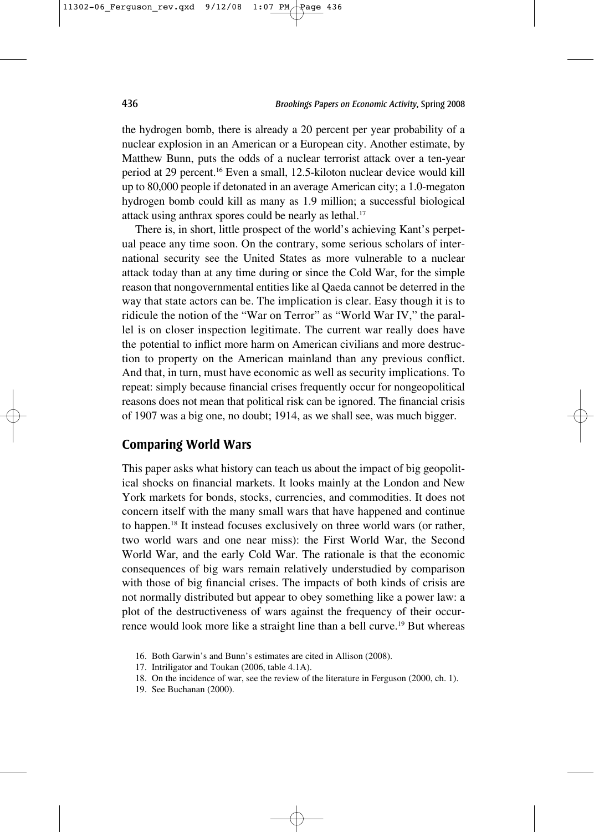the hydrogen bomb, there is already a 20 percent per year probability of a nuclear explosion in an American or a European city. Another estimate, by Matthew Bunn, puts the odds of a nuclear terrorist attack over a ten-year period at 29 percent.16 Even a small, 12.5-kiloton nuclear device would kill up to 80,000 people if detonated in an average American city; a 1.0-megaton hydrogen bomb could kill as many as 1.9 million; a successful biological attack using anthrax spores could be nearly as lethal.17

There is, in short, little prospect of the world's achieving Kant's perpetual peace any time soon. On the contrary, some serious scholars of international security see the United States as more vulnerable to a nuclear attack today than at any time during or since the Cold War, for the simple reason that nongovernmental entities like al Qaeda cannot be deterred in the way that state actors can be. The implication is clear. Easy though it is to ridicule the notion of the "War on Terror" as "World War IV," the parallel is on closer inspection legitimate. The current war really does have the potential to inflict more harm on American civilians and more destruction to property on the American mainland than any previous conflict. And that, in turn, must have economic as well as security implications. To repeat: simply because financial crises frequently occur for nongeopolitical reasons does not mean that political risk can be ignored. The financial crisis of 1907 was a big one, no doubt; 1914, as we shall see, was much bigger.

## **Comparing World Wars**

This paper asks what history can teach us about the impact of big geopolitical shocks on financial markets. It looks mainly at the London and New York markets for bonds, stocks, currencies, and commodities. It does not concern itself with the many small wars that have happened and continue to happen.18 It instead focuses exclusively on three world wars (or rather, two world wars and one near miss): the First World War, the Second World War, and the early Cold War. The rationale is that the economic consequences of big wars remain relatively understudied by comparison with those of big financial crises. The impacts of both kinds of crisis are not normally distributed but appear to obey something like a power law: a plot of the destructiveness of wars against the frequency of their occurrence would look more like a straight line than a bell curve.<sup>19</sup> But whereas

<sup>16.</sup> Both Garwin's and Bunn's estimates are cited in Allison (2008).

<sup>17.</sup> Intriligator and Toukan (2006, table 4.1A).

<sup>18.</sup> On the incidence of war, see the review of the literature in Ferguson (2000, ch. 1).

<sup>19.</sup> See Buchanan (2000).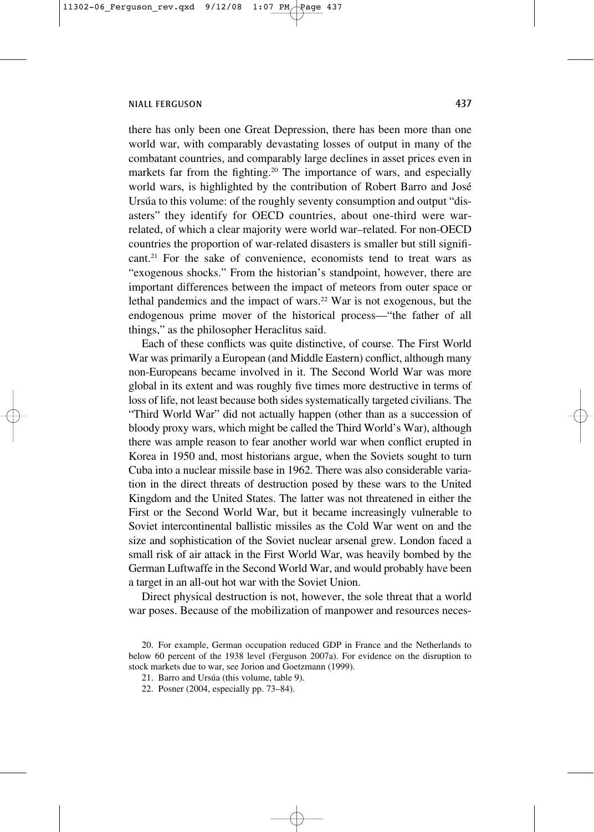there has only been one Great Depression, there has been more than one world war, with comparably devastating losses of output in many of the combatant countries, and comparably large declines in asset prices even in markets far from the fighting.<sup>20</sup> The importance of wars, and especially world wars, is highlighted by the contribution of Robert Barro and José Ursúa to this volume: of the roughly seventy consumption and output "disasters" they identify for OECD countries, about one-third were warrelated, of which a clear majority were world war–related. For non-OECD countries the proportion of war-related disasters is smaller but still significant.21 For the sake of convenience, economists tend to treat wars as "exogenous shocks." From the historian's standpoint, however, there are important differences between the impact of meteors from outer space or lethal pandemics and the impact of wars.<sup>22</sup> War is not exogenous, but the endogenous prime mover of the historical process—"the father of all things," as the philosopher Heraclitus said.

Each of these conflicts was quite distinctive, of course. The First World War was primarily a European (and Middle Eastern) conflict, although many non-Europeans became involved in it. The Second World War was more global in its extent and was roughly five times more destructive in terms of loss of life, not least because both sides systematically targeted civilians. The "Third World War" did not actually happen (other than as a succession of bloody proxy wars, which might be called the Third World's War), although there was ample reason to fear another world war when conflict erupted in Korea in 1950 and, most historians argue, when the Soviets sought to turn Cuba into a nuclear missile base in 1962. There was also considerable variation in the direct threats of destruction posed by these wars to the United Kingdom and the United States. The latter was not threatened in either the First or the Second World War, but it became increasingly vulnerable to Soviet intercontinental ballistic missiles as the Cold War went on and the size and sophistication of the Soviet nuclear arsenal grew. London faced a small risk of air attack in the First World War, was heavily bombed by the German Luftwaffe in the Second World War, and would probably have been a target in an all-out hot war with the Soviet Union.

Direct physical destruction is not, however, the sole threat that a world war poses. Because of the mobilization of manpower and resources neces-

<sup>20.</sup> For example, German occupation reduced GDP in France and the Netherlands to below 60 percent of the 1938 level (Ferguson 2007a). For evidence on the disruption to stock markets due to war, see Jorion and Goetzmann (1999).

<sup>21.</sup> Barro and Ursúa (this volume, table 9).

<sup>22.</sup> Posner (2004, especially pp. 73–84).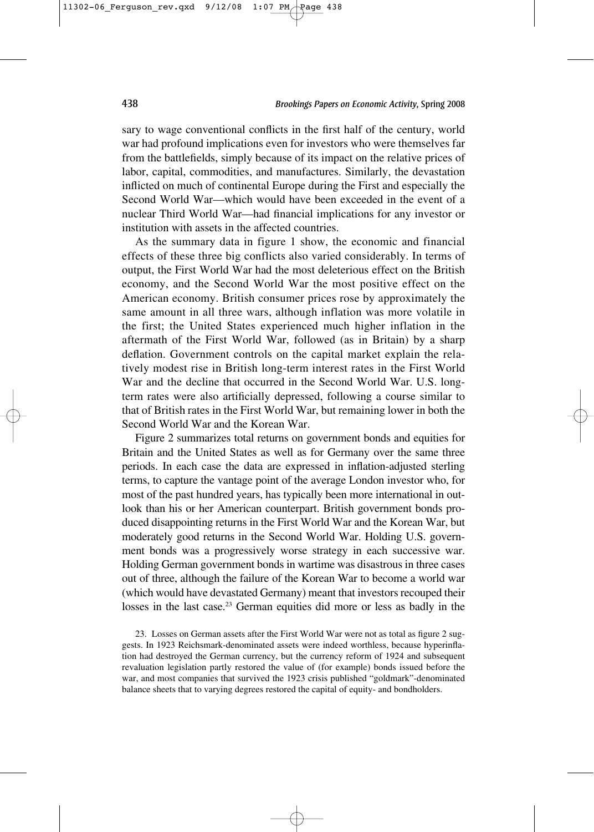sary to wage conventional conflicts in the first half of the century, world war had profound implications even for investors who were themselves far from the battlefields, simply because of its impact on the relative prices of labor, capital, commodities, and manufactures. Similarly, the devastation inflicted on much of continental Europe during the First and especially the Second World War—which would have been exceeded in the event of a nuclear Third World War—had financial implications for any investor or institution with assets in the affected countries.

As the summary data in figure 1 show, the economic and financial effects of these three big conflicts also varied considerably. In terms of output, the First World War had the most deleterious effect on the British economy, and the Second World War the most positive effect on the American economy. British consumer prices rose by approximately the same amount in all three wars, although inflation was more volatile in the first; the United States experienced much higher inflation in the aftermath of the First World War, followed (as in Britain) by a sharp deflation. Government controls on the capital market explain the relatively modest rise in British long-term interest rates in the First World War and the decline that occurred in the Second World War. U.S. longterm rates were also artificially depressed, following a course similar to that of British rates in the First World War, but remaining lower in both the Second World War and the Korean War.

Figure 2 summarizes total returns on government bonds and equities for Britain and the United States as well as for Germany over the same three periods. In each case the data are expressed in inflation-adjusted sterling terms, to capture the vantage point of the average London investor who, for most of the past hundred years, has typically been more international in outlook than his or her American counterpart. British government bonds produced disappointing returns in the First World War and the Korean War, but moderately good returns in the Second World War. Holding U.S. government bonds was a progressively worse strategy in each successive war. Holding German government bonds in wartime was disastrous in three cases out of three, although the failure of the Korean War to become a world war (which would have devastated Germany) meant that investors recouped their losses in the last case.<sup>23</sup> German equities did more or less as badly in the

23. Losses on German assets after the First World War were not as total as figure 2 suggests. In 1923 Reichsmark-denominated assets were indeed worthless, because hyperinflation had destroyed the German currency, but the currency reform of 1924 and subsequent revaluation legislation partly restored the value of (for example) bonds issued before the war, and most companies that survived the 1923 crisis published "goldmark"-denominated balance sheets that to varying degrees restored the capital of equity- and bondholders.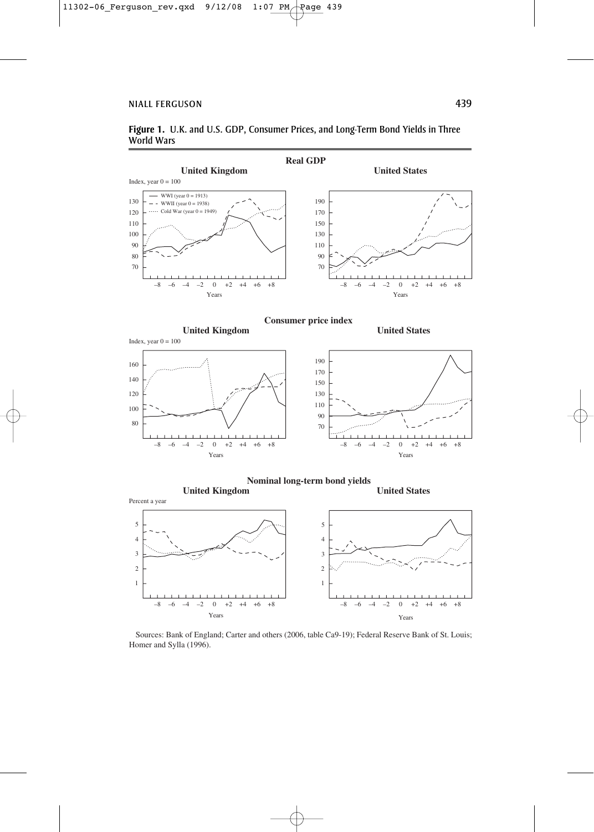#### **Figure 1.** U.K. and U.S. GDP, Consumer Prices, and Long-Term Bond Yields in Three World Wars



Sources: Bank of England; Carter and others (2006, table Ca9-19); Federal Reserve Bank of St. Louis; Homer and Sylla (1996).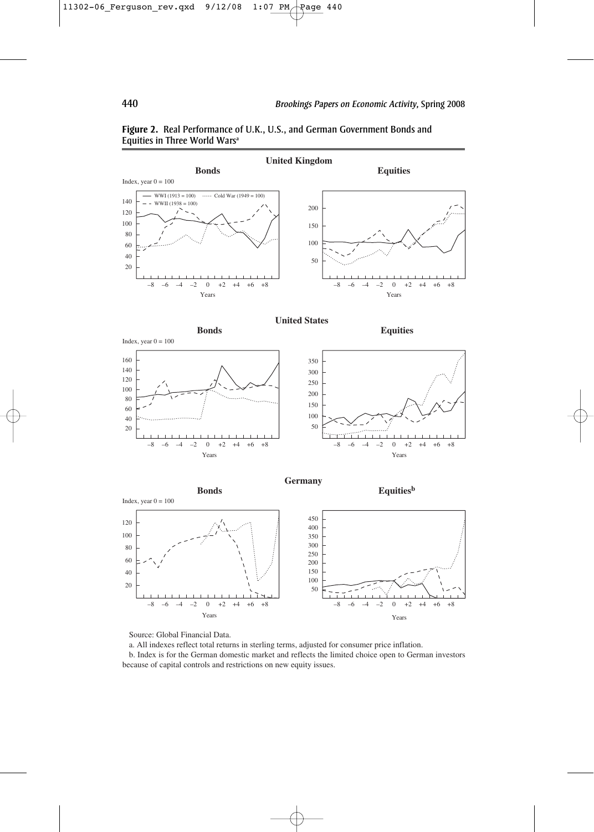

#### **Figure 2.** Real Performance of U.K., U.S., and German Government Bonds and Equities in Three World Wars<sup>a</sup>

Source: Global Financial Data.

a. All indexes reflect total returns in sterling terms, adjusted for consumer price inflation.

b. Index is for the German domestic market and reflects the limited choice open to German investors because of capital controls and restrictions on new equity issues.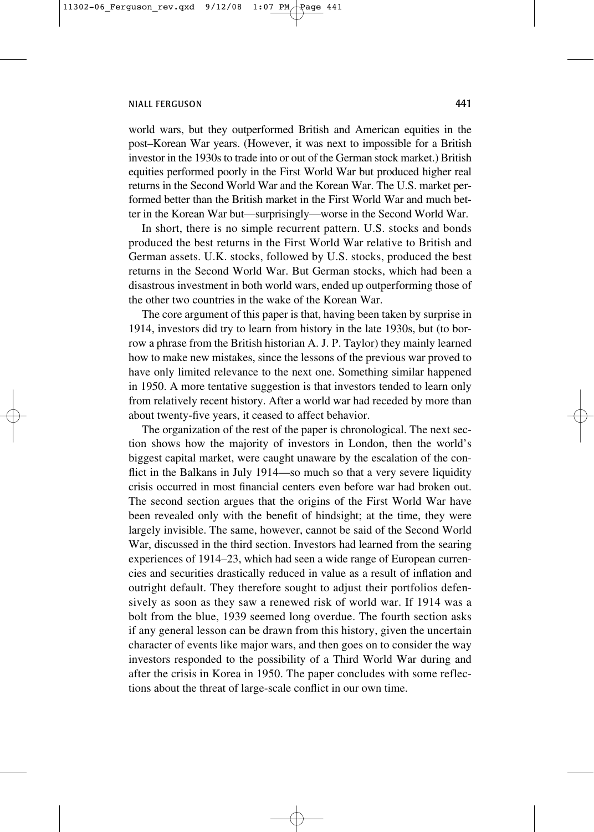world wars, but they outperformed British and American equities in the post–Korean War years. (However, it was next to impossible for a British investor in the 1930s to trade into or out of the German stock market.) British equities performed poorly in the First World War but produced higher real returns in the Second World War and the Korean War. The U.S. market performed better than the British market in the First World War and much better in the Korean War but—surprisingly—worse in the Second World War.

In short, there is no simple recurrent pattern. U.S. stocks and bonds produced the best returns in the First World War relative to British and German assets. U.K. stocks, followed by U.S. stocks, produced the best returns in the Second World War. But German stocks, which had been a disastrous investment in both world wars, ended up outperforming those of the other two countries in the wake of the Korean War.

The core argument of this paper is that, having been taken by surprise in 1914, investors did try to learn from history in the late 1930s, but (to borrow a phrase from the British historian A. J. P. Taylor) they mainly learned how to make new mistakes, since the lessons of the previous war proved to have only limited relevance to the next one. Something similar happened in 1950. A more tentative suggestion is that investors tended to learn only from relatively recent history. After a world war had receded by more than about twenty-five years, it ceased to affect behavior.

The organization of the rest of the paper is chronological. The next section shows how the majority of investors in London, then the world's biggest capital market, were caught unaware by the escalation of the conflict in the Balkans in July 1914—so much so that a very severe liquidity crisis occurred in most financial centers even before war had broken out. The second section argues that the origins of the First World War have been revealed only with the benefit of hindsight; at the time, they were largely invisible. The same, however, cannot be said of the Second World War, discussed in the third section. Investors had learned from the searing experiences of 1914–23, which had seen a wide range of European currencies and securities drastically reduced in value as a result of inflation and outright default. They therefore sought to adjust their portfolios defensively as soon as they saw a renewed risk of world war. If 1914 was a bolt from the blue, 1939 seemed long overdue. The fourth section asks if any general lesson can be drawn from this history, given the uncertain character of events like major wars, and then goes on to consider the way investors responded to the possibility of a Third World War during and after the crisis in Korea in 1950. The paper concludes with some reflections about the threat of large-scale conflict in our own time.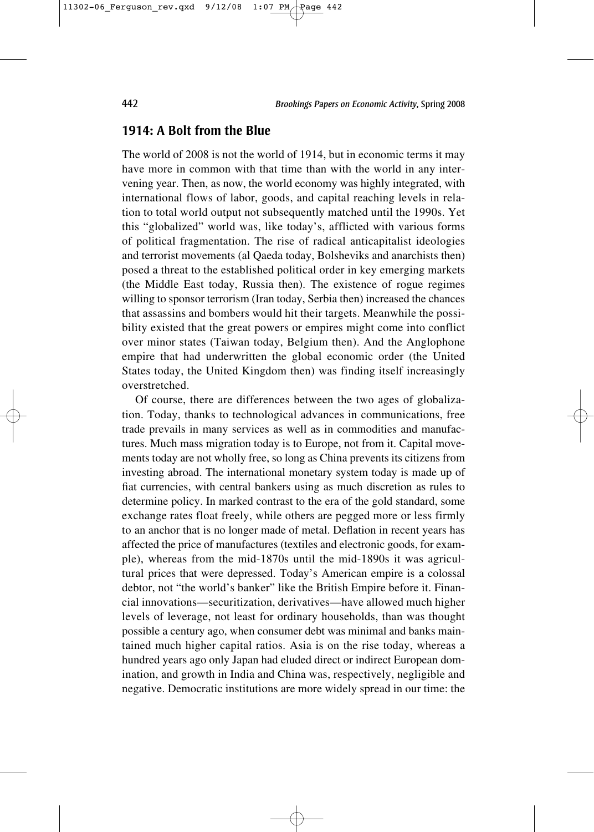# **1914: A Bolt from the Blue**

The world of 2008 is not the world of 1914, but in economic terms it may have more in common with that time than with the world in any intervening year. Then, as now, the world economy was highly integrated, with international flows of labor, goods, and capital reaching levels in relation to total world output not subsequently matched until the 1990s. Yet this "globalized" world was, like today's, afflicted with various forms of political fragmentation. The rise of radical anticapitalist ideologies and terrorist movements (al Qaeda today, Bolsheviks and anarchists then) posed a threat to the established political order in key emerging markets (the Middle East today, Russia then). The existence of rogue regimes willing to sponsor terrorism (Iran today, Serbia then) increased the chances that assassins and bombers would hit their targets. Meanwhile the possibility existed that the great powers or empires might come into conflict over minor states (Taiwan today, Belgium then). And the Anglophone empire that had underwritten the global economic order (the United States today, the United Kingdom then) was finding itself increasingly overstretched.

Of course, there are differences between the two ages of globalization. Today, thanks to technological advances in communications, free trade prevails in many services as well as in commodities and manufactures. Much mass migration today is to Europe, not from it. Capital movements today are not wholly free, so long as China prevents its citizens from investing abroad. The international monetary system today is made up of fiat currencies, with central bankers using as much discretion as rules to determine policy. In marked contrast to the era of the gold standard, some exchange rates float freely, while others are pegged more or less firmly to an anchor that is no longer made of metal. Deflation in recent years has affected the price of manufactures (textiles and electronic goods, for example), whereas from the mid-1870s until the mid-1890s it was agricultural prices that were depressed. Today's American empire is a colossal debtor, not "the world's banker" like the British Empire before it. Financial innovations—securitization, derivatives—have allowed much higher levels of leverage, not least for ordinary households, than was thought possible a century ago, when consumer debt was minimal and banks maintained much higher capital ratios. Asia is on the rise today, whereas a hundred years ago only Japan had eluded direct or indirect European domination, and growth in India and China was, respectively, negligible and negative. Democratic institutions are more widely spread in our time: the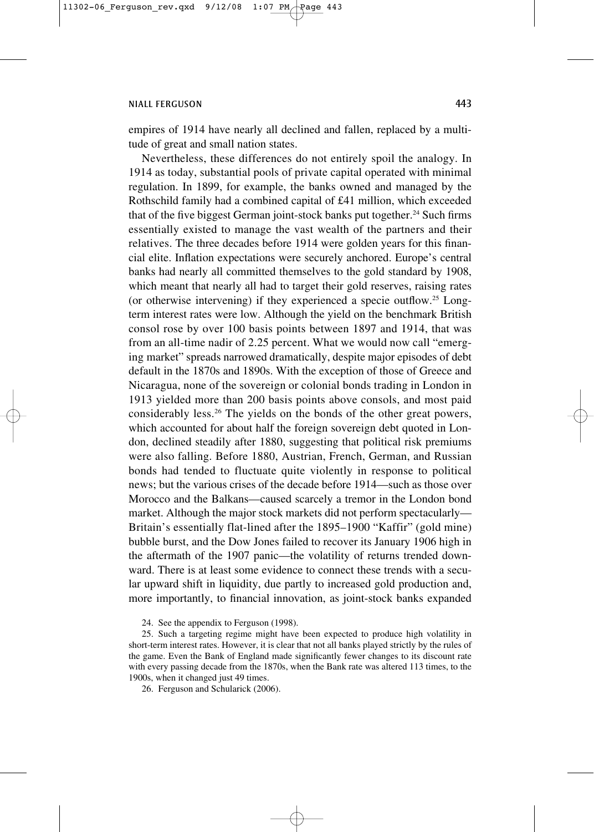empires of 1914 have nearly all declined and fallen, replaced by a multitude of great and small nation states.

Nevertheless, these differences do not entirely spoil the analogy. In 1914 as today, substantial pools of private capital operated with minimal regulation. In 1899, for example, the banks owned and managed by the Rothschild family had a combined capital of £41 million, which exceeded that of the five biggest German joint-stock banks put together.<sup>24</sup> Such firms essentially existed to manage the vast wealth of the partners and their relatives. The three decades before 1914 were golden years for this financial elite. Inflation expectations were securely anchored. Europe's central banks had nearly all committed themselves to the gold standard by 1908, which meant that nearly all had to target their gold reserves, raising rates (or otherwise intervening) if they experienced a specie outflow.25 Longterm interest rates were low. Although the yield on the benchmark British consol rose by over 100 basis points between 1897 and 1914, that was from an all-time nadir of 2.25 percent. What we would now call "emerging market" spreads narrowed dramatically, despite major episodes of debt default in the 1870s and 1890s. With the exception of those of Greece and Nicaragua, none of the sovereign or colonial bonds trading in London in 1913 yielded more than 200 basis points above consols, and most paid considerably less.26 The yields on the bonds of the other great powers, which accounted for about half the foreign sovereign debt quoted in London, declined steadily after 1880, suggesting that political risk premiums were also falling. Before 1880, Austrian, French, German, and Russian bonds had tended to fluctuate quite violently in response to political news; but the various crises of the decade before 1914—such as those over Morocco and the Balkans—caused scarcely a tremor in the London bond market. Although the major stock markets did not perform spectacularly— Britain's essentially flat-lined after the 1895–1900 "Kaffir" (gold mine) bubble burst, and the Dow Jones failed to recover its January 1906 high in the aftermath of the 1907 panic—the volatility of returns trended downward. There is at least some evidence to connect these trends with a secular upward shift in liquidity, due partly to increased gold production and, more importantly, to financial innovation, as joint-stock banks expanded

24. See the appendix to Ferguson (1998).

25. Such a targeting regime might have been expected to produce high volatility in short-term interest rates. However, it is clear that not all banks played strictly by the rules of the game. Even the Bank of England made significantly fewer changes to its discount rate with every passing decade from the 1870s, when the Bank rate was altered 113 times, to the 1900s, when it changed just 49 times.

26. Ferguson and Schularick (2006).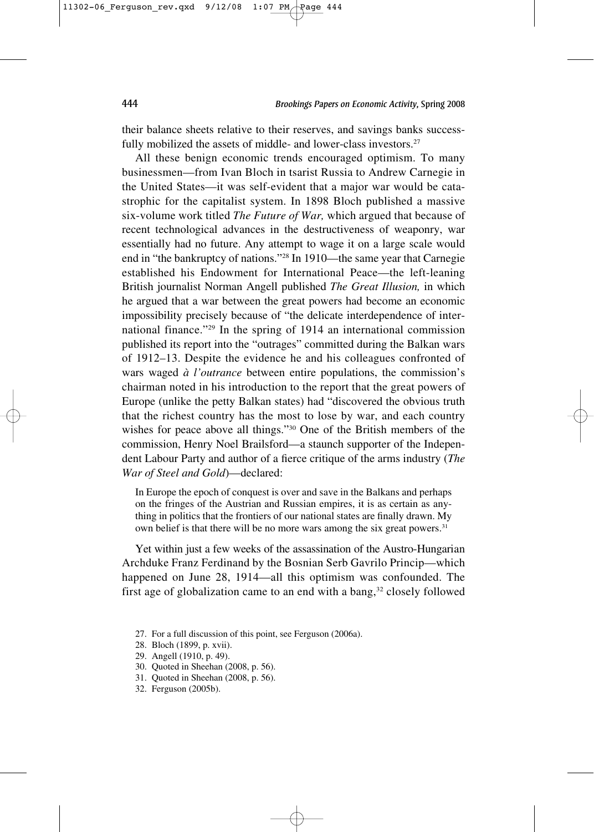their balance sheets relative to their reserves, and savings banks successfully mobilized the assets of middle- and lower-class investors.<sup>27</sup>

All these benign economic trends encouraged optimism. To many businessmen—from Ivan Bloch in tsarist Russia to Andrew Carnegie in the United States—it was self-evident that a major war would be catastrophic for the capitalist system. In 1898 Bloch published a massive six-volume work titled *The Future of War,* which argued that because of recent technological advances in the destructiveness of weaponry, war essentially had no future. Any attempt to wage it on a large scale would end in "the bankruptcy of nations."28 In 1910—the same year that Carnegie established his Endowment for International Peace—the left-leaning British journalist Norman Angell published *The Great Illusion,* in which he argued that a war between the great powers had become an economic impossibility precisely because of "the delicate interdependence of international finance."29 In the spring of 1914 an international commission published its report into the "outrages" committed during the Balkan wars of 1912–13. Despite the evidence he and his colleagues confronted of wars waged *à l'outrance* between entire populations, the commission's chairman noted in his introduction to the report that the great powers of Europe (unlike the petty Balkan states) had "discovered the obvious truth that the richest country has the most to lose by war, and each country wishes for peace above all things."30 One of the British members of the commission, Henry Noel Brailsford—a staunch supporter of the Independent Labour Party and author of a fierce critique of the arms industry (*The War of Steel and Gold*)—declared:

In Europe the epoch of conquest is over and save in the Balkans and perhaps on the fringes of the Austrian and Russian empires, it is as certain as anything in politics that the frontiers of our national states are finally drawn. My own belief is that there will be no more wars among the six great powers.<sup>31</sup>

Yet within just a few weeks of the assassination of the Austro-Hungarian Archduke Franz Ferdinand by the Bosnian Serb Gavrilo Princip—which happened on June 28, 1914—all this optimism was confounded. The first age of globalization came to an end with a bang, $32$  closely followed

- 27. For a full discussion of this point, see Ferguson (2006a).
- 28. Bloch (1899, p. xvii).
- 29. Angell (1910, p. 49).
- 30. Quoted in Sheehan (2008, p. 56).
- 31. Quoted in Sheehan (2008, p. 56).
- 32. Ferguson (2005b).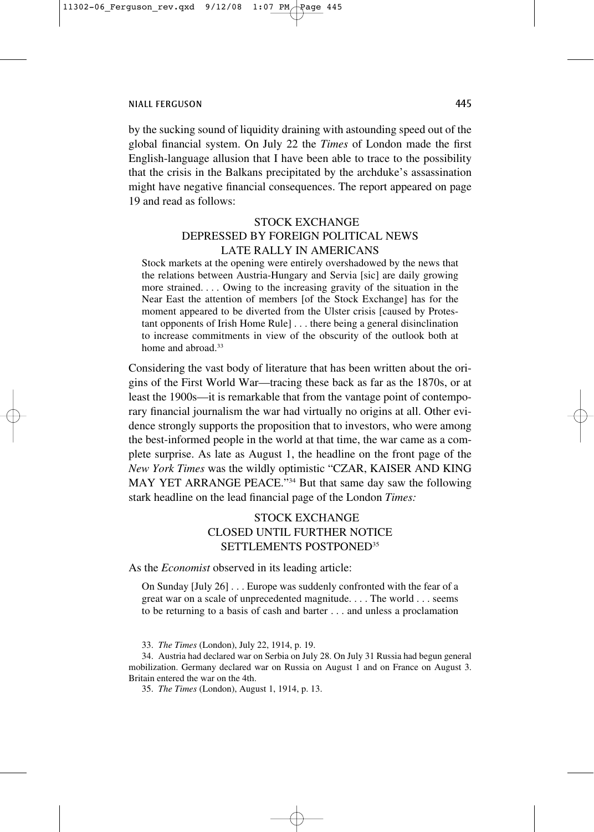by the sucking sound of liquidity draining with astounding speed out of the global financial system. On July 22 the *Times* of London made the first English-language allusion that I have been able to trace to the possibility that the crisis in the Balkans precipitated by the archduke's assassination might have negative financial consequences. The report appeared on page 19 and read as follows:

#### STOCK EXCHANGE DEPRESSED BY FOREIGN POLITICAL NEWS LATE RALLY IN AMERICANS

Stock markets at the opening were entirely overshadowed by the news that the relations between Austria-Hungary and Servia [sic] are daily growing more strained. . . . Owing to the increasing gravity of the situation in the Near East the attention of members [of the Stock Exchange] has for the moment appeared to be diverted from the Ulster crisis [caused by Protestant opponents of Irish Home Rule] . . . there being a general disinclination to increase commitments in view of the obscurity of the outlook both at home and abroad <sup>33</sup>

Considering the vast body of literature that has been written about the origins of the First World War—tracing these back as far as the 1870s, or at least the 1900s—it is remarkable that from the vantage point of contemporary financial journalism the war had virtually no origins at all. Other evidence strongly supports the proposition that to investors, who were among the best-informed people in the world at that time, the war came as a complete surprise. As late as August 1, the headline on the front page of the *New York Times* was the wildly optimistic "CZAR, KAISER AND KING MAY YET ARRANGE PEACE."<sup>34</sup> But that same day saw the following stark headline on the lead financial page of the London *Times:*

# STOCK EXCHANGE CLOSED UNTIL FURTHER NOTICE SETTLEMENTS POSTPONED35

As the *Economist* observed in its leading article:

On Sunday [July 26] . . . Europe was suddenly confronted with the fear of a great war on a scale of unprecedented magnitude. . . . The world . . . seems to be returning to a basis of cash and barter . . . and unless a proclamation

33. *The Times* (London), July 22, 1914, p. 19.

34. Austria had declared war on Serbia on July 28. On July 31 Russia had begun general mobilization. Germany declared war on Russia on August 1 and on France on August 3. Britain entered the war on the 4th.

35. *The Times* (London), August 1, 1914, p. 13.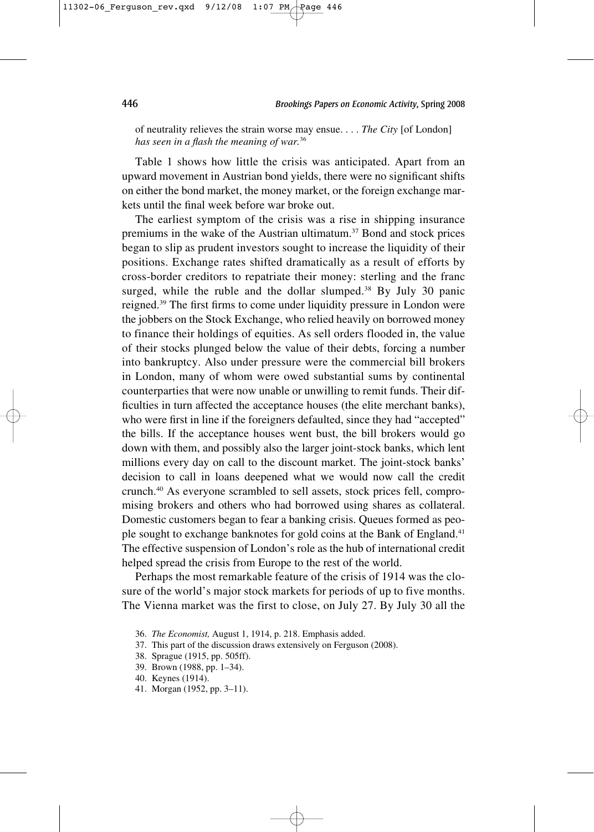of neutrality relieves the strain worse may ensue. . . . *The City* [of London] *has seen in a flash the meaning of war.*<sup>36</sup>

Table 1 shows how little the crisis was anticipated. Apart from an upward movement in Austrian bond yields, there were no significant shifts on either the bond market, the money market, or the foreign exchange markets until the final week before war broke out.

The earliest symptom of the crisis was a rise in shipping insurance premiums in the wake of the Austrian ultimatum.37 Bond and stock prices began to slip as prudent investors sought to increase the liquidity of their positions. Exchange rates shifted dramatically as a result of efforts by cross-border creditors to repatriate their money: sterling and the franc surged, while the ruble and the dollar slumped.<sup>38</sup> By July 30 panic reigned.39 The first firms to come under liquidity pressure in London were the jobbers on the Stock Exchange, who relied heavily on borrowed money to finance their holdings of equities. As sell orders flooded in, the value of their stocks plunged below the value of their debts, forcing a number into bankruptcy. Also under pressure were the commercial bill brokers in London, many of whom were owed substantial sums by continental counterparties that were now unable or unwilling to remit funds. Their difficulties in turn affected the acceptance houses (the elite merchant banks), who were first in line if the foreigners defaulted, since they had "accepted" the bills. If the acceptance houses went bust, the bill brokers would go down with them, and possibly also the larger joint-stock banks, which lent millions every day on call to the discount market. The joint-stock banks' decision to call in loans deepened what we would now call the credit crunch.40 As everyone scrambled to sell assets, stock prices fell, compromising brokers and others who had borrowed using shares as collateral. Domestic customers began to fear a banking crisis. Queues formed as people sought to exchange banknotes for gold coins at the Bank of England.<sup>41</sup> The effective suspension of London's role as the hub of international credit helped spread the crisis from Europe to the rest of the world.

Perhaps the most remarkable feature of the crisis of 1914 was the closure of the world's major stock markets for periods of up to five months. The Vienna market was the first to close, on July 27. By July 30 all the

41. Morgan (1952, pp. 3–11).

<sup>36.</sup> *The Economist,* August 1, 1914, p. 218. Emphasis added.

<sup>37.</sup> This part of the discussion draws extensively on Ferguson (2008).

<sup>38.</sup> Sprague (1915, pp. 505ff).

<sup>39.</sup> Brown (1988, pp. 1–34).

<sup>40.</sup> Keynes (1914).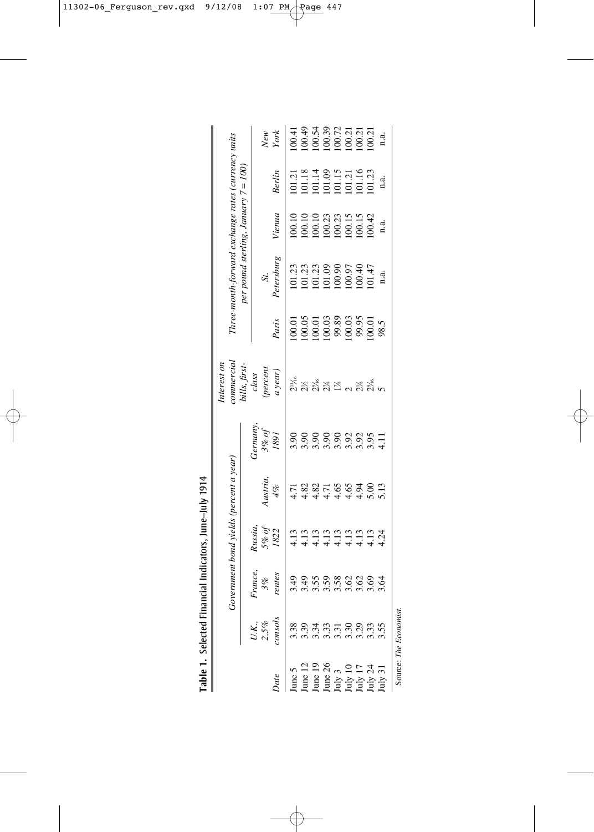|                                                                         |                                                                                                                       |                                                                          |                          | Government bond yields (percent a year) |                                           | nterest on<br>ommercia                                  |                                                                          | Invee-month-forward exchange rates (currency units                       |                                                                    |                                                                                        |                                                    |
|-------------------------------------------------------------------------|-----------------------------------------------------------------------------------------------------------------------|--------------------------------------------------------------------------|--------------------------|-----------------------------------------|-------------------------------------------|---------------------------------------------------------|--------------------------------------------------------------------------|--------------------------------------------------------------------------|--------------------------------------------------------------------|----------------------------------------------------------------------------------------|----------------------------------------------------|
|                                                                         |                                                                                                                       |                                                                          |                          |                                         |                                           | ills, first                                             |                                                                          | er pound sterling, January $7 = 100$                                     |                                                                    |                                                                                        |                                                    |
| Date                                                                    | $\genfrac{}{}{0pt}{}{\begin{array}{l} \displaystyle{V.K.}\\ \displaystyle{2.5\%}\\ \displaystyle{onsols}\end{array}}$ | 'rance,<br>entes<br>3%                                                   | lussia,<br>5% of<br>1822 | ustria,<br>4%                           | emany<br>$\frac{160}{1891}$               | (percent<br>$a$ year <sup><math>)</math></sup><br>class | Paris                                                                    | <b>Petersburg</b><br>St.                                                 | 'ienna                                                             | <b>Berlin</b>                                                                          | New<br>York                                        |
|                                                                         |                                                                                                                       |                                                                          |                          |                                         | 90,                                       |                                                         |                                                                          |                                                                          |                                                                    |                                                                                        |                                                    |
| June 5<br>June 12<br>June 19<br>July 3<br>July 17<br>July 24<br>July 24 | 80 9 4 6 5 6 9 6 70 70<br>6 6 7 6 7 6 7 6 7 8 70 70<br>6 7 7 8 7 8 9 70 8 70 8 70                                     | न से फ फ फ फ ट ट ट<br>से से फ फ फ फ ट ट ट ट<br>से से फ से से से से से से |                          | 1<br>122516640513<br>44444446613        |                                           |                                                         | 100.01<br>100.03 88 89 89 50<br>100.03 89 89 50 51<br>100.03 89 50 50 51 | 101.23<br>101.23<br>101.29 00.90<br>100.95<br>100.40<br>100.40<br>101.47 | 100.10<br>100.10<br>100.13<br>100.23<br>100.15<br>100.15<br>100.15 | 101.21<br>101.18<br>101.14<br>101.15<br>101.15<br>101.16<br>101.16<br>101.23<br>101.23 | 00.41<br>00.54<br>00.58<br>00.72<br>00.71<br>00.71 |
|                                                                         |                                                                                                                       |                                                                          |                          |                                         | 0<br>0,0,0,0,0,0,0,0,1<br>0,0,0,0,0,0,0,1 |                                                         |                                                                          |                                                                          |                                                                    |                                                                                        |                                                    |
|                                                                         |                                                                                                                       |                                                                          |                          |                                         |                                           |                                                         |                                                                          |                                                                          |                                                                    |                                                                                        |                                                    |
|                                                                         |                                                                                                                       |                                                                          |                          |                                         |                                           |                                                         |                                                                          |                                                                          |                                                                    |                                                                                        |                                                    |
|                                                                         |                                                                                                                       |                                                                          |                          |                                         |                                           | ี ผ ลั ลั๊ ห                                            |                                                                          |                                                                          |                                                                    |                                                                                        |                                                    |
|                                                                         |                                                                                                                       |                                                                          |                          |                                         |                                           |                                                         |                                                                          |                                                                          |                                                                    |                                                                                        |                                                    |
|                                                                         |                                                                                                                       |                                                                          |                          |                                         |                                           |                                                         |                                                                          |                                                                          |                                                                    |                                                                                        |                                                    |
|                                                                         |                                                                                                                       |                                                                          |                          |                                         |                                           |                                                         |                                                                          |                                                                          |                                                                    |                                                                                        | n.a.                                               |

 $\begin{array}{l} 100.41 \\ 100.49 \\ 100.54 \\ 100.39 \\ 100.72 \\ 100.71 \\ 100.21 \\ 100.21 \\ 100.31 \\ 100.31 \\ 100.31 \\ 100.31 \\ 100.31 \\ 100.31 \\ 100.31 \\ 100.32 \\ 100.33 \\ 100.33 \\ 100.33 \\ 100.33 \\ 100.33 \\ 100.33 \\ 100.33 \\ 100.33 \\ 100.33 \\ 100.33 \\ 100.$ 

| ֖֖֖֖֖֧ׅ֖֖֧֖֧֚֚֚֚֚֚֚֚֚֚֚֚֚֚֚֚֚֚֚֚֚֚֚֚֚֚֚֚֚֬֝֝֝֓֞֬<br>֧֦֧֦֧֦֧֦֧֦֧֦֧֪֦֧֦֧֦֧֦֧֦֧֧֦֧֦֧֧֧֦֧֧֧֦֧֝֟֟֘֝֝֝֜֜֜֜֓ |
|-------------------------------------------------------------------------------------------------------|
| $\frac{1}{2}$<br>$\frac{1}{2}$                                                                        |
| -----<br>l                                                                                            |
| č                                                                                                     |
| l                                                                                                     |

Source: The Economist. Source: *The Economist.*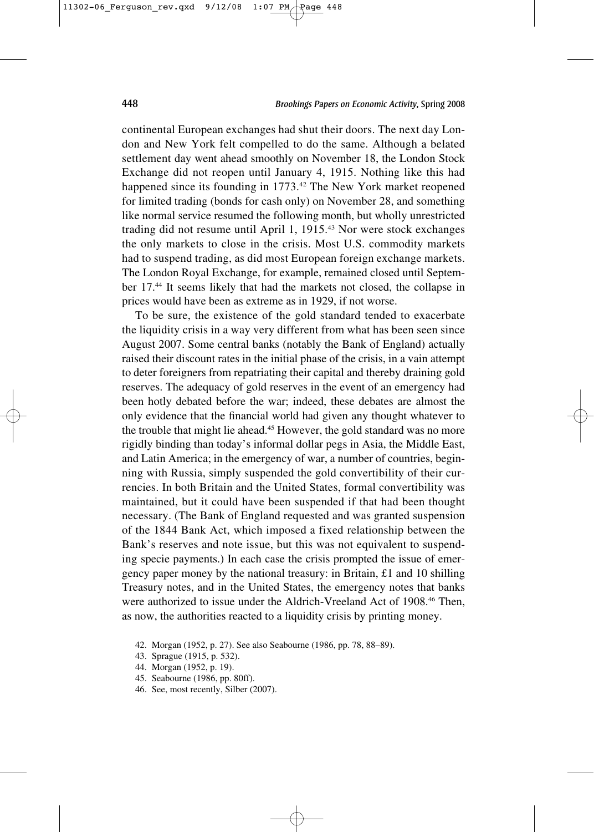continental European exchanges had shut their doors. The next day London and New York felt compelled to do the same. Although a belated settlement day went ahead smoothly on November 18, the London Stock Exchange did not reopen until January 4, 1915. Nothing like this had happened since its founding in 1773.<sup>42</sup> The New York market reopened for limited trading (bonds for cash only) on November 28, and something like normal service resumed the following month, but wholly unrestricted trading did not resume until April 1, 1915.43 Nor were stock exchanges the only markets to close in the crisis. Most U.S. commodity markets had to suspend trading, as did most European foreign exchange markets. The London Royal Exchange, for example, remained closed until September 17.44 It seems likely that had the markets not closed, the collapse in prices would have been as extreme as in 1929, if not worse.

To be sure, the existence of the gold standard tended to exacerbate the liquidity crisis in a way very different from what has been seen since August 2007. Some central banks (notably the Bank of England) actually raised their discount rates in the initial phase of the crisis, in a vain attempt to deter foreigners from repatriating their capital and thereby draining gold reserves. The adequacy of gold reserves in the event of an emergency had been hotly debated before the war; indeed, these debates are almost the only evidence that the financial world had given any thought whatever to the trouble that might lie ahead.<sup>45</sup> However, the gold standard was no more rigidly binding than today's informal dollar pegs in Asia, the Middle East, and Latin America; in the emergency of war, a number of countries, beginning with Russia, simply suspended the gold convertibility of their currencies. In both Britain and the United States, formal convertibility was maintained, but it could have been suspended if that had been thought necessary. (The Bank of England requested and was granted suspension of the 1844 Bank Act, which imposed a fixed relationship between the Bank's reserves and note issue, but this was not equivalent to suspending specie payments.) In each case the crisis prompted the issue of emergency paper money by the national treasury: in Britain, £1 and 10 shilling Treasury notes, and in the United States, the emergency notes that banks were authorized to issue under the Aldrich-Vreeland Act of 1908.<sup>46</sup> Then, as now, the authorities reacted to a liquidity crisis by printing money.

- 43. Sprague (1915, p. 532).
- 44. Morgan (1952, p. 19).
- 45. Seabourne (1986, pp. 80ff).
- 46. See, most recently, Silber (2007).

<sup>42.</sup> Morgan (1952, p. 27). See also Seabourne (1986, pp. 78, 88–89).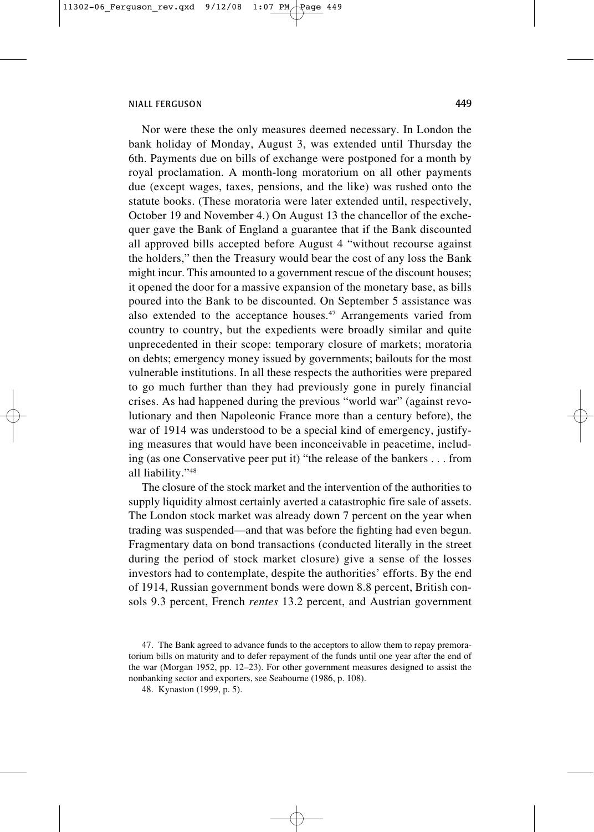Nor were these the only measures deemed necessary. In London the bank holiday of Monday, August 3, was extended until Thursday the 6th. Payments due on bills of exchange were postponed for a month by royal proclamation. A month-long moratorium on all other payments due (except wages, taxes, pensions, and the like) was rushed onto the statute books. (These moratoria were later extended until, respectively, October 19 and November 4.) On August 13 the chancellor of the exchequer gave the Bank of England a guarantee that if the Bank discounted all approved bills accepted before August 4 "without recourse against the holders," then the Treasury would bear the cost of any loss the Bank might incur. This amounted to a government rescue of the discount houses; it opened the door for a massive expansion of the monetary base, as bills poured into the Bank to be discounted. On September 5 assistance was also extended to the acceptance houses.47 Arrangements varied from country to country, but the expedients were broadly similar and quite unprecedented in their scope: temporary closure of markets; moratoria on debts; emergency money issued by governments; bailouts for the most vulnerable institutions. In all these respects the authorities were prepared to go much further than they had previously gone in purely financial crises. As had happened during the previous "world war" (against revolutionary and then Napoleonic France more than a century before), the war of 1914 was understood to be a special kind of emergency, justifying measures that would have been inconceivable in peacetime, including (as one Conservative peer put it) "the release of the bankers . . . from all liability."48

The closure of the stock market and the intervention of the authorities to supply liquidity almost certainly averted a catastrophic fire sale of assets. The London stock market was already down 7 percent on the year when trading was suspended—and that was before the fighting had even begun. Fragmentary data on bond transactions (conducted literally in the street during the period of stock market closure) give a sense of the losses investors had to contemplate, despite the authorities' efforts. By the end of 1914, Russian government bonds were down 8.8 percent, British consols 9.3 percent, French *rentes* 13.2 percent, and Austrian government

<sup>47.</sup> The Bank agreed to advance funds to the acceptors to allow them to repay premoratorium bills on maturity and to defer repayment of the funds until one year after the end of the war (Morgan 1952, pp. 12–23). For other government measures designed to assist the nonbanking sector and exporters, see Seabourne (1986, p. 108).

<sup>48.</sup> Kynaston (1999, p. 5).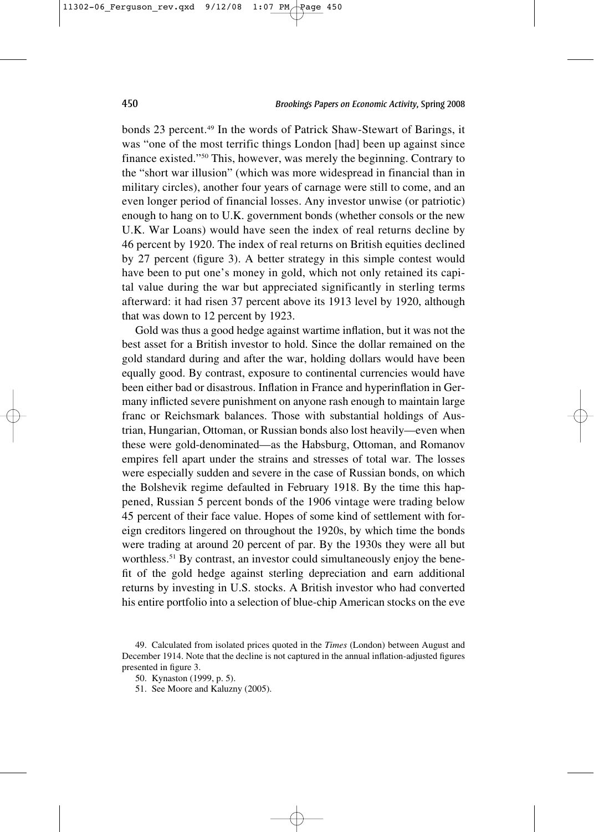bonds 23 percent.<sup>49</sup> In the words of Patrick Shaw-Stewart of Barings, it was "one of the most terrific things London [had] been up against since finance existed."50 This, however, was merely the beginning. Contrary to the "short war illusion" (which was more widespread in financial than in military circles), another four years of carnage were still to come, and an even longer period of financial losses. Any investor unwise (or patriotic) enough to hang on to U.K. government bonds (whether consols or the new U.K. War Loans) would have seen the index of real returns decline by 46 percent by 1920. The index of real returns on British equities declined by 27 percent (figure 3). A better strategy in this simple contest would have been to put one's money in gold, which not only retained its capital value during the war but appreciated significantly in sterling terms afterward: it had risen 37 percent above its 1913 level by 1920, although that was down to 12 percent by 1923.

Gold was thus a good hedge against wartime inflation, but it was not the best asset for a British investor to hold. Since the dollar remained on the gold standard during and after the war, holding dollars would have been equally good. By contrast, exposure to continental currencies would have been either bad or disastrous. Inflation in France and hyperinflation in Germany inflicted severe punishment on anyone rash enough to maintain large franc or Reichsmark balances. Those with substantial holdings of Austrian, Hungarian, Ottoman, or Russian bonds also lost heavily—even when these were gold-denominated—as the Habsburg, Ottoman, and Romanov empires fell apart under the strains and stresses of total war. The losses were especially sudden and severe in the case of Russian bonds, on which the Bolshevik regime defaulted in February 1918. By the time this happened, Russian 5 percent bonds of the 1906 vintage were trading below 45 percent of their face value. Hopes of some kind of settlement with foreign creditors lingered on throughout the 1920s, by which time the bonds were trading at around 20 percent of par. By the 1930s they were all but worthless.<sup>51</sup> By contrast, an investor could simultaneously enjoy the benefit of the gold hedge against sterling depreciation and earn additional returns by investing in U.S. stocks. A British investor who had converted his entire portfolio into a selection of blue-chip American stocks on the eve

<sup>49.</sup> Calculated from isolated prices quoted in the *Times* (London) between August and December 1914. Note that the decline is not captured in the annual inflation-adjusted figures presented in figure 3.

<sup>50.</sup> Kynaston (1999, p. 5).

<sup>51.</sup> See Moore and Kaluzny (2005).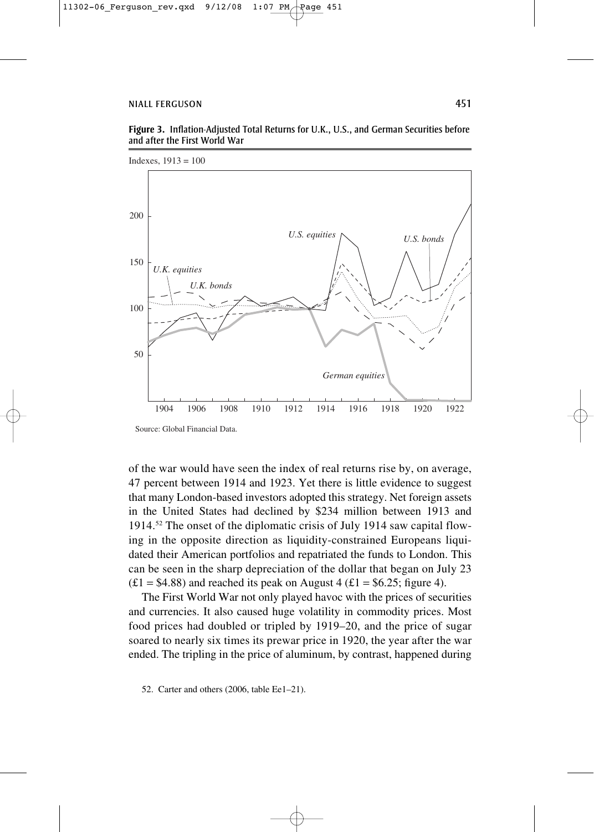#### **Figure 3.** Inflation-Adjusted Total Returns for U.K., U.S., and German Securities before and after the First World War





Source: Global Financial Data.

of the war would have seen the index of real returns rise by, on average, 47 percent between 1914 and 1923. Yet there is little evidence to suggest that many London-based investors adopted this strategy. Net foreign assets in the United States had declined by \$234 million between 1913 and 1914.52 The onset of the diplomatic crisis of July 1914 saw capital flowing in the opposite direction as liquidity-constrained Europeans liquidated their American portfolios and repatriated the funds to London. This can be seen in the sharp depreciation of the dollar that began on July 23  $(f1 = $4.88)$  and reached its peak on August 4  $(f1 = $6.25;$  figure 4).

The First World War not only played havoc with the prices of securities and currencies. It also caused huge volatility in commodity prices. Most food prices had doubled or tripled by 1919–20, and the price of sugar soared to nearly six times its prewar price in 1920, the year after the war ended. The tripling in the price of aluminum, by contrast, happened during

<sup>52.</sup> Carter and others (2006, table Ee1–21).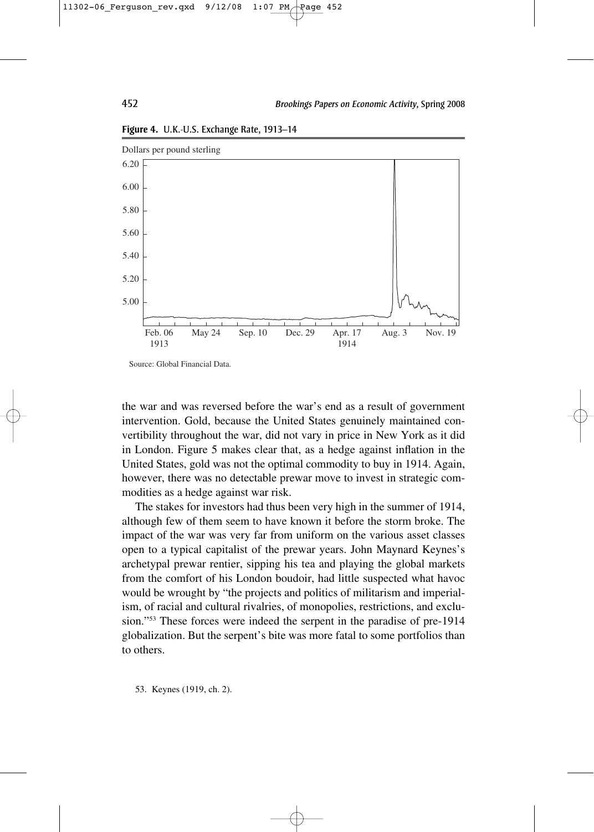

**Figure 4.** U.K.-U.S. Exchange Rate, 1913–14

Source: Global Financial Data.

the war and was reversed before the war's end as a result of government intervention. Gold, because the United States genuinely maintained convertibility throughout the war, did not vary in price in New York as it did in London. Figure 5 makes clear that, as a hedge against inflation in the United States, gold was not the optimal commodity to buy in 1914. Again, however, there was no detectable prewar move to invest in strategic commodities as a hedge against war risk.

The stakes for investors had thus been very high in the summer of 1914, although few of them seem to have known it before the storm broke. The impact of the war was very far from uniform on the various asset classes open to a typical capitalist of the prewar years. John Maynard Keynes's archetypal prewar rentier, sipping his tea and playing the global markets from the comfort of his London boudoir, had little suspected what havoc would be wrought by "the projects and politics of militarism and imperialism, of racial and cultural rivalries, of monopolies, restrictions, and exclusion."53 These forces were indeed the serpent in the paradise of pre-1914 globalization. But the serpent's bite was more fatal to some portfolios than to others.

53. Keynes (1919, ch. 2).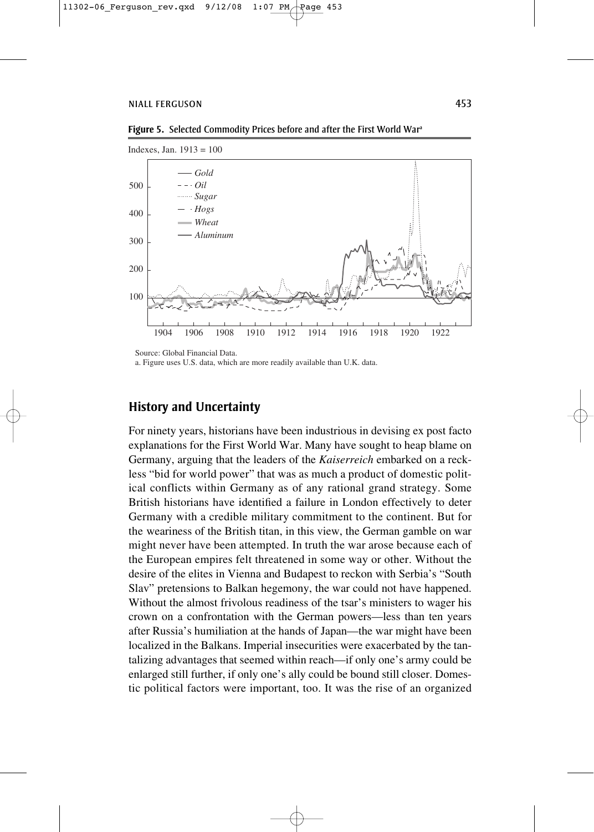

Figure 5. Selected Commodity Prices before and after the First World War<sup>a</sup>

Source: Global Financial Data.

a. Figure uses U.S. data, which are more readily available than U.K. data.

#### **History and Uncertainty**

For ninety years, historians have been industrious in devising ex post facto explanations for the First World War. Many have sought to heap blame on Germany, arguing that the leaders of the *Kaiserreich* embarked on a reckless "bid for world power" that was as much a product of domestic political conflicts within Germany as of any rational grand strategy. Some British historians have identified a failure in London effectively to deter Germany with a credible military commitment to the continent. But for the weariness of the British titan, in this view, the German gamble on war might never have been attempted. In truth the war arose because each of the European empires felt threatened in some way or other. Without the desire of the elites in Vienna and Budapest to reckon with Serbia's "South Slav" pretensions to Balkan hegemony, the war could not have happened. Without the almost frivolous readiness of the tsar's ministers to wager his crown on a confrontation with the German powers—less than ten years after Russia's humiliation at the hands of Japan—the war might have been localized in the Balkans. Imperial insecurities were exacerbated by the tantalizing advantages that seemed within reach—if only one's army could be enlarged still further, if only one's ally could be bound still closer. Domestic political factors were important, too. It was the rise of an organized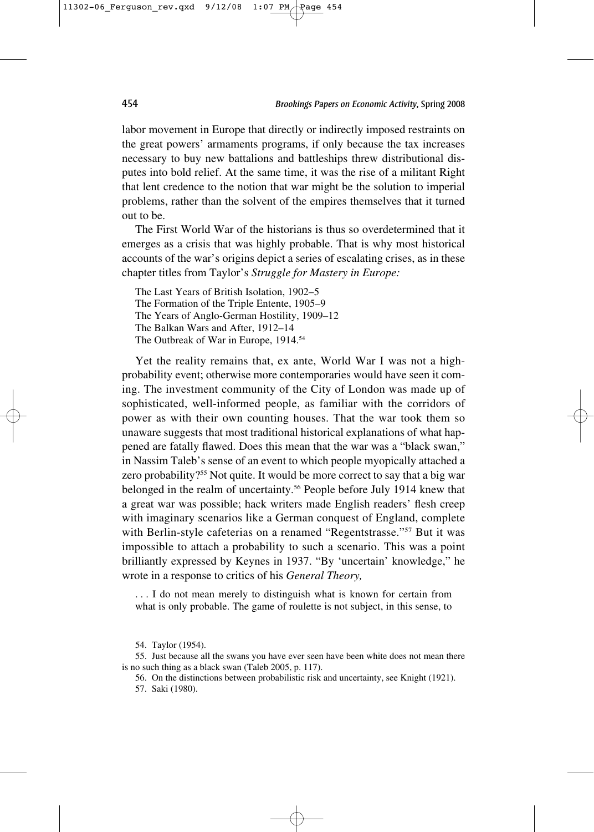labor movement in Europe that directly or indirectly imposed restraints on the great powers' armaments programs, if only because the tax increases necessary to buy new battalions and battleships threw distributional disputes into bold relief. At the same time, it was the rise of a militant Right that lent credence to the notion that war might be the solution to imperial problems, rather than the solvent of the empires themselves that it turned out to be.

The First World War of the historians is thus so overdetermined that it emerges as a crisis that was highly probable. That is why most historical accounts of the war's origins depict a series of escalating crises, as in these chapter titles from Taylor's *Struggle for Mastery in Europe:*

The Last Years of British Isolation, 1902–5 The Formation of the Triple Entente, 1905–9 The Years of Anglo-German Hostility, 1909–12 The Balkan Wars and After, 1912–14 The Outbreak of War in Europe, 1914.<sup>54</sup>

Yet the reality remains that, ex ante, World War I was not a highprobability event; otherwise more contemporaries would have seen it coming. The investment community of the City of London was made up of sophisticated, well-informed people, as familiar with the corridors of power as with their own counting houses. That the war took them so unaware suggests that most traditional historical explanations of what happened are fatally flawed. Does this mean that the war was a "black swan," in Nassim Taleb's sense of an event to which people myopically attached a zero probability?<sup>55</sup> Not quite. It would be more correct to say that a big war belonged in the realm of uncertainty.56 People before July 1914 knew that a great war was possible; hack writers made English readers' flesh creep with imaginary scenarios like a German conquest of England, complete with Berlin-style cafeterias on a renamed "Regentstrasse."<sup>57</sup> But it was impossible to attach a probability to such a scenario. This was a point brilliantly expressed by Keynes in 1937. "By 'uncertain' knowledge," he wrote in a response to critics of his *General Theory,*

. . . I do not mean merely to distinguish what is known for certain from what is only probable. The game of roulette is not subject, in this sense, to

54. Taylor (1954).

55. Just because all the swans you have ever seen have been white does not mean there is no such thing as a black swan (Taleb 2005, p. 117).

56. On the distinctions between probabilistic risk and uncertainty, see Knight (1921).

57. Saki (1980).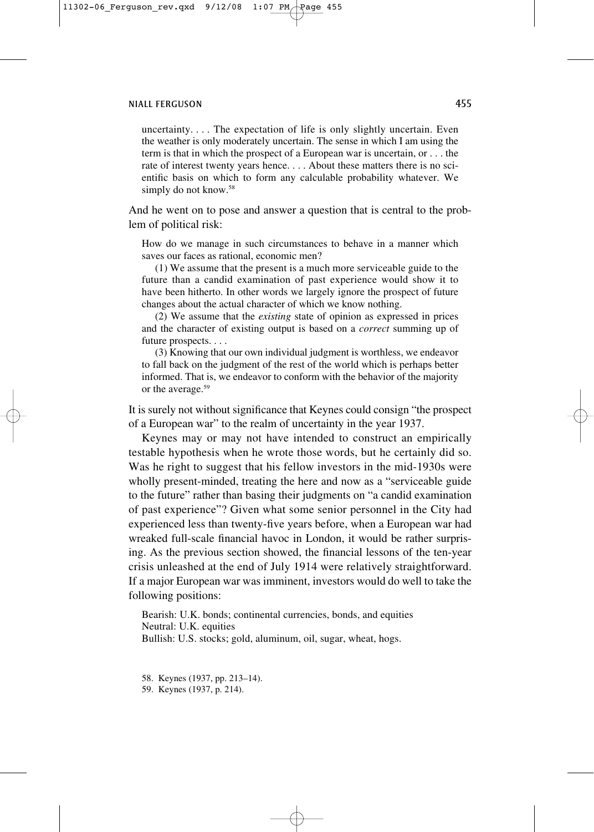uncertainty.... The expectation of life is only slightly uncertain. Even the weather is only moderately uncertain. The sense in which I am using the term is that in which the prospect of a European war is uncertain, or . . . the rate of interest twenty years hence. . . . About these matters there is no scientific basis on which to form any calculable probability whatever. We simply do not know.<sup>58</sup>

And he went on to pose and answer a question that is central to the problem of political risk:

How do we manage in such circumstances to behave in a manner which saves our faces as rational, economic men?

(1) We assume that the present is a much more serviceable guide to the future than a candid examination of past experience would show it to have been hitherto. In other words we largely ignore the prospect of future changes about the actual character of which we know nothing.

(2) We assume that the *existing* state of opinion as expressed in prices and the character of existing output is based on a *correct* summing up of future prospects....

(3) Knowing that our own individual judgment is worthless, we endeavor to fall back on the judgment of the rest of the world which is perhaps better informed. That is, we endeavor to conform with the behavior of the majority or the average.<sup>59</sup>

It is surely not without significance that Keynes could consign "the prospect of a European war" to the realm of uncertainty in the year 1937.

Keynes may or may not have intended to construct an empirically testable hypothesis when he wrote those words, but he certainly did so. Was he right to suggest that his fellow investors in the mid-1930s were wholly present-minded, treating the here and now as a "serviceable guide to the future" rather than basing their judgments on "a candid examination of past experience"? Given what some senior personnel in the City had experienced less than twenty-five years before, when a European war had wreaked full-scale financial havoc in London, it would be rather surprising. As the previous section showed, the financial lessons of the ten-year crisis unleashed at the end of July 1914 were relatively straightforward. If a major European war was imminent, investors would do well to take the following positions:

Bearish: U.K. bonds; continental currencies, bonds, and equities Neutral: U.K. equities Bullish: U.S. stocks; gold, aluminum, oil, sugar, wheat, hogs.

- 58. Keynes (1937, pp. 213–14).
- 59. Keynes (1937, p. 214).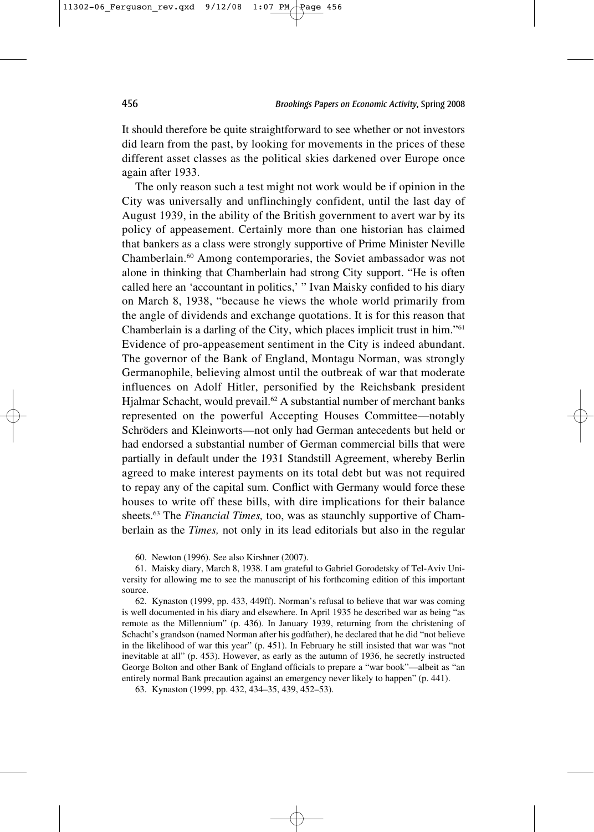It should therefore be quite straightforward to see whether or not investors did learn from the past, by looking for movements in the prices of these different asset classes as the political skies darkened over Europe once again after 1933.

The only reason such a test might not work would be if opinion in the City was universally and unflinchingly confident, until the last day of August 1939, in the ability of the British government to avert war by its policy of appeasement. Certainly more than one historian has claimed that bankers as a class were strongly supportive of Prime Minister Neville Chamberlain.60 Among contemporaries, the Soviet ambassador was not alone in thinking that Chamberlain had strong City support. "He is often called here an 'accountant in politics,' " Ivan Maisky confided to his diary on March 8, 1938, "because he views the whole world primarily from the angle of dividends and exchange quotations. It is for this reason that Chamberlain is a darling of the City, which places implicit trust in him."61 Evidence of pro-appeasement sentiment in the City is indeed abundant. The governor of the Bank of England, Montagu Norman, was strongly Germanophile, believing almost until the outbreak of war that moderate influences on Adolf Hitler, personified by the Reichsbank president Hjalmar Schacht, would prevail.<sup>62</sup> A substantial number of merchant banks represented on the powerful Accepting Houses Committee—notably Schröders and Kleinworts—not only had German antecedents but held or had endorsed a substantial number of German commercial bills that were partially in default under the 1931 Standstill Agreement, whereby Berlin agreed to make interest payments on its total debt but was not required to repay any of the capital sum. Conflict with Germany would force these houses to write off these bills, with dire implications for their balance sheets.<sup>63</sup> The *Financial Times*, too, was as staunchly supportive of Chamberlain as the *Times,* not only in its lead editorials but also in the regular

60. Newton (1996). See also Kirshner (2007).

61. Maisky diary, March 8, 1938. I am grateful to Gabriel Gorodetsky of Tel-Aviv University for allowing me to see the manuscript of his forthcoming edition of this important source.

62. Kynaston (1999, pp. 433, 449ff). Norman's refusal to believe that war was coming is well documented in his diary and elsewhere. In April 1935 he described war as being "as remote as the Millennium" (p. 436). In January 1939, returning from the christening of Schacht's grandson (named Norman after his godfather), he declared that he did "not believe in the likelihood of war this year" (p. 451). In February he still insisted that war was "not inevitable at all" (p. 453). However, as early as the autumn of 1936, he secretly instructed George Bolton and other Bank of England officials to prepare a "war book"—albeit as "an entirely normal Bank precaution against an emergency never likely to happen" (p. 441).

63. Kynaston (1999, pp. 432, 434–35, 439, 452–53).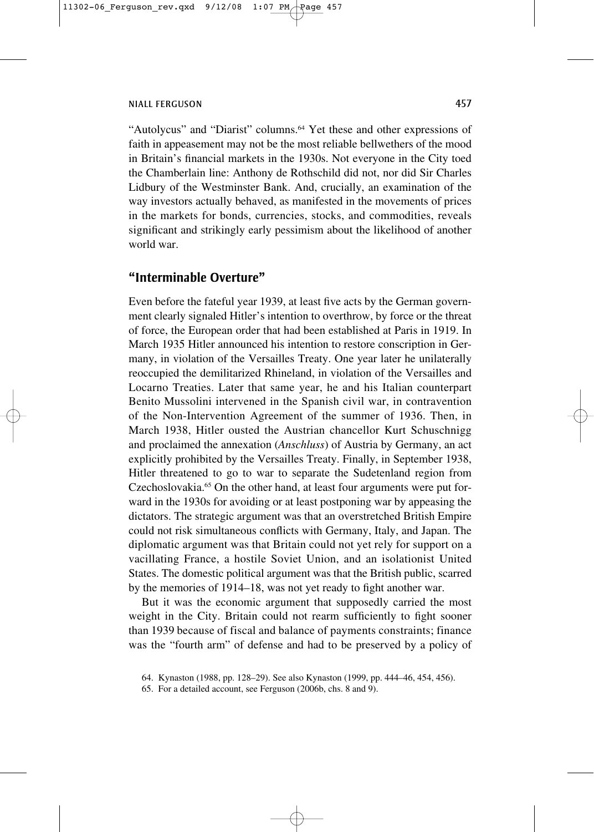"Autolycus" and "Diarist" columns.<sup>64</sup> Yet these and other expressions of faith in appeasement may not be the most reliable bellwethers of the mood in Britain's financial markets in the 1930s. Not everyone in the City toed the Chamberlain line: Anthony de Rothschild did not, nor did Sir Charles Lidbury of the Westminster Bank. And, crucially, an examination of the way investors actually behaved, as manifested in the movements of prices in the markets for bonds, currencies, stocks, and commodities, reveals significant and strikingly early pessimism about the likelihood of another world war.

## **"Interminable Overture"**

Even before the fateful year 1939, at least five acts by the German government clearly signaled Hitler's intention to overthrow, by force or the threat of force, the European order that had been established at Paris in 1919. In March 1935 Hitler announced his intention to restore conscription in Germany, in violation of the Versailles Treaty. One year later he unilaterally reoccupied the demilitarized Rhineland, in violation of the Versailles and Locarno Treaties. Later that same year, he and his Italian counterpart Benito Mussolini intervened in the Spanish civil war, in contravention of the Non-Intervention Agreement of the summer of 1936. Then, in March 1938, Hitler ousted the Austrian chancellor Kurt Schuschnigg and proclaimed the annexation (*Anschluss*) of Austria by Germany, an act explicitly prohibited by the Versailles Treaty. Finally, in September 1938, Hitler threatened to go to war to separate the Sudetenland region from Czechoslovakia.<sup>65</sup> On the other hand, at least four arguments were put forward in the 1930s for avoiding or at least postponing war by appeasing the dictators. The strategic argument was that an overstretched British Empire could not risk simultaneous conflicts with Germany, Italy, and Japan. The diplomatic argument was that Britain could not yet rely for support on a vacillating France, a hostile Soviet Union, and an isolationist United States. The domestic political argument was that the British public, scarred by the memories of 1914–18, was not yet ready to fight another war.

But it was the economic argument that supposedly carried the most weight in the City. Britain could not rearm sufficiently to fight sooner than 1939 because of fiscal and balance of payments constraints; finance was the "fourth arm" of defense and had to be preserved by a policy of

<sup>64.</sup> Kynaston (1988, pp. 128–29). See also Kynaston (1999, pp. 444–46, 454, 456).

<sup>65.</sup> For a detailed account, see Ferguson (2006b, chs. 8 and 9).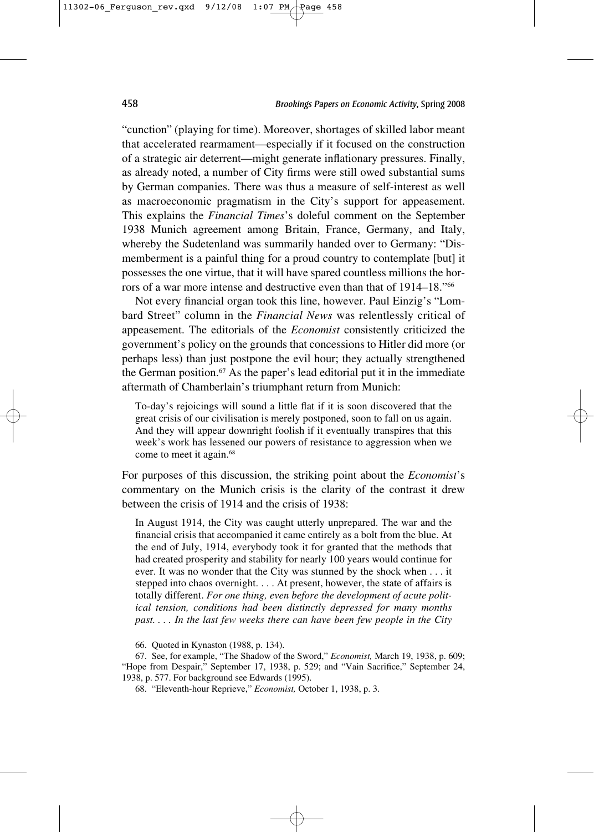"cunction" (playing for time). Moreover, shortages of skilled labor meant that accelerated rearmament—especially if it focused on the construction of a strategic air deterrent—might generate inflationary pressures. Finally, as already noted, a number of City firms were still owed substantial sums by German companies. There was thus a measure of self-interest as well as macroeconomic pragmatism in the City's support for appeasement. This explains the *Financial Times*'s doleful comment on the September 1938 Munich agreement among Britain, France, Germany, and Italy, whereby the Sudetenland was summarily handed over to Germany: "Dismemberment is a painful thing for a proud country to contemplate [but] it possesses the one virtue, that it will have spared countless millions the horrors of a war more intense and destructive even than that of 1914–18."66

Not every financial organ took this line, however. Paul Einzig's "Lombard Street" column in the *Financial News* was relentlessly critical of appeasement. The editorials of the *Economist* consistently criticized the government's policy on the grounds that concessions to Hitler did more (or perhaps less) than just postpone the evil hour; they actually strengthened the German position.<sup>67</sup> As the paper's lead editorial put it in the immediate aftermath of Chamberlain's triumphant return from Munich:

To-day's rejoicings will sound a little flat if it is soon discovered that the great crisis of our civilisation is merely postponed, soon to fall on us again. And they will appear downright foolish if it eventually transpires that this week's work has lessened our powers of resistance to aggression when we come to meet it again.<sup>68</sup>

For purposes of this discussion, the striking point about the *Economist*'s commentary on the Munich crisis is the clarity of the contrast it drew between the crisis of 1914 and the crisis of 1938:

In August 1914, the City was caught utterly unprepared. The war and the financial crisis that accompanied it came entirely as a bolt from the blue. At the end of July, 1914, everybody took it for granted that the methods that had created prosperity and stability for nearly 100 years would continue for ever. It was no wonder that the City was stunned by the shock when . . . it stepped into chaos overnight. . . . At present, however, the state of affairs is totally different. *For one thing, even before the development of acute political tension, conditions had been distinctly depressed for many months past. . . . In the last few weeks there can have been few people in the City*

67. See, for example, "The Shadow of the Sword," *Economist,* March 19, 1938, p. 609; "Hope from Despair," September 17, 1938, p. 529; and "Vain Sacrifice," September 24, 1938, p. 577. For background see Edwards (1995).

68. "Eleventh-hour Reprieve," *Economist,* October 1, 1938, p. 3.

<sup>66.</sup> Quoted in Kynaston (1988, p. 134).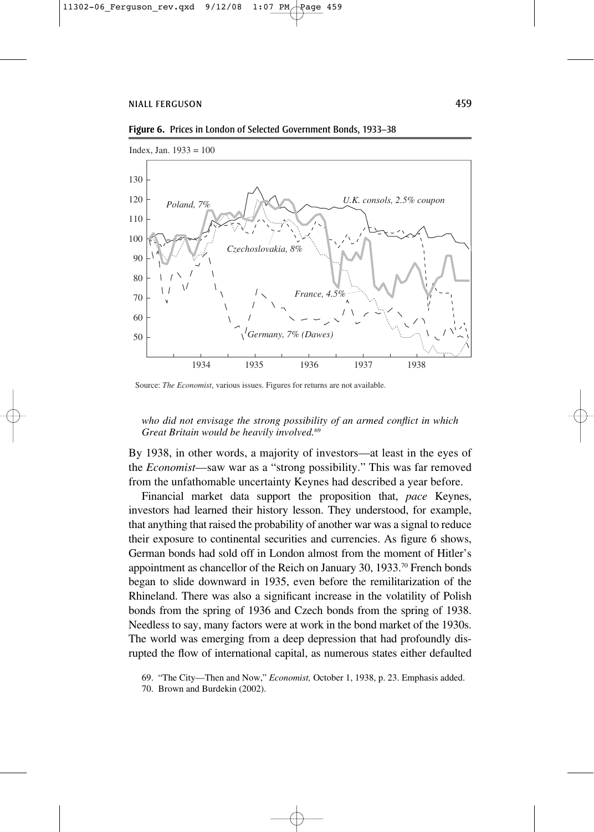

**Figure 6.** Prices in London of Selected Government Bonds, 1933–38

Source: *The Economist*, various issues. Figures for returns are not available.

*who did not envisage the strong possibility of an armed conflict in which Great Britain would be heavily involved.*<sup>69</sup>

By 1938, in other words, a majority of investors—at least in the eyes of the *Economist*—saw war as a "strong possibility." This was far removed from the unfathomable uncertainty Keynes had described a year before.

Financial market data support the proposition that, *pace* Keynes, investors had learned their history lesson. They understood, for example, that anything that raised the probability of another war was a signal to reduce their exposure to continental securities and currencies. As figure 6 shows, German bonds had sold off in London almost from the moment of Hitler's appointment as chancellor of the Reich on January 30, 1933.<sup>70</sup> French bonds began to slide downward in 1935, even before the remilitarization of the Rhineland. There was also a significant increase in the volatility of Polish bonds from the spring of 1936 and Czech bonds from the spring of 1938. Needless to say, many factors were at work in the bond market of the 1930s. The world was emerging from a deep depression that had profoundly disrupted the flow of international capital, as numerous states either defaulted

<sup>69. &</sup>quot;The City—Then and Now," *Economist,* October 1, 1938, p. 23. Emphasis added.

<sup>70.</sup> Brown and Burdekin (2002).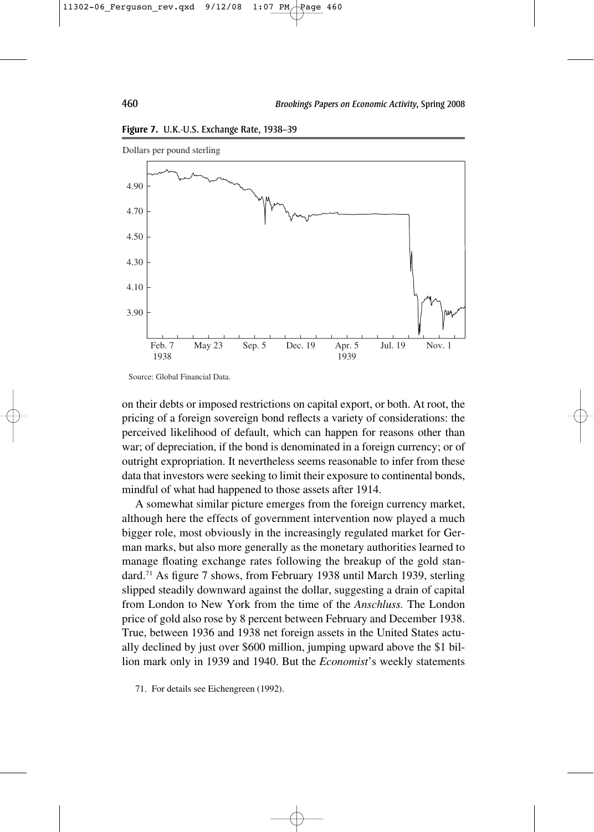

**Figure 7.** U.K.-U.S. Exchange Rate, 1938–39

Source: Global Financial Data.

on their debts or imposed restrictions on capital export, or both. At root, the pricing of a foreign sovereign bond reflects a variety of considerations: the perceived likelihood of default, which can happen for reasons other than war; of depreciation, if the bond is denominated in a foreign currency; or of outright expropriation. It nevertheless seems reasonable to infer from these data that investors were seeking to limit their exposure to continental bonds, mindful of what had happened to those assets after 1914.

A somewhat similar picture emerges from the foreign currency market, although here the effects of government intervention now played a much bigger role, most obviously in the increasingly regulated market for German marks, but also more generally as the monetary authorities learned to manage floating exchange rates following the breakup of the gold standard.71 As figure 7 shows, from February 1938 until March 1939, sterling slipped steadily downward against the dollar, suggesting a drain of capital from London to New York from the time of the *Anschluss.* The London price of gold also rose by 8 percent between February and December 1938. True, between 1936 and 1938 net foreign assets in the United States actually declined by just over \$600 million, jumping upward above the \$1 billion mark only in 1939 and 1940. But the *Economist*'s weekly statements

<sup>71.</sup> For details see Eichengreen (1992).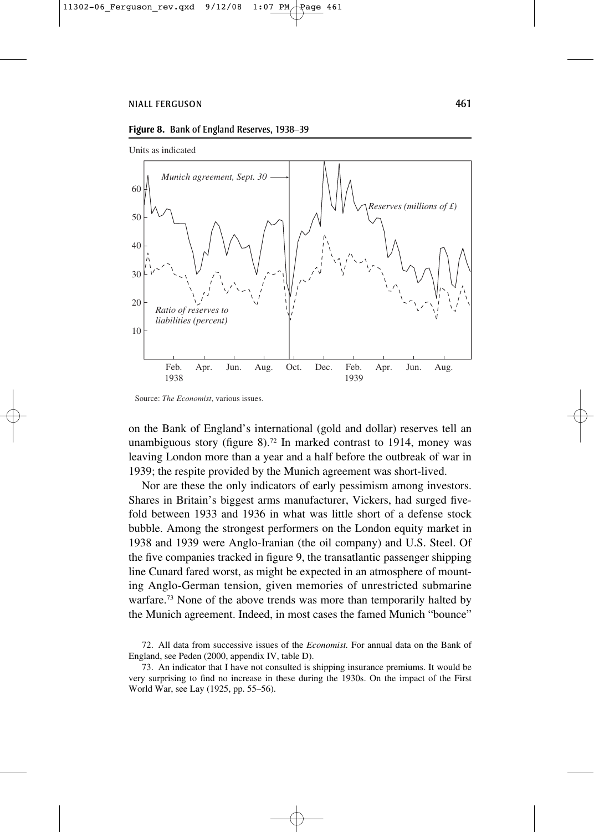





Source: *The Economist*, various issues.

on the Bank of England's international (gold and dollar) reserves tell an unambiguous story (figure 8).<sup>72</sup> In marked contrast to 1914, money was leaving London more than a year and a half before the outbreak of war in 1939; the respite provided by the Munich agreement was short-lived.

Nor are these the only indicators of early pessimism among investors. Shares in Britain's biggest arms manufacturer, Vickers, had surged fivefold between 1933 and 1936 in what was little short of a defense stock bubble. Among the strongest performers on the London equity market in 1938 and 1939 were Anglo-Iranian (the oil company) and U.S. Steel. Of the five companies tracked in figure 9, the transatlantic passenger shipping line Cunard fared worst, as might be expected in an atmosphere of mounting Anglo-German tension, given memories of unrestricted submarine warfare.<sup>73</sup> None of the above trends was more than temporarily halted by the Munich agreement. Indeed, in most cases the famed Munich "bounce"

<sup>72.</sup> All data from successive issues of the *Economist.* For annual data on the Bank of England, see Peden (2000, appendix IV, table D).

<sup>73.</sup> An indicator that I have not consulted is shipping insurance premiums. It would be very surprising to find no increase in these during the 1930s. On the impact of the First World War, see Lay (1925, pp. 55–56).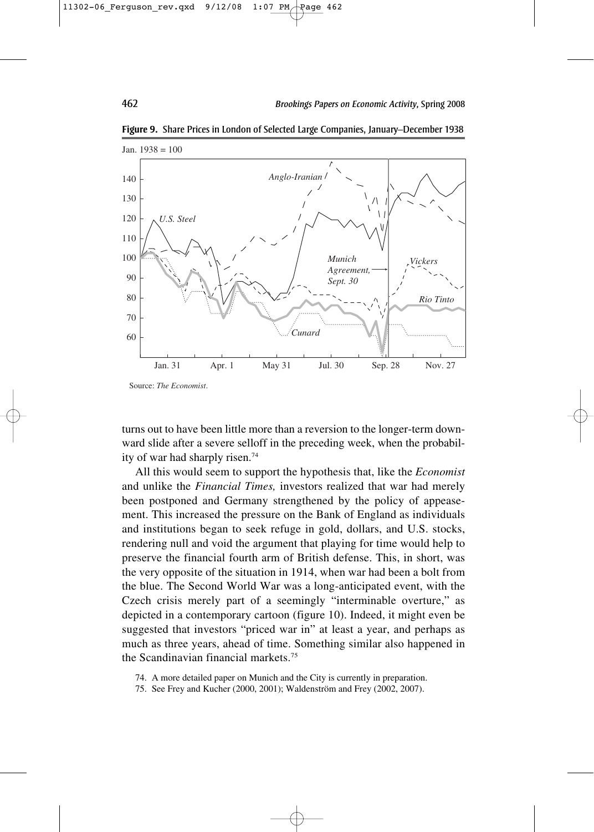

**Figure 9.** Share Prices in London of Selected Large Companies, January–December 1938

turns out to have been little more than a reversion to the longer-term downward slide after a severe selloff in the preceding week, when the probability of war had sharply risen.74

All this would seem to support the hypothesis that, like the *Economist* and unlike the *Financial Times,* investors realized that war had merely been postponed and Germany strengthened by the policy of appeasement. This increased the pressure on the Bank of England as individuals and institutions began to seek refuge in gold, dollars, and U.S. stocks, rendering null and void the argument that playing for time would help to preserve the financial fourth arm of British defense. This, in short, was the very opposite of the situation in 1914, when war had been a bolt from the blue. The Second World War was a long-anticipated event, with the Czech crisis merely part of a seemingly "interminable overture," as depicted in a contemporary cartoon (figure 10). Indeed, it might even be suggested that investors "priced war in" at least a year, and perhaps as much as three years, ahead of time. Something similar also happened in the Scandinavian financial markets.75

- 74. A more detailed paper on Munich and the City is currently in preparation.
- 75. See Frey and Kucher (2000, 2001); Waldenström and Frey (2002, 2007).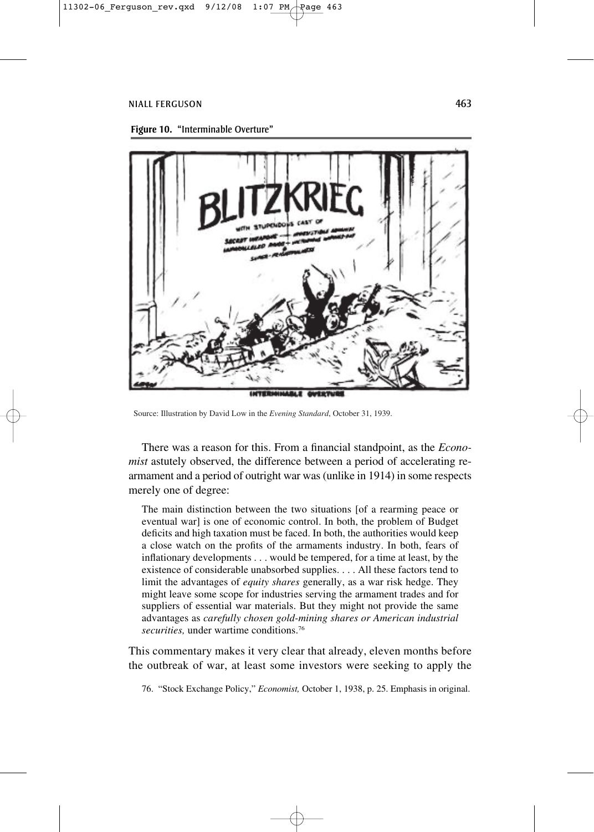



Source: Illustration by David Low in the *Evening Standard*, October 31, 1939.

There was a reason for this. From a financial standpoint, as the *Economist* astutely observed, the difference between a period of accelerating rearmament and a period of outright war was (unlike in 1914) in some respects merely one of degree:

The main distinction between the two situations [of a rearming peace or eventual war] is one of economic control. In both, the problem of Budget deficits and high taxation must be faced. In both, the authorities would keep a close watch on the profits of the armaments industry. In both, fears of inflationary developments . . . would be tempered, for a time at least, by the existence of considerable unabsorbed supplies. . . . All these factors tend to limit the advantages of *equity shares* generally, as a war risk hedge. They might leave some scope for industries serving the armament trades and for suppliers of essential war materials. But they might not provide the same advantages as *carefully chosen gold-mining shares or American industrial securities,* under wartime conditions.76

This commentary makes it very clear that already, eleven months before the outbreak of war, at least some investors were seeking to apply the

76. "Stock Exchange Policy," *Economist,* October 1, 1938, p. 25. Emphasis in original.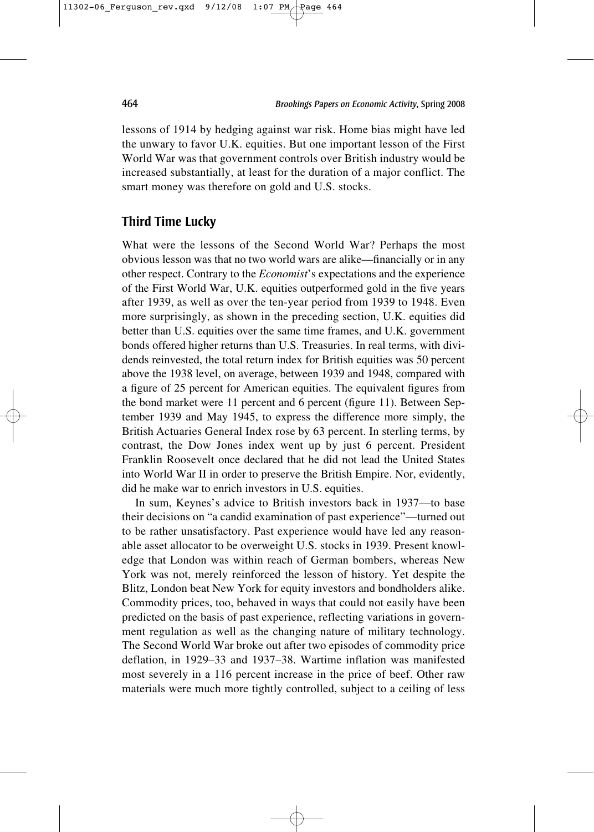lessons of 1914 by hedging against war risk. Home bias might have led the unwary to favor U.K. equities. But one important lesson of the First World War was that government controls over British industry would be increased substantially, at least for the duration of a major conflict. The smart money was therefore on gold and U.S. stocks.

# **Third Time Lucky**

What were the lessons of the Second World War? Perhaps the most obvious lesson was that no two world wars are alike—financially or in any other respect. Contrary to the *Economist*'s expectations and the experience of the First World War, U.K. equities outperformed gold in the five years after 1939, as well as over the ten-year period from 1939 to 1948. Even more surprisingly, as shown in the preceding section, U.K. equities did better than U.S. equities over the same time frames, and U.K. government bonds offered higher returns than U.S. Treasuries. In real terms, with dividends reinvested, the total return index for British equities was 50 percent above the 1938 level, on average, between 1939 and 1948, compared with a figure of 25 percent for American equities. The equivalent figures from the bond market were 11 percent and 6 percent (figure 11). Between September 1939 and May 1945, to express the difference more simply, the British Actuaries General Index rose by 63 percent. In sterling terms, by contrast, the Dow Jones index went up by just 6 percent. President Franklin Roosevelt once declared that he did not lead the United States into World War II in order to preserve the British Empire. Nor, evidently, did he make war to enrich investors in U.S. equities.

In sum, Keynes's advice to British investors back in 1937—to base their decisions on "a candid examination of past experience"—turned out to be rather unsatisfactory. Past experience would have led any reasonable asset allocator to be overweight U.S. stocks in 1939. Present knowledge that London was within reach of German bombers, whereas New York was not, merely reinforced the lesson of history. Yet despite the Blitz, London beat New York for equity investors and bondholders alike. Commodity prices, too, behaved in ways that could not easily have been predicted on the basis of past experience, reflecting variations in government regulation as well as the changing nature of military technology. The Second World War broke out after two episodes of commodity price deflation, in 1929–33 and 1937–38. Wartime inflation was manifested most severely in a 116 percent increase in the price of beef. Other raw materials were much more tightly controlled, subject to a ceiling of less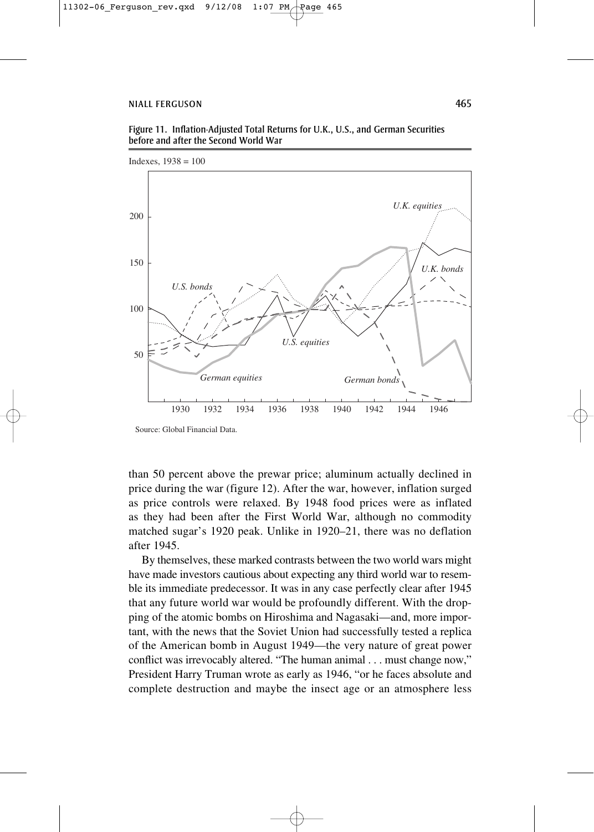before and after the Second World War



Figure 11. Inflation-Adjusted Total Returns for U.K., U.S., and German Securities

than 50 percent above the prewar price; aluminum actually declined in price during the war (figure 12). After the war, however, inflation surged as price controls were relaxed. By 1948 food prices were as inflated as they had been after the First World War, although no commodity matched sugar's 1920 peak. Unlike in 1920–21, there was no deflation after 1945.

By themselves, these marked contrasts between the two world wars might have made investors cautious about expecting any third world war to resemble its immediate predecessor. It was in any case perfectly clear after 1945 that any future world war would be profoundly different. With the dropping of the atomic bombs on Hiroshima and Nagasaki—and, more important, with the news that the Soviet Union had successfully tested a replica of the American bomb in August 1949—the very nature of great power conflict was irrevocably altered. "The human animal . . . must change now," President Harry Truman wrote as early as 1946, "or he faces absolute and complete destruction and maybe the insect age or an atmosphere less

Source: Global Financial Data.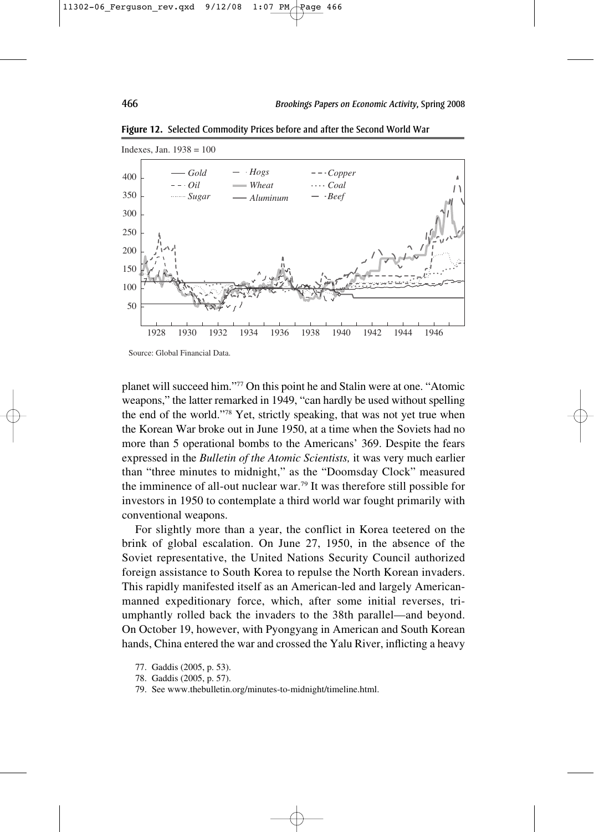Indexes, Jan.  $1938 = 100$ 1928 1930 1932 1934 1936 1938 1940 1942 1944 1946 100 150 50 200 250 300 400 350 *Gold Aluminum Oil Sugar Hogs Wheat Copper Coal Beef*

**Figure 12.** Selected Commodity Prices before and after the Second World War

Source: Global Financial Data.

planet will succeed him."77 On this point he and Stalin were at one. "Atomic weapons," the latter remarked in 1949, "can hardly be used without spelling the end of the world."78 Yet, strictly speaking, that was not yet true when the Korean War broke out in June 1950, at a time when the Soviets had no more than 5 operational bombs to the Americans' 369. Despite the fears expressed in the *Bulletin of the Atomic Scientists,* it was very much earlier than "three minutes to midnight," as the "Doomsday Clock" measured the imminence of all-out nuclear war.79 It was therefore still possible for investors in 1950 to contemplate a third world war fought primarily with conventional weapons.

For slightly more than a year, the conflict in Korea teetered on the brink of global escalation. On June 27, 1950, in the absence of the Soviet representative, the United Nations Security Council authorized foreign assistance to South Korea to repulse the North Korean invaders. This rapidly manifested itself as an American-led and largely Americanmanned expeditionary force, which, after some initial reverses, triumphantly rolled back the invaders to the 38th parallel—and beyond. On October 19, however, with Pyongyang in American and South Korean hands, China entered the war and crossed the Yalu River, inflicting a heavy

79. See www.thebulletin.org/minutes-to-midnight/timeline.html.

<sup>77.</sup> Gaddis (2005, p. 53).

<sup>78.</sup> Gaddis (2005, p. 57).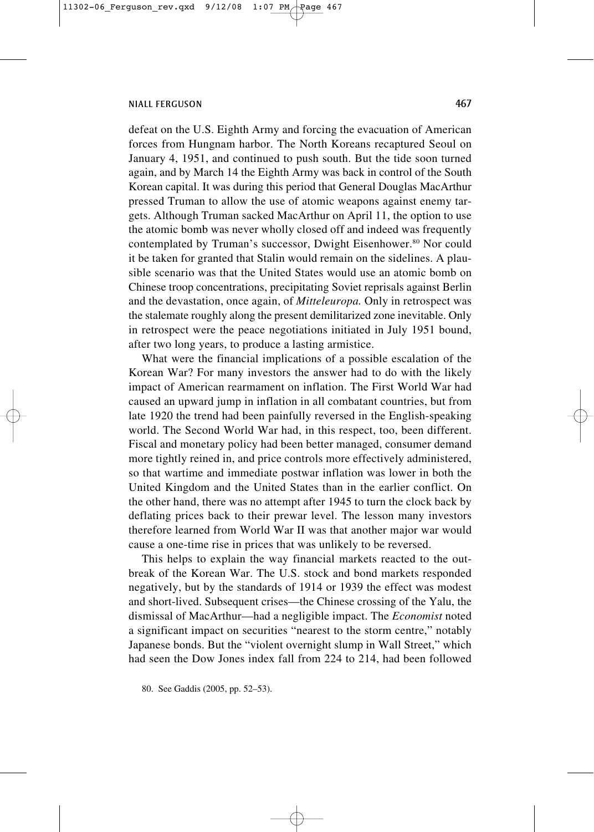defeat on the U.S. Eighth Army and forcing the evacuation of American forces from Hungnam harbor. The North Koreans recaptured Seoul on January 4, 1951, and continued to push south. But the tide soon turned again, and by March 14 the Eighth Army was back in control of the South Korean capital. It was during this period that General Douglas MacArthur pressed Truman to allow the use of atomic weapons against enemy targets. Although Truman sacked MacArthur on April 11, the option to use the atomic bomb was never wholly closed off and indeed was frequently contemplated by Truman's successor, Dwight Eisenhower.<sup>80</sup> Nor could it be taken for granted that Stalin would remain on the sidelines. A plausible scenario was that the United States would use an atomic bomb on Chinese troop concentrations, precipitating Soviet reprisals against Berlin and the devastation, once again, of *Mitteleuropa.* Only in retrospect was the stalemate roughly along the present demilitarized zone inevitable. Only in retrospect were the peace negotiations initiated in July 1951 bound, after two long years, to produce a lasting armistice.

What were the financial implications of a possible escalation of the Korean War? For many investors the answer had to do with the likely impact of American rearmament on inflation. The First World War had caused an upward jump in inflation in all combatant countries, but from late 1920 the trend had been painfully reversed in the English-speaking world. The Second World War had, in this respect, too, been different. Fiscal and monetary policy had been better managed, consumer demand more tightly reined in, and price controls more effectively administered, so that wartime and immediate postwar inflation was lower in both the United Kingdom and the United States than in the earlier conflict. On the other hand, there was no attempt after 1945 to turn the clock back by deflating prices back to their prewar level. The lesson many investors therefore learned from World War II was that another major war would cause a one-time rise in prices that was unlikely to be reversed.

This helps to explain the way financial markets reacted to the outbreak of the Korean War. The U.S. stock and bond markets responded negatively, but by the standards of 1914 or 1939 the effect was modest and short-lived. Subsequent crises—the Chinese crossing of the Yalu, the dismissal of MacArthur—had a negligible impact. The *Economist* noted a significant impact on securities "nearest to the storm centre," notably Japanese bonds. But the "violent overnight slump in Wall Street," which had seen the Dow Jones index fall from 224 to 214, had been followed

<sup>80.</sup> See Gaddis (2005, pp. 52–53).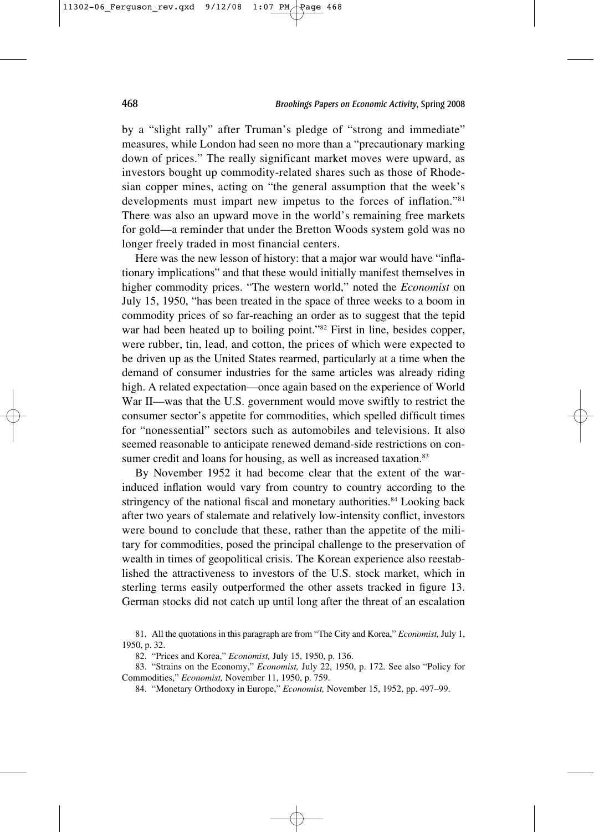by a "slight rally" after Truman's pledge of "strong and immediate" measures, while London had seen no more than a "precautionary marking down of prices." The really significant market moves were upward, as investors bought up commodity-related shares such as those of Rhodesian copper mines, acting on "the general assumption that the week's developments must impart new impetus to the forces of inflation."81 There was also an upward move in the world's remaining free markets for gold—a reminder that under the Bretton Woods system gold was no longer freely traded in most financial centers.

Here was the new lesson of history: that a major war would have "inflationary implications" and that these would initially manifest themselves in higher commodity prices. "The western world," noted the *Economist* on July 15, 1950, "has been treated in the space of three weeks to a boom in commodity prices of so far-reaching an order as to suggest that the tepid war had been heated up to boiling point."<sup>82</sup> First in line, besides copper, were rubber, tin, lead, and cotton, the prices of which were expected to be driven up as the United States rearmed, particularly at a time when the demand of consumer industries for the same articles was already riding high. A related expectation—once again based on the experience of World War II—was that the U.S. government would move swiftly to restrict the consumer sector's appetite for commodities, which spelled difficult times for "nonessential" sectors such as automobiles and televisions. It also seemed reasonable to anticipate renewed demand-side restrictions on consumer credit and loans for housing, as well as increased taxation.<sup>83</sup>

By November 1952 it had become clear that the extent of the warinduced inflation would vary from country to country according to the stringency of the national fiscal and monetary authorities.<sup>84</sup> Looking back after two years of stalemate and relatively low-intensity conflict, investors were bound to conclude that these, rather than the appetite of the military for commodities, posed the principal challenge to the preservation of wealth in times of geopolitical crisis. The Korean experience also reestablished the attractiveness to investors of the U.S. stock market, which in sterling terms easily outperformed the other assets tracked in figure 13. German stocks did not catch up until long after the threat of an escalation

82. "Prices and Korea," *Economist,* July 15, 1950, p. 136.

83. "Strains on the Economy," *Economist,* July 22, 1950, p. 172. See also "Policy for Commodities," *Economist,* November 11, 1950, p. 759.

84. "Monetary Orthodoxy in Europe," *Economist,* November 15, 1952, pp. 497–99.

<sup>81.</sup> All the quotations in this paragraph are from "The City and Korea," *Economist,* July 1, 1950, p. 32.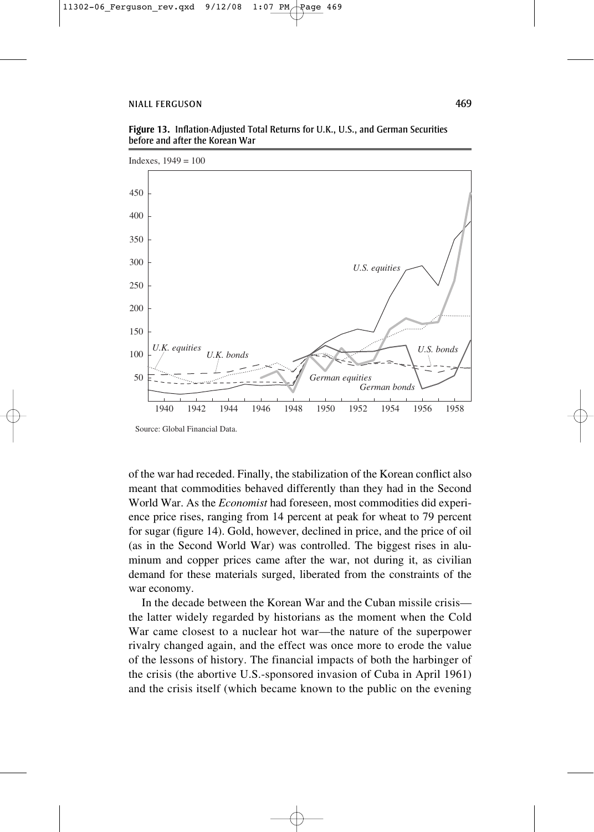

**Figure 13.** Inflation-Adjusted Total Returns for U.K., U.S., and German Securities before and after the Korean War

Source: Global Financial Data.

of the war had receded. Finally, the stabilization of the Korean conflict also meant that commodities behaved differently than they had in the Second World War. As the *Economist* had foreseen, most commodities did experience price rises, ranging from 14 percent at peak for wheat to 79 percent for sugar (figure 14). Gold, however, declined in price, and the price of oil (as in the Second World War) was controlled. The biggest rises in aluminum and copper prices came after the war, not during it, as civilian demand for these materials surged, liberated from the constraints of the war economy.

In the decade between the Korean War and the Cuban missile crisis the latter widely regarded by historians as the moment when the Cold War came closest to a nuclear hot war—the nature of the superpower rivalry changed again, and the effect was once more to erode the value of the lessons of history. The financial impacts of both the harbinger of the crisis (the abortive U.S.-sponsored invasion of Cuba in April 1961) and the crisis itself (which became known to the public on the evening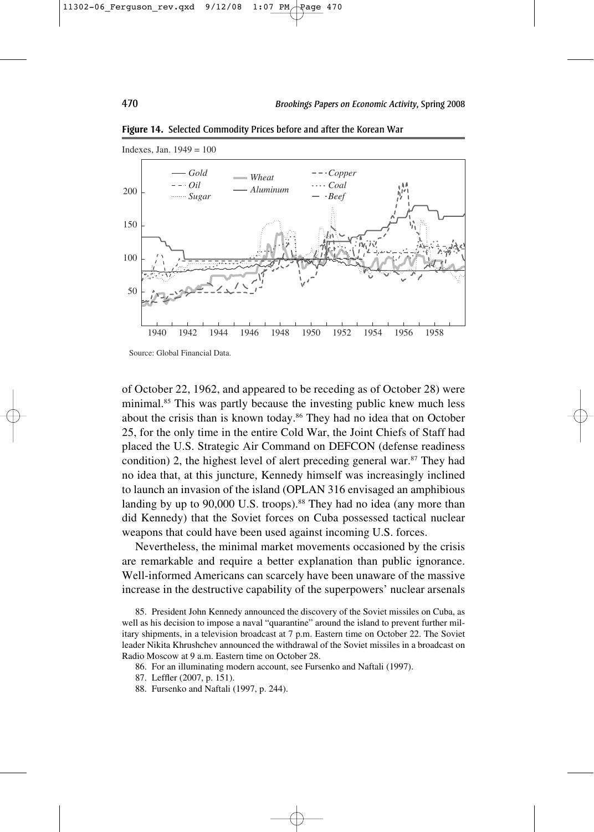

**Figure 14.** Selected Commodity Prices before and after the Korean War

Source: Global Financial Data.

of October 22, 1962, and appeared to be receding as of October 28) were minimal.<sup>85</sup> This was partly because the investing public knew much less about the crisis than is known today.<sup>86</sup> They had no idea that on October 25, for the only time in the entire Cold War, the Joint Chiefs of Staff had placed the U.S. Strategic Air Command on DEFCON (defense readiness condition) 2, the highest level of alert preceding general war. $87$  They had no idea that, at this juncture, Kennedy himself was increasingly inclined to launch an invasion of the island (OPLAN 316 envisaged an amphibious landing by up to 90,000 U.S. troops).<sup>88</sup> They had no idea (any more than did Kennedy) that the Soviet forces on Cuba possessed tactical nuclear weapons that could have been used against incoming U.S. forces.

Nevertheless, the minimal market movements occasioned by the crisis are remarkable and require a better explanation than public ignorance. Well-informed Americans can scarcely have been unaware of the massive increase in the destructive capability of the superpowers' nuclear arsenals

85. President John Kennedy announced the discovery of the Soviet missiles on Cuba, as well as his decision to impose a naval "quarantine" around the island to prevent further military shipments, in a television broadcast at 7 p.m. Eastern time on October 22. The Soviet leader Nikita Khrushchev announced the withdrawal of the Soviet missiles in a broadcast on Radio Moscow at 9 a.m. Eastern time on October 28.

86. For an illuminating modern account, see Fursenko and Naftali (1997).

87. Leffler (2007, p. 151).

88. Fursenko and Naftali (1997, p. 244).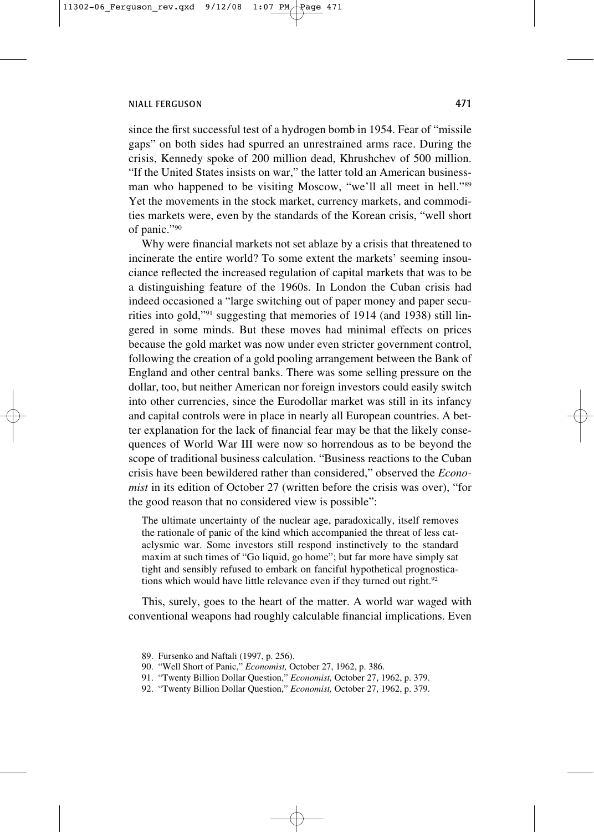since the first successful test of a hydrogen bomb in 1954. Fear of "missile gaps" on both sides had spurred an unrestrained arms race. During the crisis, Kennedy spoke of 200 million dead, Khrushchev of 500 million. "If the United States insists on war," the latter told an American businessman who happened to be visiting Moscow, "we'll all meet in hell."89 Yet the movements in the stock market, currency markets, and commodities markets were, even by the standards of the Korean crisis, "well short of panic."90

Why were financial markets not set ablaze by a crisis that threatened to incinerate the entire world? To some extent the markets' seeming insouciance reflected the increased regulation of capital markets that was to be a distinguishing feature of the 1960s. In London the Cuban crisis had indeed occasioned a "large switching out of paper money and paper securities into gold,"91 suggesting that memories of 1914 (and 1938) still lingered in some minds. But these moves had minimal effects on prices because the gold market was now under even stricter government control, following the creation of a gold pooling arrangement between the Bank of England and other central banks. There was some selling pressure on the dollar, too, but neither American nor foreign investors could easily switch into other currencies, since the Eurodollar market was still in its infancy and capital controls were in place in nearly all European countries. A better explanation for the lack of financial fear may be that the likely consequences of World War III were now so horrendous as to be beyond the scope of traditional business calculation. "Business reactions to the Cuban crisis have been bewildered rather than considered," observed the *Economist* in its edition of October 27 (written before the crisis was over), "for the good reason that no considered view is possible":

The ultimate uncertainty of the nuclear age, paradoxically, itself removes the rationale of panic of the kind which accompanied the threat of less cataclysmic war. Some investors still respond instinctively to the standard maxim at such times of "Go liquid, go home"; but far more have simply sat tight and sensibly refused to embark on fanciful hypothetical prognostications which would have little relevance even if they turned out right.<sup>92</sup>

This, surely, goes to the heart of the matter. A world war waged with conventional weapons had roughly calculable financial implications. Even

92. "Twenty Billion Dollar Question," *Economist,* October 27, 1962, p. 379.

<sup>89.</sup> Fursenko and Naftali (1997, p. 256).

<sup>90. &</sup>quot;Well Short of Panic," *Economist,* October 27, 1962, p. 386.

<sup>91. &</sup>quot;Twenty Billion Dollar Question," *Economist,* October 27, 1962, p. 379.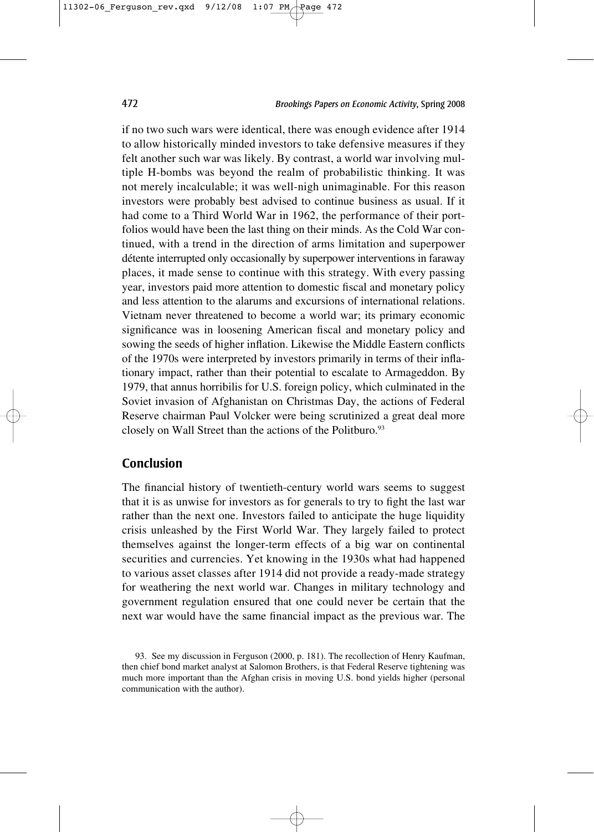if no two such wars were identical, there was enough evidence after 1914 to allow historically minded investors to take defensive measures if they felt another such war was likely. By contrast, a world war involving multiple H-bombs was beyond the realm of probabilistic thinking. It was not merely incalculable; it was well-nigh unimaginable. For this reason investors were probably best advised to continue business as usual. If it had come to a Third World War in 1962, the performance of their portfolios would have been the last thing on their minds. As the Cold War continued, with a trend in the direction of arms limitation and superpower détente interrupted only occasionally by superpower interventions in faraway places, it made sense to continue with this strategy. With every passing year, investors paid more attention to domestic fiscal and monetary policy and less attention to the alarums and excursions of international relations. Vietnam never threatened to become a world war; its primary economic significance was in loosening American fiscal and monetary policy and sowing the seeds of higher inflation. Likewise the Middle Eastern conflicts of the 1970s were interpreted by investors primarily in terms of their inflationary impact, rather than their potential to escalate to Armageddon. By 1979, that annus horribilis for U.S. foreign policy, which culminated in the Soviet invasion of Afghanistan on Christmas Day, the actions of Federal Reserve chairman Paul Volcker were being scrutinized a great deal more closely on Wall Street than the actions of the Politburo.<sup>93</sup>

### **Conclusion**

The financial history of twentieth-century world wars seems to suggest that it is as unwise for investors as for generals to try to fight the last war rather than the next one. Investors failed to anticipate the huge liquidity crisis unleashed by the First World War. They largely failed to protect themselves against the longer-term effects of a big war on continental securities and currencies. Yet knowing in the 1930s what had happened to various asset classes after 1914 did not provide a ready-made strategy for weathering the next world war. Changes in military technology and government regulation ensured that one could never be certain that the next war would have the same financial impact as the previous war. The

<sup>93.</sup> See my discussion in Ferguson (2000, p. 181). The recollection of Henry Kaufman, then chief bond market analyst at Salomon Brothers, is that Federal Reserve tightening was much more important than the Afghan crisis in moving U.S. bond yields higher (personal communication with the author).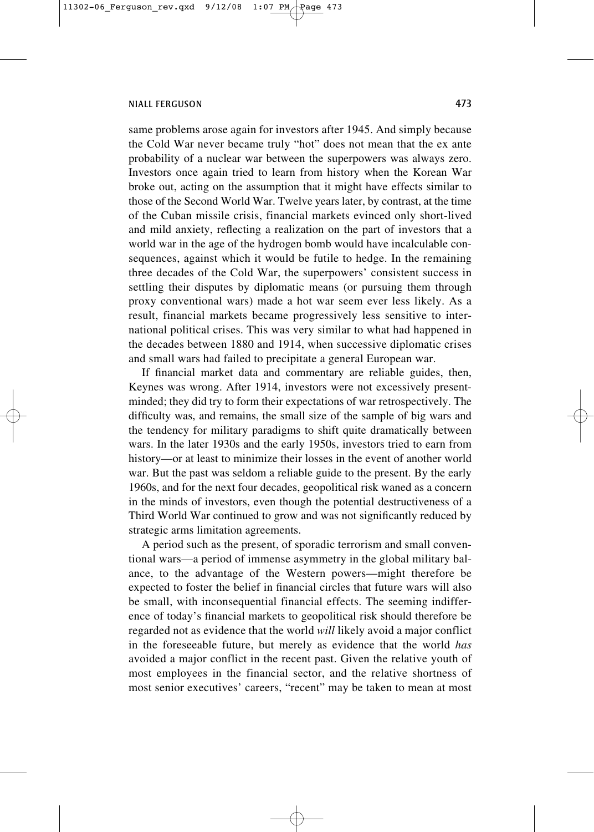same problems arose again for investors after 1945. And simply because the Cold War never became truly "hot" does not mean that the ex ante probability of a nuclear war between the superpowers was always zero. Investors once again tried to learn from history when the Korean War broke out, acting on the assumption that it might have effects similar to those of the Second World War. Twelve years later, by contrast, at the time of the Cuban missile crisis, financial markets evinced only short-lived and mild anxiety, reflecting a realization on the part of investors that a world war in the age of the hydrogen bomb would have incalculable consequences, against which it would be futile to hedge. In the remaining three decades of the Cold War, the superpowers' consistent success in settling their disputes by diplomatic means (or pursuing them through proxy conventional wars) made a hot war seem ever less likely. As a result, financial markets became progressively less sensitive to international political crises. This was very similar to what had happened in the decades between 1880 and 1914, when successive diplomatic crises and small wars had failed to precipitate a general European war.

If financial market data and commentary are reliable guides, then, Keynes was wrong. After 1914, investors were not excessively presentminded; they did try to form their expectations of war retrospectively. The difficulty was, and remains, the small size of the sample of big wars and the tendency for military paradigms to shift quite dramatically between wars. In the later 1930s and the early 1950s, investors tried to earn from history—or at least to minimize their losses in the event of another world war. But the past was seldom a reliable guide to the present. By the early 1960s, and for the next four decades, geopolitical risk waned as a concern in the minds of investors, even though the potential destructiveness of a Third World War continued to grow and was not significantly reduced by strategic arms limitation agreements.

A period such as the present, of sporadic terrorism and small conventional wars—a period of immense asymmetry in the global military balance, to the advantage of the Western powers—might therefore be expected to foster the belief in financial circles that future wars will also be small, with inconsequential financial effects. The seeming indifference of today's financial markets to geopolitical risk should therefore be regarded not as evidence that the world *will* likely avoid a major conflict in the foreseeable future, but merely as evidence that the world *has* avoided a major conflict in the recent past. Given the relative youth of most employees in the financial sector, and the relative shortness of most senior executives' careers, "recent" may be taken to mean at most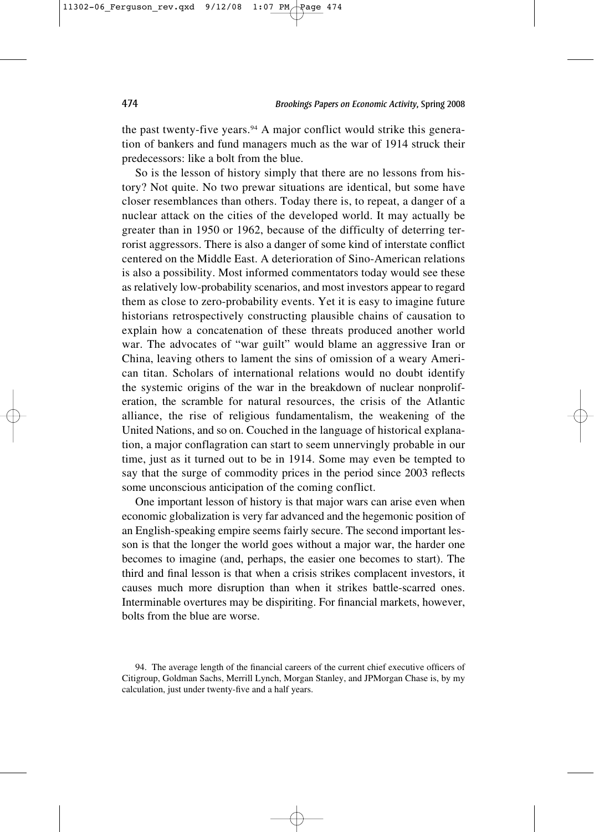the past twenty-five years.<sup>94</sup> A major conflict would strike this generation of bankers and fund managers much as the war of 1914 struck their predecessors: like a bolt from the blue.

So is the lesson of history simply that there are no lessons from history? Not quite. No two prewar situations are identical, but some have closer resemblances than others. Today there is, to repeat, a danger of a nuclear attack on the cities of the developed world. It may actually be greater than in 1950 or 1962, because of the difficulty of deterring terrorist aggressors. There is also a danger of some kind of interstate conflict centered on the Middle East. A deterioration of Sino-American relations is also a possibility. Most informed commentators today would see these as relatively low-probability scenarios, and most investors appear to regard them as close to zero-probability events. Yet it is easy to imagine future historians retrospectively constructing plausible chains of causation to explain how a concatenation of these threats produced another world war. The advocates of "war guilt" would blame an aggressive Iran or China, leaving others to lament the sins of omission of a weary American titan. Scholars of international relations would no doubt identify the systemic origins of the war in the breakdown of nuclear nonproliferation, the scramble for natural resources, the crisis of the Atlantic alliance, the rise of religious fundamentalism, the weakening of the United Nations, and so on. Couched in the language of historical explanation, a major conflagration can start to seem unnervingly probable in our time, just as it turned out to be in 1914. Some may even be tempted to say that the surge of commodity prices in the period since 2003 reflects some unconscious anticipation of the coming conflict.

One important lesson of history is that major wars can arise even when economic globalization is very far advanced and the hegemonic position of an English-speaking empire seems fairly secure. The second important lesson is that the longer the world goes without a major war, the harder one becomes to imagine (and, perhaps, the easier one becomes to start). The third and final lesson is that when a crisis strikes complacent investors, it causes much more disruption than when it strikes battle-scarred ones. Interminable overtures may be dispiriting. For financial markets, however, bolts from the blue are worse.

<sup>94.</sup> The average length of the financial careers of the current chief executive officers of Citigroup, Goldman Sachs, Merrill Lynch, Morgan Stanley, and JPMorgan Chase is, by my calculation, just under twenty-five and a half years.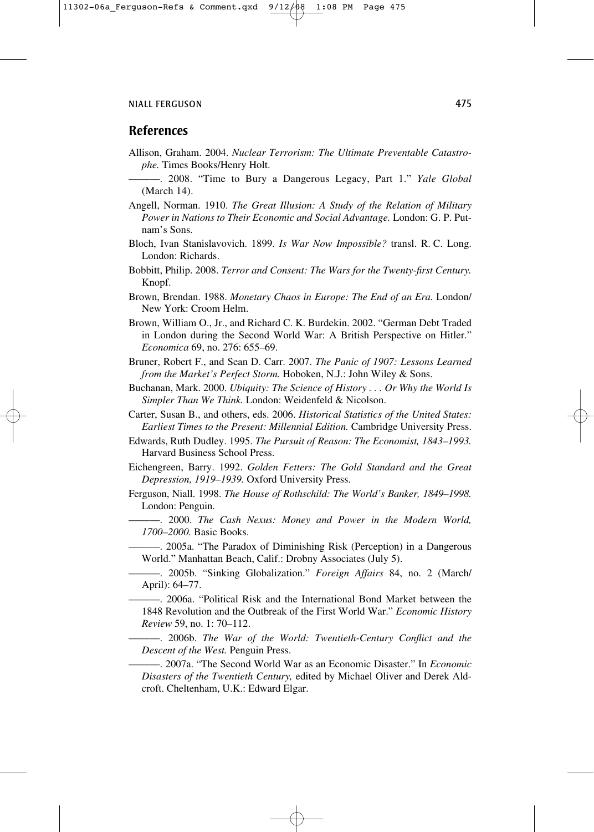## **References**

- Allison, Graham. 2004. *Nuclear Terrorism: The Ultimate Preventable Catastrophe.* Times Books/Henry Holt.
- ———. 2008. "Time to Bury a Dangerous Legacy, Part 1." *Yale Global* (March 14).
- Angell, Norman. 1910. *The Great Illusion: A Study of the Relation of Military Power in Nations to Their Economic and Social Advantage.* London: G. P. Putnam's Sons.
- Bloch, Ivan Stanislavovich. 1899. *Is War Now Impossible?* transl. R. C. Long. London: Richards.
- Bobbitt, Philip. 2008. *Terror and Consent: The Wars for the Twenty-first Century.* Knopf.
- Brown, Brendan. 1988. *Monetary Chaos in Europe: The End of an Era.* London/ New York: Croom Helm.
- Brown, William O., Jr., and Richard C. K. Burdekin. 2002. "German Debt Traded in London during the Second World War: A British Perspective on Hitler." *Economica* 69, no. 276: 655–69.
- Bruner, Robert F., and Sean D. Carr. 2007. *The Panic of 1907: Lessons Learned from the Market's Perfect Storm.* Hoboken, N.J.: John Wiley & Sons.
- Buchanan, Mark. 2000. *Ubiquity: The Science of History . . . Or Why the World Is Simpler Than We Think.* London: Weidenfeld & Nicolson.
- Carter, Susan B., and others, eds. 2006. *Historical Statistics of the United States: Earliest Times to the Present: Millennial Edition.* Cambridge University Press.
- Edwards, Ruth Dudley. 1995. *The Pursuit of Reason: The Economist, 1843–1993.* Harvard Business School Press.
- Eichengreen, Barry. 1992. *Golden Fetters: The Gold Standard and the Great Depression, 1919–1939.* Oxford University Press.
- Ferguson, Niall. 1998. *The House of Rothschild: The World's Banker, 1849–1998.* London: Penguin.
- ———. 2000. *The Cash Nexus: Money and Power in the Modern World, 1700–2000.* Basic Books.
	- ———. 2005a. "The Paradox of Diminishing Risk (Perception) in a Dangerous World." Manhattan Beach, Calif.: Drobny Associates (July 5).

———. 2005b. "Sinking Globalization." *Foreign Affairs* 84, no. 2 (March/ April): 64–77.

———. 2006a. "Political Risk and the International Bond Market between the 1848 Revolution and the Outbreak of the First World War." *Economic History Review* 59, no. 1: 70–112.

———. 2006b. *The War of the World: Twentieth-Century Conflict and the Descent of the West.* Penguin Press.

———. 2007a. "The Second World War as an Economic Disaster." In *Economic Disasters of the Twentieth Century,* edited by Michael Oliver and Derek Aldcroft. Cheltenham, U.K.: Edward Elgar.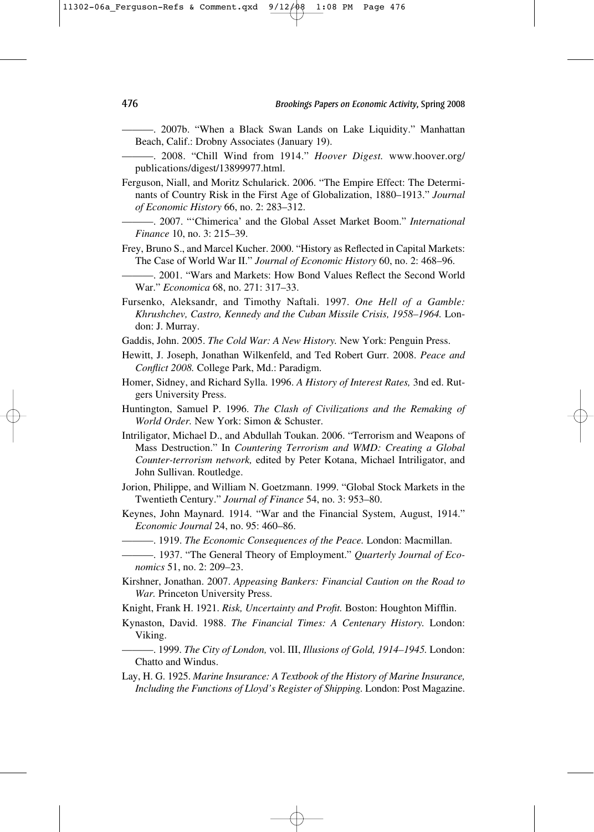———. 2007b. "When a Black Swan Lands on Lake Liquidity." Manhattan Beach, Calif.: Drobny Associates (January 19).

———. 2008. "Chill Wind from 1914." *Hoover Digest.* www.hoover.org/ publications/digest/13899977.html.

- Ferguson, Niall, and Moritz Schularick. 2006. "The Empire Effect: The Determinants of Country Risk in the First Age of Globalization, 1880–1913." *Journal of Economic History* 66, no. 2: 283–312.
	- ———. 2007. "'Chimerica' and the Global Asset Market Boom." *International Finance* 10, no. 3: 215–39.
- Frey, Bruno S., and Marcel Kucher. 2000. "History as Reflected in Capital Markets: The Case of World War II." *Journal of Economic History* 60, no. 2: 468–96.
	- ———. 2001. "Wars and Markets: How Bond Values Reflect the Second World War." *Economica* 68, no. 271: 317–33.
- Fursenko, Aleksandr, and Timothy Naftali. 1997. *One Hell of a Gamble: Khrushchev, Castro, Kennedy and the Cuban Missile Crisis, 1958–1964.* London: J. Murray.
- Gaddis, John. 2005. *The Cold War: A New History.* New York: Penguin Press.
- Hewitt, J. Joseph, Jonathan Wilkenfeld, and Ted Robert Gurr. 2008. *Peace and Conflict 2008.* College Park, Md.: Paradigm.
- Homer, Sidney, and Richard Sylla. 1996. *A History of Interest Rates,* 3nd ed. Rutgers University Press.
- Huntington, Samuel P. 1996. *The Clash of Civilizations and the Remaking of World Order.* New York: Simon & Schuster.
- Intriligator, Michael D., and Abdullah Toukan. 2006. "Terrorism and Weapons of Mass Destruction." In *Countering Terrorism and WMD: Creating a Global Counter-terrorism network,* edited by Peter Kotana, Michael Intriligator, and John Sullivan. Routledge.
- Jorion, Philippe, and William N. Goetzmann. 1999. "Global Stock Markets in the Twentieth Century." *Journal of Finance* 54, no. 3: 953–80.
- Keynes, John Maynard. 1914. "War and the Financial System, August, 1914." *Economic Journal* 24, no. 95: 460–86.
- ———. 1919. *The Economic Consequences of the Peace.* London: Macmillan.
- ———. 1937. "The General Theory of Employment." *Quarterly Journal of Economics* 51, no. 2: 209–23.
- Kirshner, Jonathan. 2007. *Appeasing Bankers: Financial Caution on the Road to War.* Princeton University Press.

Knight, Frank H. 1921. *Risk, Uncertainty and Profit.* Boston: Houghton Mifflin.

- Kynaston, David. 1988. *The Financial Times: A Centenary History.* London: Viking.
- ———. 1999. *The City of London,* vol. III, *Illusions of Gold, 1914–1945.* London: Chatto and Windus.
- Lay, H. G. 1925. *Marine Insurance: A Textbook of the History of Marine Insurance, Including the Functions of Lloyd's Register of Shipping.* London: Post Magazine.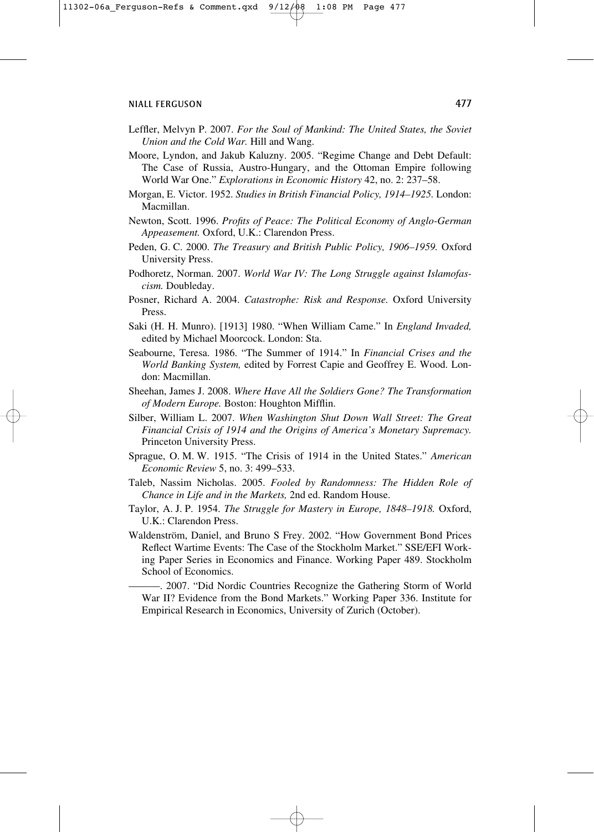- Leffler, Melvyn P. 2007. *For the Soul of Mankind: The United States, the Soviet Union and the Cold War.* Hill and Wang.
- Moore, Lyndon, and Jakub Kaluzny. 2005. "Regime Change and Debt Default: The Case of Russia, Austro-Hungary, and the Ottoman Empire following World War One." *Explorations in Economic History* 42, no. 2: 237–58.
- Morgan, E. Victor. 1952. *Studies in British Financial Policy, 1914–1925.* London: Macmillan.
- Newton, Scott. 1996. *Profits of Peace: The Political Economy of Anglo-German Appeasement.* Oxford, U.K.: Clarendon Press.
- Peden, G. C. 2000. *The Treasury and British Public Policy, 1906–1959.* Oxford University Press.
- Podhoretz, Norman. 2007. *World War IV: The Long Struggle against Islamofascism.* Doubleday.
- Posner, Richard A. 2004. *Catastrophe: Risk and Response.* Oxford University Press.
- Saki (H. H. Munro). [1913] 1980. "When William Came." In *England Invaded,* edited by Michael Moorcock. London: Sta.
- Seabourne, Teresa. 1986. "The Summer of 1914." In *Financial Crises and the World Banking System,* edited by Forrest Capie and Geoffrey E. Wood. London: Macmillan.
- Sheehan, James J. 2008. *Where Have All the Soldiers Gone? The Transformation of Modern Europe.* Boston: Houghton Mifflin.
- Silber, William L. 2007. *When Washington Shut Down Wall Street: The Great Financial Crisis of 1914 and the Origins of America's Monetary Supremacy.* Princeton University Press.
- Sprague, O. M. W. 1915. "The Crisis of 1914 in the United States." *American Economic Review* 5, no. 3: 499–533.
- Taleb, Nassim Nicholas. 2005. *Fooled by Randomness: The Hidden Role of Chance in Life and in the Markets,* 2nd ed. Random House.
- Taylor, A. J. P. 1954. *The Struggle for Mastery in Europe, 1848–1918.* Oxford, U.K.: Clarendon Press.
- Waldenström, Daniel, and Bruno S Frey. 2002. "How Government Bond Prices Reflect Wartime Events: The Case of the Stockholm Market." SSE/EFI Working Paper Series in Economics and Finance. Working Paper 489. Stockholm School of Economics.
	- ———. 2007. "Did Nordic Countries Recognize the Gathering Storm of World War II? Evidence from the Bond Markets." Working Paper 336. Institute for Empirical Research in Economics, University of Zurich (October).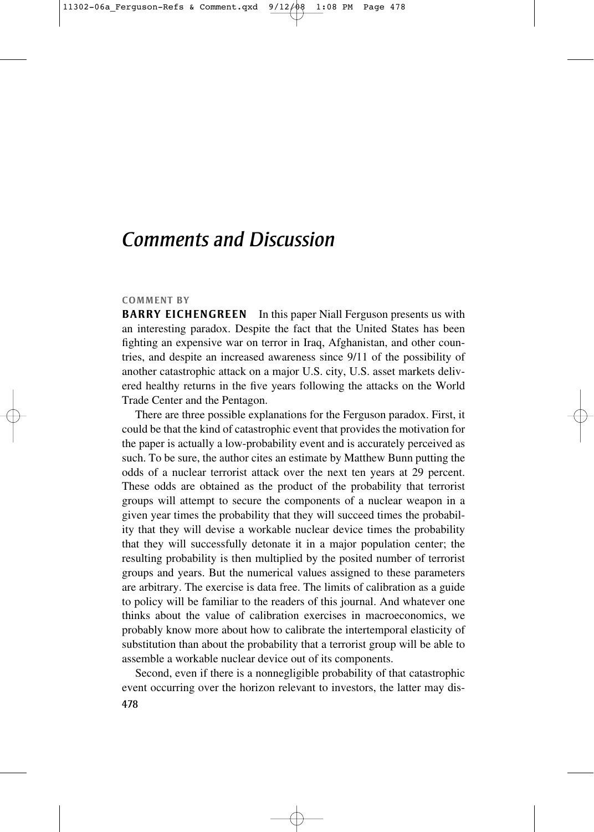# *Comments and Discussion*

#### **COMMENT BY**

**BARRY EICHENGREEN** In this paper Niall Ferguson presents us with an interesting paradox. Despite the fact that the United States has been fighting an expensive war on terror in Iraq, Afghanistan, and other countries, and despite an increased awareness since 9/11 of the possibility of another catastrophic attack on a major U.S. city, U.S. asset markets delivered healthy returns in the five years following the attacks on the World Trade Center and the Pentagon.

There are three possible explanations for the Ferguson paradox. First, it could be that the kind of catastrophic event that provides the motivation for the paper is actually a low-probability event and is accurately perceived as such. To be sure, the author cites an estimate by Matthew Bunn putting the odds of a nuclear terrorist attack over the next ten years at 29 percent. These odds are obtained as the product of the probability that terrorist groups will attempt to secure the components of a nuclear weapon in a given year times the probability that they will succeed times the probability that they will devise a workable nuclear device times the probability that they will successfully detonate it in a major population center; the resulting probability is then multiplied by the posited number of terrorist groups and years. But the numerical values assigned to these parameters are arbitrary. The exercise is data free. The limits of calibration as a guide to policy will be familiar to the readers of this journal. And whatever one thinks about the value of calibration exercises in macroeconomics, we probably know more about how to calibrate the intertemporal elasticity of substitution than about the probability that a terrorist group will be able to assemble a workable nuclear device out of its components.

Second, even if there is a nonnegligible probability of that catastrophic event occurring over the horizon relevant to investors, the latter may dis-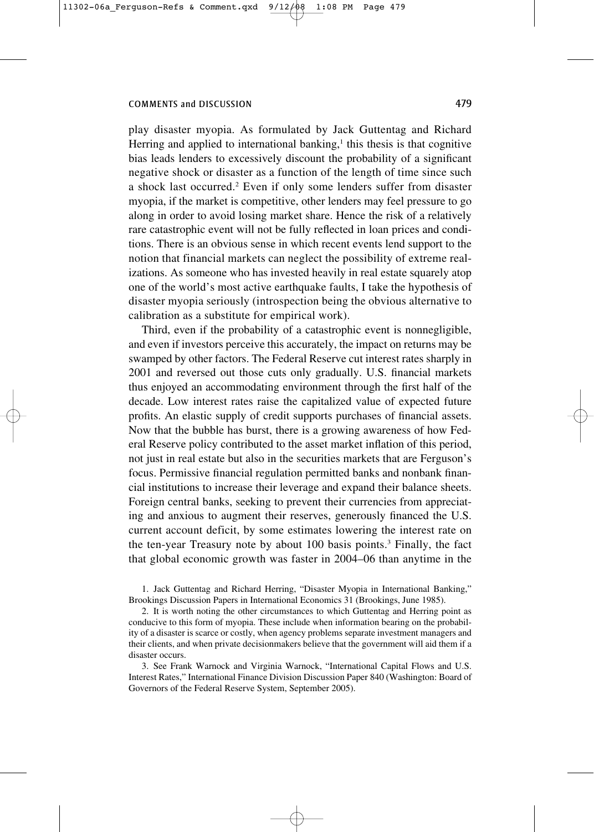play disaster myopia. As formulated by Jack Guttentag and Richard Herring and applied to international banking, $\frac{1}{1}$  this thesis is that cognitive bias leads lenders to excessively discount the probability of a significant negative shock or disaster as a function of the length of time since such a shock last occurred.2 Even if only some lenders suffer from disaster myopia, if the market is competitive, other lenders may feel pressure to go along in order to avoid losing market share. Hence the risk of a relatively rare catastrophic event will not be fully reflected in loan prices and conditions. There is an obvious sense in which recent events lend support to the notion that financial markets can neglect the possibility of extreme realizations. As someone who has invested heavily in real estate squarely atop one of the world's most active earthquake faults, I take the hypothesis of disaster myopia seriously (introspection being the obvious alternative to calibration as a substitute for empirical work).

Third, even if the probability of a catastrophic event is nonnegligible, and even if investors perceive this accurately, the impact on returns may be swamped by other factors. The Federal Reserve cut interest rates sharply in 2001 and reversed out those cuts only gradually. U.S. financial markets thus enjoyed an accommodating environment through the first half of the decade. Low interest rates raise the capitalized value of expected future profits. An elastic supply of credit supports purchases of financial assets. Now that the bubble has burst, there is a growing awareness of how Federal Reserve policy contributed to the asset market inflation of this period, not just in real estate but also in the securities markets that are Ferguson's focus. Permissive financial regulation permitted banks and nonbank financial institutions to increase their leverage and expand their balance sheets. Foreign central banks, seeking to prevent their currencies from appreciating and anxious to augment their reserves, generously financed the U.S. current account deficit, by some estimates lowering the interest rate on the ten-year Treasury note by about 100 basis points.3 Finally, the fact that global economic growth was faster in 2004–06 than anytime in the

1. Jack Guttentag and Richard Herring, "Disaster Myopia in International Banking," Brookings Discussion Papers in International Economics 31 (Brookings, June 1985).

2. It is worth noting the other circumstances to which Guttentag and Herring point as conducive to this form of myopia. These include when information bearing on the probability of a disaster is scarce or costly, when agency problems separate investment managers and their clients, and when private decisionmakers believe that the government will aid them if a disaster occurs.

3. See Frank Warnock and Virginia Warnock, "International Capital Flows and U.S. Interest Rates," International Finance Division Discussion Paper 840 (Washington: Board of Governors of the Federal Reserve System, September 2005).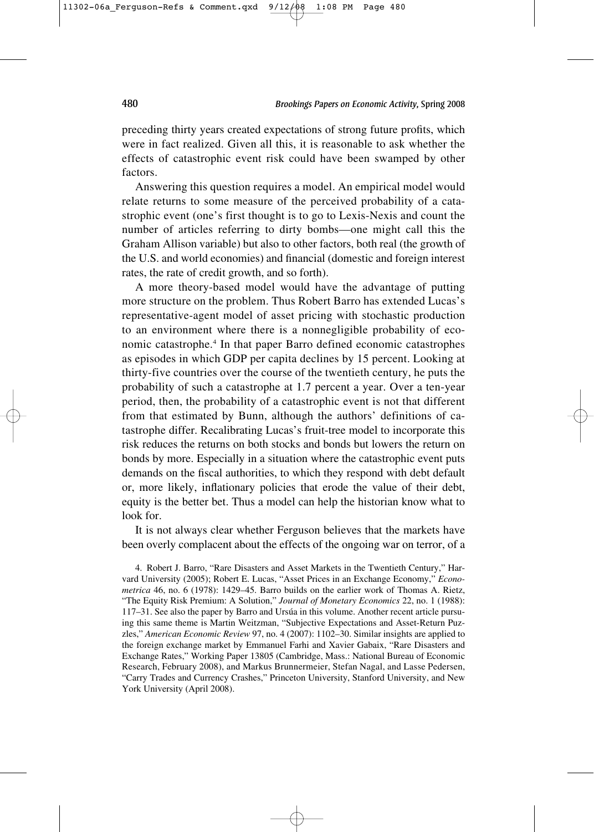preceding thirty years created expectations of strong future profits, which were in fact realized. Given all this, it is reasonable to ask whether the effects of catastrophic event risk could have been swamped by other factors.

Answering this question requires a model. An empirical model would relate returns to some measure of the perceived probability of a catastrophic event (one's first thought is to go to Lexis-Nexis and count the number of articles referring to dirty bombs—one might call this the Graham Allison variable) but also to other factors, both real (the growth of the U.S. and world economies) and financial (domestic and foreign interest rates, the rate of credit growth, and so forth).

A more theory-based model would have the advantage of putting more structure on the problem. Thus Robert Barro has extended Lucas's representative-agent model of asset pricing with stochastic production to an environment where there is a nonnegligible probability of economic catastrophe.4 In that paper Barro defined economic catastrophes as episodes in which GDP per capita declines by 15 percent. Looking at thirty-five countries over the course of the twentieth century, he puts the probability of such a catastrophe at 1.7 percent a year. Over a ten-year period, then, the probability of a catastrophic event is not that different from that estimated by Bunn, although the authors' definitions of catastrophe differ. Recalibrating Lucas's fruit-tree model to incorporate this risk reduces the returns on both stocks and bonds but lowers the return on bonds by more. Especially in a situation where the catastrophic event puts demands on the fiscal authorities, to which they respond with debt default or, more likely, inflationary policies that erode the value of their debt, equity is the better bet. Thus a model can help the historian know what to look for.

It is not always clear whether Ferguson believes that the markets have been overly complacent about the effects of the ongoing war on terror, of a

4. Robert J. Barro, "Rare Disasters and Asset Markets in the Twentieth Century," Harvard University (2005); Robert E. Lucas, "Asset Prices in an Exchange Economy," *Econometrica* 46, no. 6 (1978): 1429–45. Barro builds on the earlier work of Thomas A. Rietz, "The Equity Risk Premium: A Solution," *Journal of Monetary Economics* 22, no. 1 (1988): 117–31. See also the paper by Barro and Ursúa in this volume. Another recent article pursuing this same theme is Martin Weitzman, "Subjective Expectations and Asset-Return Puzzles," *American Economic Review* 97, no. 4 (2007): 1102–30. Similar insights are applied to the foreign exchange market by Emmanuel Farhi and Xavier Gabaix, "Rare Disasters and Exchange Rates," Working Paper 13805 (Cambridge, Mass.: National Bureau of Economic Research, February 2008), and Markus Brunnermeier, Stefan Nagal, and Lasse Pedersen, "Carry Trades and Currency Crashes," Princeton University, Stanford University, and New York University (April 2008).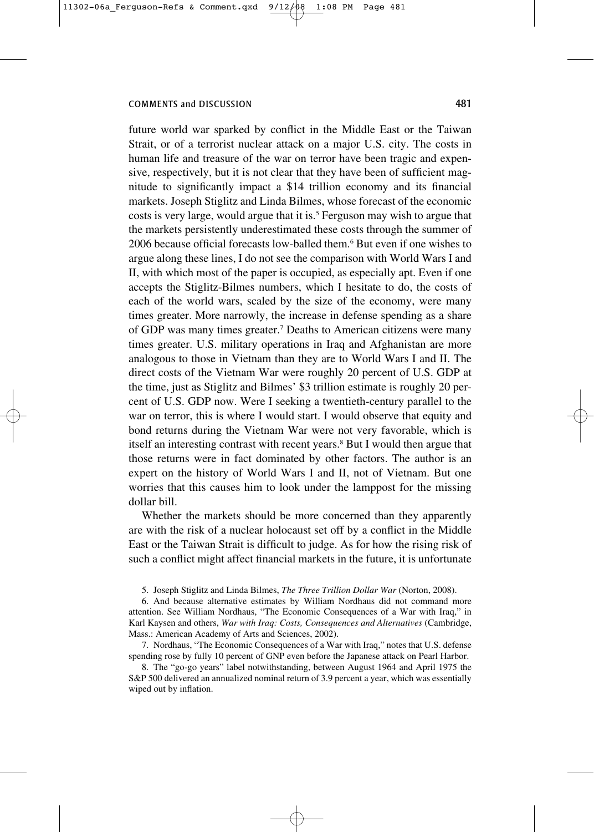future world war sparked by conflict in the Middle East or the Taiwan Strait, or of a terrorist nuclear attack on a major U.S. city. The costs in human life and treasure of the war on terror have been tragic and expensive, respectively, but it is not clear that they have been of sufficient magnitude to significantly impact a \$14 trillion economy and its financial markets. Joseph Stiglitz and Linda Bilmes, whose forecast of the economic costs is very large, would argue that it is.<sup>5</sup> Ferguson may wish to argue that the markets persistently underestimated these costs through the summer of 2006 because official forecasts low-balled them.6 But even if one wishes to argue along these lines, I do not see the comparison with World Wars I and II, with which most of the paper is occupied, as especially apt. Even if one accepts the Stiglitz-Bilmes numbers, which I hesitate to do, the costs of each of the world wars, scaled by the size of the economy, were many times greater. More narrowly, the increase in defense spending as a share of GDP was many times greater.7 Deaths to American citizens were many times greater. U.S. military operations in Iraq and Afghanistan are more analogous to those in Vietnam than they are to World Wars I and II. The direct costs of the Vietnam War were roughly 20 percent of U.S. GDP at the time, just as Stiglitz and Bilmes' \$3 trillion estimate is roughly 20 percent of U.S. GDP now. Were I seeking a twentieth-century parallel to the war on terror, this is where I would start. I would observe that equity and bond returns during the Vietnam War were not very favorable, which is itself an interesting contrast with recent years.<sup>8</sup> But I would then argue that those returns were in fact dominated by other factors. The author is an expert on the history of World Wars I and II, not of Vietnam. But one worries that this causes him to look under the lamppost for the missing dollar bill.

Whether the markets should be more concerned than they apparently are with the risk of a nuclear holocaust set off by a conflict in the Middle East or the Taiwan Strait is difficult to judge. As for how the rising risk of such a conflict might affect financial markets in the future, it is unfortunate

5. Joseph Stiglitz and Linda Bilmes, *The Three Trillion Dollar War* (Norton, 2008).

6. And because alternative estimates by William Nordhaus did not command more attention. See William Nordhaus, "The Economic Consequences of a War with Iraq," in Karl Kaysen and others, *War with Iraq: Costs, Consequences and Alternatives* (Cambridge, Mass.: American Academy of Arts and Sciences, 2002).

7. Nordhaus, "The Economic Consequences of a War with Iraq," notes that U.S. defense spending rose by fully 10 percent of GNP even before the Japanese attack on Pearl Harbor.

8. The "go-go years" label notwithstanding, between August 1964 and April 1975 the S&P 500 delivered an annualized nominal return of 3.9 percent a year, which was essentially wiped out by inflation.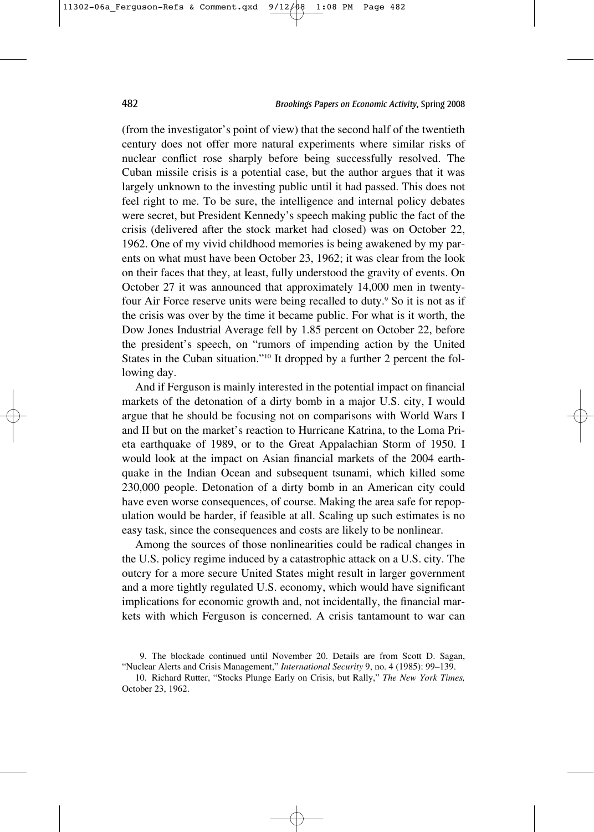(from the investigator's point of view) that the second half of the twentieth century does not offer more natural experiments where similar risks of nuclear conflict rose sharply before being successfully resolved. The Cuban missile crisis is a potential case, but the author argues that it was largely unknown to the investing public until it had passed. This does not feel right to me. To be sure, the intelligence and internal policy debates were secret, but President Kennedy's speech making public the fact of the crisis (delivered after the stock market had closed) was on October 22, 1962. One of my vivid childhood memories is being awakened by my parents on what must have been October 23, 1962; it was clear from the look on their faces that they, at least, fully understood the gravity of events. On October 27 it was announced that approximately 14,000 men in twentyfour Air Force reserve units were being recalled to duty.9 So it is not as if the crisis was over by the time it became public. For what is it worth, the Dow Jones Industrial Average fell by 1.85 percent on October 22, before the president's speech, on "rumors of impending action by the United States in the Cuban situation."10 It dropped by a further 2 percent the following day.

And if Ferguson is mainly interested in the potential impact on financial markets of the detonation of a dirty bomb in a major U.S. city, I would argue that he should be focusing not on comparisons with World Wars I and II but on the market's reaction to Hurricane Katrina, to the Loma Prieta earthquake of 1989, or to the Great Appalachian Storm of 1950. I would look at the impact on Asian financial markets of the 2004 earthquake in the Indian Ocean and subsequent tsunami, which killed some 230,000 people. Detonation of a dirty bomb in an American city could have even worse consequences, of course. Making the area safe for repopulation would be harder, if feasible at all. Scaling up such estimates is no easy task, since the consequences and costs are likely to be nonlinear.

Among the sources of those nonlinearities could be radical changes in the U.S. policy regime induced by a catastrophic attack on a U.S. city. The outcry for a more secure United States might result in larger government and a more tightly regulated U.S. economy, which would have significant implications for economic growth and, not incidentally, the financial markets with which Ferguson is concerned. A crisis tantamount to war can

<sup>9.</sup> The blockade continued until November 20. Details are from Scott D. Sagan, "Nuclear Alerts and Crisis Management," *International Security* 9, no. 4 (1985): 99–139.

<sup>10.</sup> Richard Rutter, "Stocks Plunge Early on Crisis, but Rally," *The New York Times,* October 23, 1962.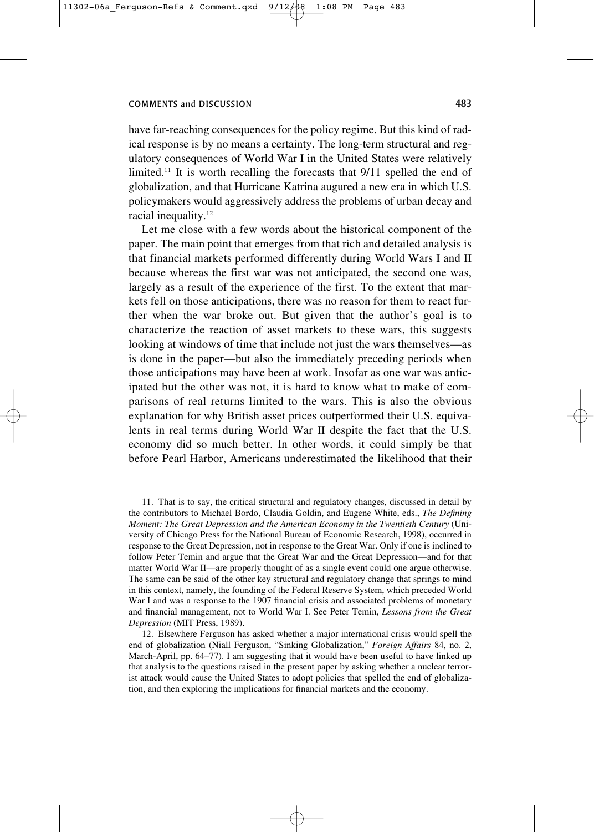have far-reaching consequences for the policy regime. But this kind of radical response is by no means a certainty. The long-term structural and regulatory consequences of World War I in the United States were relatively limited.<sup>11</sup> It is worth recalling the forecasts that 9/11 spelled the end of globalization, and that Hurricane Katrina augured a new era in which U.S. policymakers would aggressively address the problems of urban decay and racial inequality.12

Let me close with a few words about the historical component of the paper. The main point that emerges from that rich and detailed analysis is that financial markets performed differently during World Wars I and II because whereas the first war was not anticipated, the second one was, largely as a result of the experience of the first. To the extent that markets fell on those anticipations, there was no reason for them to react further when the war broke out. But given that the author's goal is to characterize the reaction of asset markets to these wars, this suggests looking at windows of time that include not just the wars themselves—as is done in the paper—but also the immediately preceding periods when those anticipations may have been at work. Insofar as one war was anticipated but the other was not, it is hard to know what to make of comparisons of real returns limited to the wars. This is also the obvious explanation for why British asset prices outperformed their U.S. equivalents in real terms during World War II despite the fact that the U.S. economy did so much better. In other words, it could simply be that before Pearl Harbor, Americans underestimated the likelihood that their

11. That is to say, the critical structural and regulatory changes, discussed in detail by the contributors to Michael Bordo, Claudia Goldin, and Eugene White, eds., *The Defining Moment: The Great Depression and the American Economy in the Twentieth Century* (University of Chicago Press for the National Bureau of Economic Research, 1998), occurred in response to the Great Depression, not in response to the Great War. Only if one is inclined to follow Peter Temin and argue that the Great War and the Great Depression—and for that matter World War II—are properly thought of as a single event could one argue otherwise. The same can be said of the other key structural and regulatory change that springs to mind in this context, namely, the founding of the Federal Reserve System, which preceded World War I and was a response to the 1907 financial crisis and associated problems of monetary and financial management, not to World War I. See Peter Temin, *Lessons from the Great Depression* (MIT Press, 1989).

12. Elsewhere Ferguson has asked whether a major international crisis would spell the end of globalization (Niall Ferguson, "Sinking Globalization," *Foreign Affairs* 84, no. 2, March-April, pp. 64–77). I am suggesting that it would have been useful to have linked up that analysis to the questions raised in the present paper by asking whether a nuclear terrorist attack would cause the United States to adopt policies that spelled the end of globalization, and then exploring the implications for financial markets and the economy.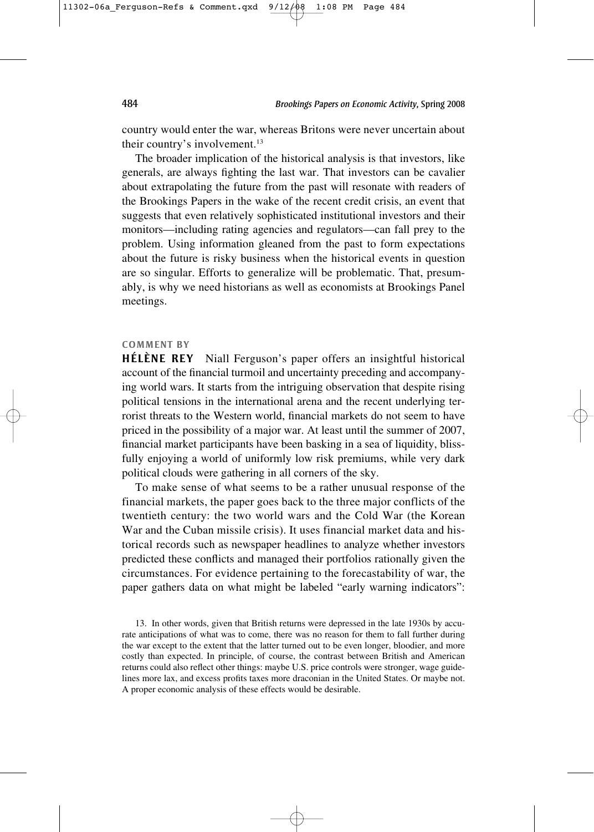country would enter the war, whereas Britons were never uncertain about their country's involvement.<sup>13</sup>

The broader implication of the historical analysis is that investors, like generals, are always fighting the last war. That investors can be cavalier about extrapolating the future from the past will resonate with readers of the Brookings Papers in the wake of the recent credit crisis, an event that suggests that even relatively sophisticated institutional investors and their monitors—including rating agencies and regulators—can fall prey to the problem. Using information gleaned from the past to form expectations about the future is risky business when the historical events in question are so singular. Efforts to generalize will be problematic. That, presumably, is why we need historians as well as economists at Brookings Panel meetings.

#### **COMMENT BY**

**HÉLÈNE REY** Niall Ferguson's paper offers an insightful historical account of the financial turmoil and uncertainty preceding and accompanying world wars. It starts from the intriguing observation that despite rising political tensions in the international arena and the recent underlying terrorist threats to the Western world, financial markets do not seem to have priced in the possibility of a major war. At least until the summer of 2007, financial market participants have been basking in a sea of liquidity, blissfully enjoying a world of uniformly low risk premiums, while very dark political clouds were gathering in all corners of the sky.

To make sense of what seems to be a rather unusual response of the financial markets, the paper goes back to the three major conflicts of the twentieth century: the two world wars and the Cold War (the Korean War and the Cuban missile crisis). It uses financial market data and historical records such as newspaper headlines to analyze whether investors predicted these conflicts and managed their portfolios rationally given the circumstances. For evidence pertaining to the forecastability of war, the paper gathers data on what might be labeled "early warning indicators":

13. In other words, given that British returns were depressed in the late 1930s by accurate anticipations of what was to come, there was no reason for them to fall further during the war except to the extent that the latter turned out to be even longer, bloodier, and more costly than expected. In principle, of course, the contrast between British and American returns could also reflect other things: maybe U.S. price controls were stronger, wage guidelines more lax, and excess profits taxes more draconian in the United States. Or maybe not. A proper economic analysis of these effects would be desirable.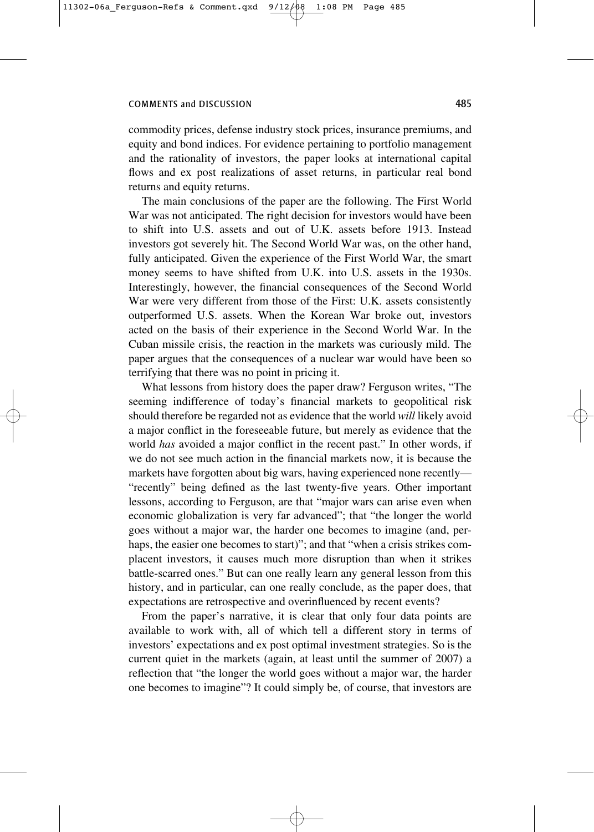commodity prices, defense industry stock prices, insurance premiums, and equity and bond indices. For evidence pertaining to portfolio management and the rationality of investors, the paper looks at international capital flows and ex post realizations of asset returns, in particular real bond returns and equity returns.

The main conclusions of the paper are the following. The First World War was not anticipated. The right decision for investors would have been to shift into U.S. assets and out of U.K. assets before 1913. Instead investors got severely hit. The Second World War was, on the other hand, fully anticipated. Given the experience of the First World War, the smart money seems to have shifted from U.K. into U.S. assets in the 1930s. Interestingly, however, the financial consequences of the Second World War were very different from those of the First: U.K. assets consistently outperformed U.S. assets. When the Korean War broke out, investors acted on the basis of their experience in the Second World War. In the Cuban missile crisis, the reaction in the markets was curiously mild. The paper argues that the consequences of a nuclear war would have been so terrifying that there was no point in pricing it.

What lessons from history does the paper draw? Ferguson writes, "The seeming indifference of today's financial markets to geopolitical risk should therefore be regarded not as evidence that the world *will* likely avoid a major conflict in the foreseeable future, but merely as evidence that the world *has* avoided a major conflict in the recent past." In other words, if we do not see much action in the financial markets now, it is because the markets have forgotten about big wars, having experienced none recently— "recently" being defined as the last twenty-five years. Other important lessons, according to Ferguson, are that "major wars can arise even when economic globalization is very far advanced"; that "the longer the world goes without a major war, the harder one becomes to imagine (and, perhaps, the easier one becomes to start)"; and that "when a crisis strikes complacent investors, it causes much more disruption than when it strikes battle-scarred ones." But can one really learn any general lesson from this history, and in particular, can one really conclude, as the paper does, that expectations are retrospective and overinfluenced by recent events?

From the paper's narrative, it is clear that only four data points are available to work with, all of which tell a different story in terms of investors' expectations and ex post optimal investment strategies. So is the current quiet in the markets (again, at least until the summer of 2007) a reflection that "the longer the world goes without a major war, the harder one becomes to imagine"? It could simply be, of course, that investors are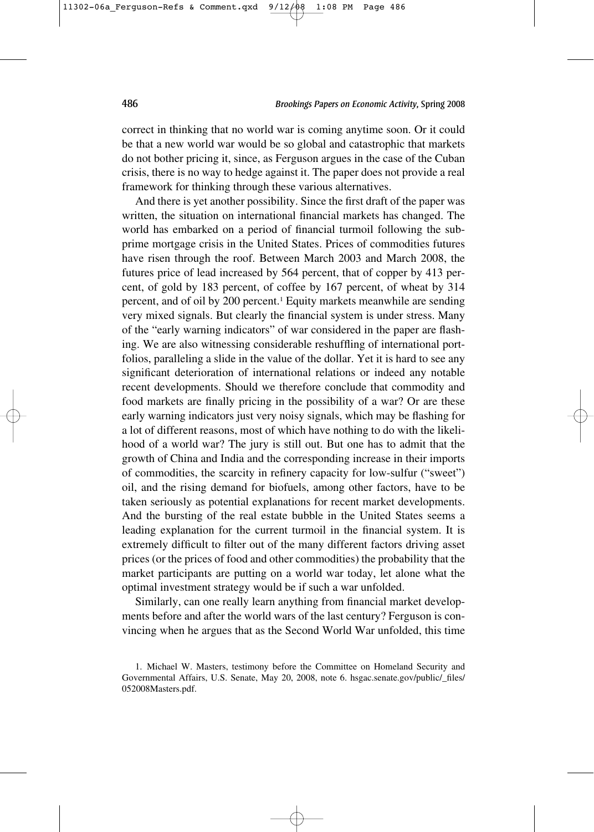correct in thinking that no world war is coming anytime soon. Or it could be that a new world war would be so global and catastrophic that markets do not bother pricing it, since, as Ferguson argues in the case of the Cuban crisis, there is no way to hedge against it. The paper does not provide a real framework for thinking through these various alternatives.

And there is yet another possibility. Since the first draft of the paper was written, the situation on international financial markets has changed. The world has embarked on a period of financial turmoil following the subprime mortgage crisis in the United States. Prices of commodities futures have risen through the roof. Between March 2003 and March 2008, the futures price of lead increased by 564 percent, that of copper by 413 percent, of gold by 183 percent, of coffee by 167 percent, of wheat by 314 percent, and of oil by 200 percent.1 Equity markets meanwhile are sending very mixed signals. But clearly the financial system is under stress. Many of the "early warning indicators" of war considered in the paper are flashing. We are also witnessing considerable reshuffling of international portfolios, paralleling a slide in the value of the dollar. Yet it is hard to see any significant deterioration of international relations or indeed any notable recent developments. Should we therefore conclude that commodity and food markets are finally pricing in the possibility of a war? Or are these early warning indicators just very noisy signals, which may be flashing for a lot of different reasons, most of which have nothing to do with the likelihood of a world war? The jury is still out. But one has to admit that the growth of China and India and the corresponding increase in their imports of commodities, the scarcity in refinery capacity for low-sulfur ("sweet") oil, and the rising demand for biofuels, among other factors, have to be taken seriously as potential explanations for recent market developments. And the bursting of the real estate bubble in the United States seems a leading explanation for the current turmoil in the financial system. It is extremely difficult to filter out of the many different factors driving asset prices (or the prices of food and other commodities) the probability that the market participants are putting on a world war today, let alone what the optimal investment strategy would be if such a war unfolded.

Similarly, can one really learn anything from financial market developments before and after the world wars of the last century? Ferguson is convincing when he argues that as the Second World War unfolded, this time

<sup>1.</sup> Michael W. Masters, testimony before the Committee on Homeland Security and Governmental Affairs, U.S. Senate, May 20, 2008, note 6. hsgac.senate.gov/public/\_files/ 052008Masters.pdf.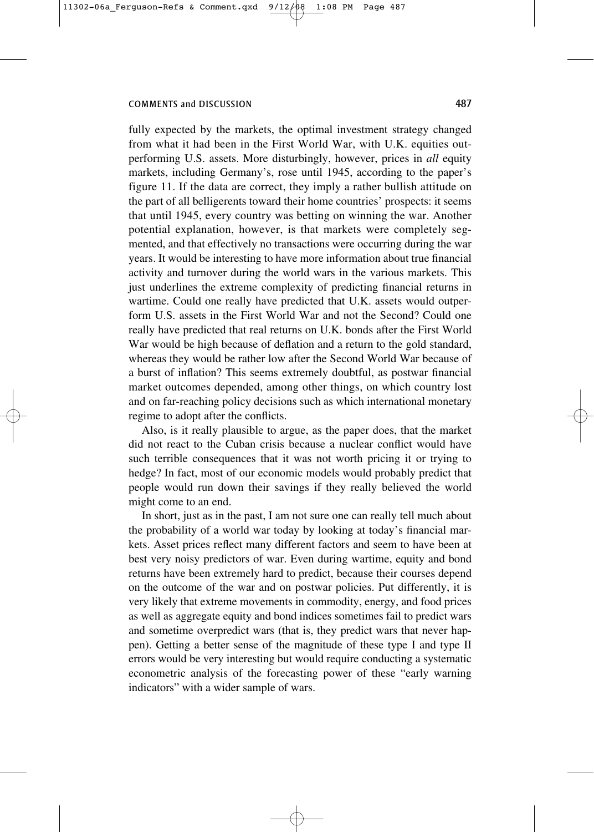fully expected by the markets, the optimal investment strategy changed from what it had been in the First World War, with U.K. equities outperforming U.S. assets. More disturbingly, however, prices in *all* equity markets, including Germany's, rose until 1945, according to the paper's figure 11. If the data are correct, they imply a rather bullish attitude on the part of all belligerents toward their home countries' prospects: it seems that until 1945, every country was betting on winning the war. Another potential explanation, however, is that markets were completely segmented, and that effectively no transactions were occurring during the war years. It would be interesting to have more information about true financial activity and turnover during the world wars in the various markets. This just underlines the extreme complexity of predicting financial returns in wartime. Could one really have predicted that U.K. assets would outperform U.S. assets in the First World War and not the Second? Could one really have predicted that real returns on U.K. bonds after the First World War would be high because of deflation and a return to the gold standard, whereas they would be rather low after the Second World War because of a burst of inflation? This seems extremely doubtful, as postwar financial market outcomes depended, among other things, on which country lost and on far-reaching policy decisions such as which international monetary regime to adopt after the conflicts.

Also, is it really plausible to argue, as the paper does, that the market did not react to the Cuban crisis because a nuclear conflict would have such terrible consequences that it was not worth pricing it or trying to hedge? In fact, most of our economic models would probably predict that people would run down their savings if they really believed the world might come to an end.

In short, just as in the past, I am not sure one can really tell much about the probability of a world war today by looking at today's financial markets. Asset prices reflect many different factors and seem to have been at best very noisy predictors of war. Even during wartime, equity and bond returns have been extremely hard to predict, because their courses depend on the outcome of the war and on postwar policies. Put differently, it is very likely that extreme movements in commodity, energy, and food prices as well as aggregate equity and bond indices sometimes fail to predict wars and sometime overpredict wars (that is, they predict wars that never happen). Getting a better sense of the magnitude of these type I and type II errors would be very interesting but would require conducting a systematic econometric analysis of the forecasting power of these "early warning indicators" with a wider sample of wars.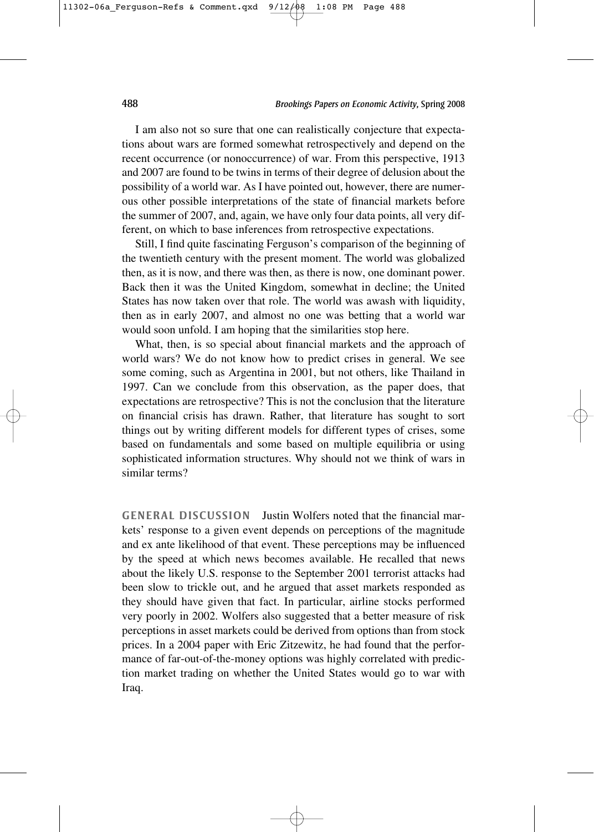I am also not so sure that one can realistically conjecture that expectations about wars are formed somewhat retrospectively and depend on the recent occurrence (or nonoccurrence) of war. From this perspective, 1913 and 2007 are found to be twins in terms of their degree of delusion about the possibility of a world war. As I have pointed out, however, there are numerous other possible interpretations of the state of financial markets before the summer of 2007, and, again, we have only four data points, all very different, on which to base inferences from retrospective expectations.

Still, I find quite fascinating Ferguson's comparison of the beginning of the twentieth century with the present moment. The world was globalized then, as it is now, and there was then, as there is now, one dominant power. Back then it was the United Kingdom, somewhat in decline; the United States has now taken over that role. The world was awash with liquidity, then as in early 2007, and almost no one was betting that a world war would soon unfold. I am hoping that the similarities stop here.

What, then, is so special about financial markets and the approach of world wars? We do not know how to predict crises in general. We see some coming, such as Argentina in 2001, but not others, like Thailand in 1997. Can we conclude from this observation, as the paper does, that expectations are retrospective? This is not the conclusion that the literature on financial crisis has drawn. Rather, that literature has sought to sort things out by writing different models for different types of crises, some based on fundamentals and some based on multiple equilibria or using sophisticated information structures. Why should not we think of wars in similar terms?

**GENERAL DISCUSSION** Justin Wolfers noted that the financial markets' response to a given event depends on perceptions of the magnitude and ex ante likelihood of that event. These perceptions may be influenced by the speed at which news becomes available. He recalled that news about the likely U.S. response to the September 2001 terrorist attacks had been slow to trickle out, and he argued that asset markets responded as they should have given that fact. In particular, airline stocks performed very poorly in 2002. Wolfers also suggested that a better measure of risk perceptions in asset markets could be derived from options than from stock prices. In a 2004 paper with Eric Zitzewitz, he had found that the performance of far-out-of-the-money options was highly correlated with prediction market trading on whether the United States would go to war with Iraq.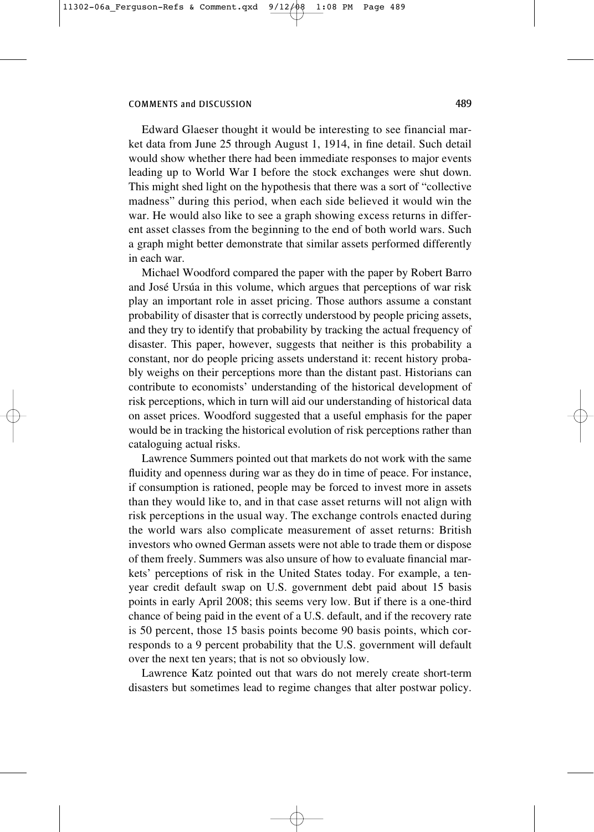Edward Glaeser thought it would be interesting to see financial market data from June 25 through August 1, 1914, in fine detail. Such detail would show whether there had been immediate responses to major events leading up to World War I before the stock exchanges were shut down. This might shed light on the hypothesis that there was a sort of "collective madness" during this period, when each side believed it would win the war. He would also like to see a graph showing excess returns in different asset classes from the beginning to the end of both world wars. Such a graph might better demonstrate that similar assets performed differently in each war.

Michael Woodford compared the paper with the paper by Robert Barro and José Ursúa in this volume, which argues that perceptions of war risk play an important role in asset pricing. Those authors assume a constant probability of disaster that is correctly understood by people pricing assets, and they try to identify that probability by tracking the actual frequency of disaster. This paper, however, suggests that neither is this probability a constant, nor do people pricing assets understand it: recent history probably weighs on their perceptions more than the distant past. Historians can contribute to economists' understanding of the historical development of risk perceptions, which in turn will aid our understanding of historical data on asset prices. Woodford suggested that a useful emphasis for the paper would be in tracking the historical evolution of risk perceptions rather than cataloguing actual risks.

Lawrence Summers pointed out that markets do not work with the same fluidity and openness during war as they do in time of peace. For instance, if consumption is rationed, people may be forced to invest more in assets than they would like to, and in that case asset returns will not align with risk perceptions in the usual way. The exchange controls enacted during the world wars also complicate measurement of asset returns: British investors who owned German assets were not able to trade them or dispose of them freely. Summers was also unsure of how to evaluate financial markets' perceptions of risk in the United States today. For example, a tenyear credit default swap on U.S. government debt paid about 15 basis points in early April 2008; this seems very low. But if there is a one-third chance of being paid in the event of a U.S. default, and if the recovery rate is 50 percent, those 15 basis points become 90 basis points, which corresponds to a 9 percent probability that the U.S. government will default over the next ten years; that is not so obviously low.

Lawrence Katz pointed out that wars do not merely create short-term disasters but sometimes lead to regime changes that alter postwar policy.